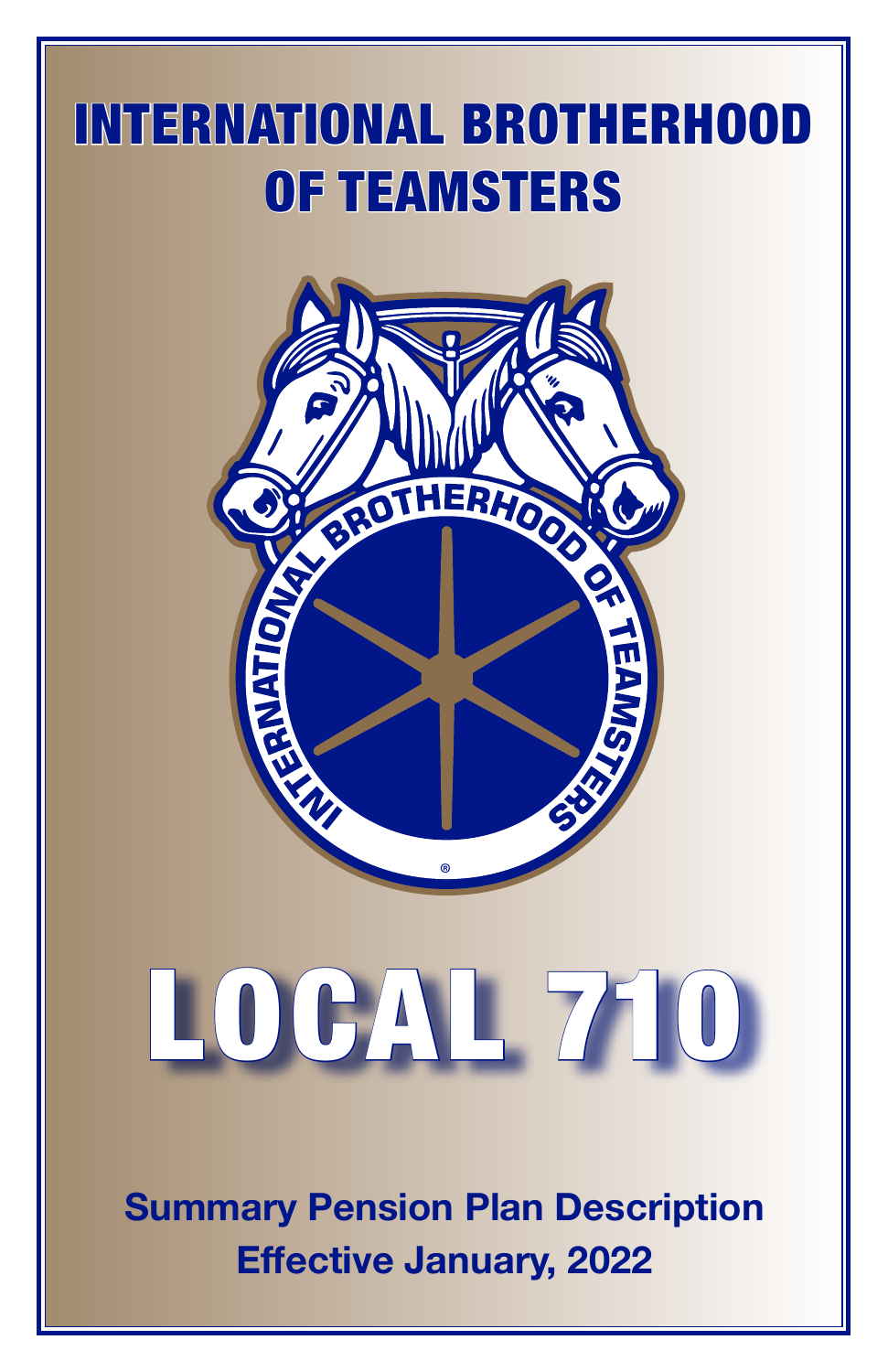# INTERNATIONAL BROTHERHOOD OF TEAMSTERS



# LOCAL 710

**Summary Pension Plan Description Effective January, 2022**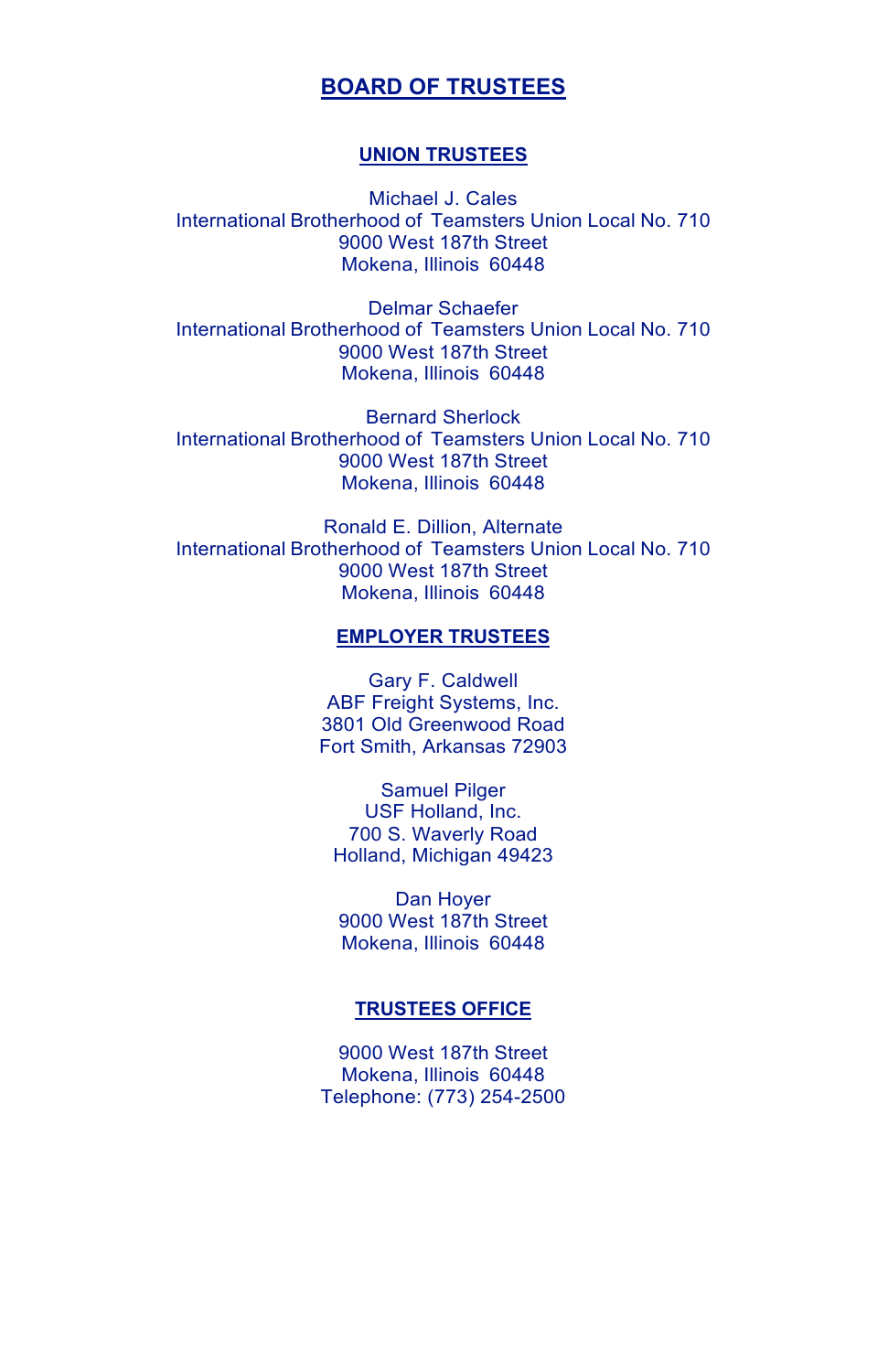## **BOARD OF TRUSTEES**

#### **UNION TRUSTEES**

Michael J. Cales International Brotherhood of Teamsters Union Local No. 710 9000 West 187th Street Mokena, Illinois 60448

Delmar Schaefer International Brotherhood of Teamsters Union Local No. 710 9000 West 187th Street Mokena, Illinois 60448

Bernard Sherlock International Brotherhood of Teamsters Union Local No. 710 9000 West 187th Street Mokena, Illinois 60448

Ronald E. Dillion, Alternate International Brotherhood of Teamsters Union Local No. 710 9000 West 187th Street Mokena, Illinois 60448

#### **EMPLOYER TRUSTEES**

Gary F. Caldwell ABF Freight Systems, Inc. 3801 Old Greenwood Road Fort Smith, Arkansas 72903

Samuel Pilger USF Holland, Inc. 700 S. Waverly Road Holland, Michigan 49423

Dan Hoyer 9000 West 187th Street Mokena, Illinois 60448

#### **TRUSTEES OFFICE**

9000 West 187th Street Mokena, Illinois 60448 Telephone: (773) 254-2500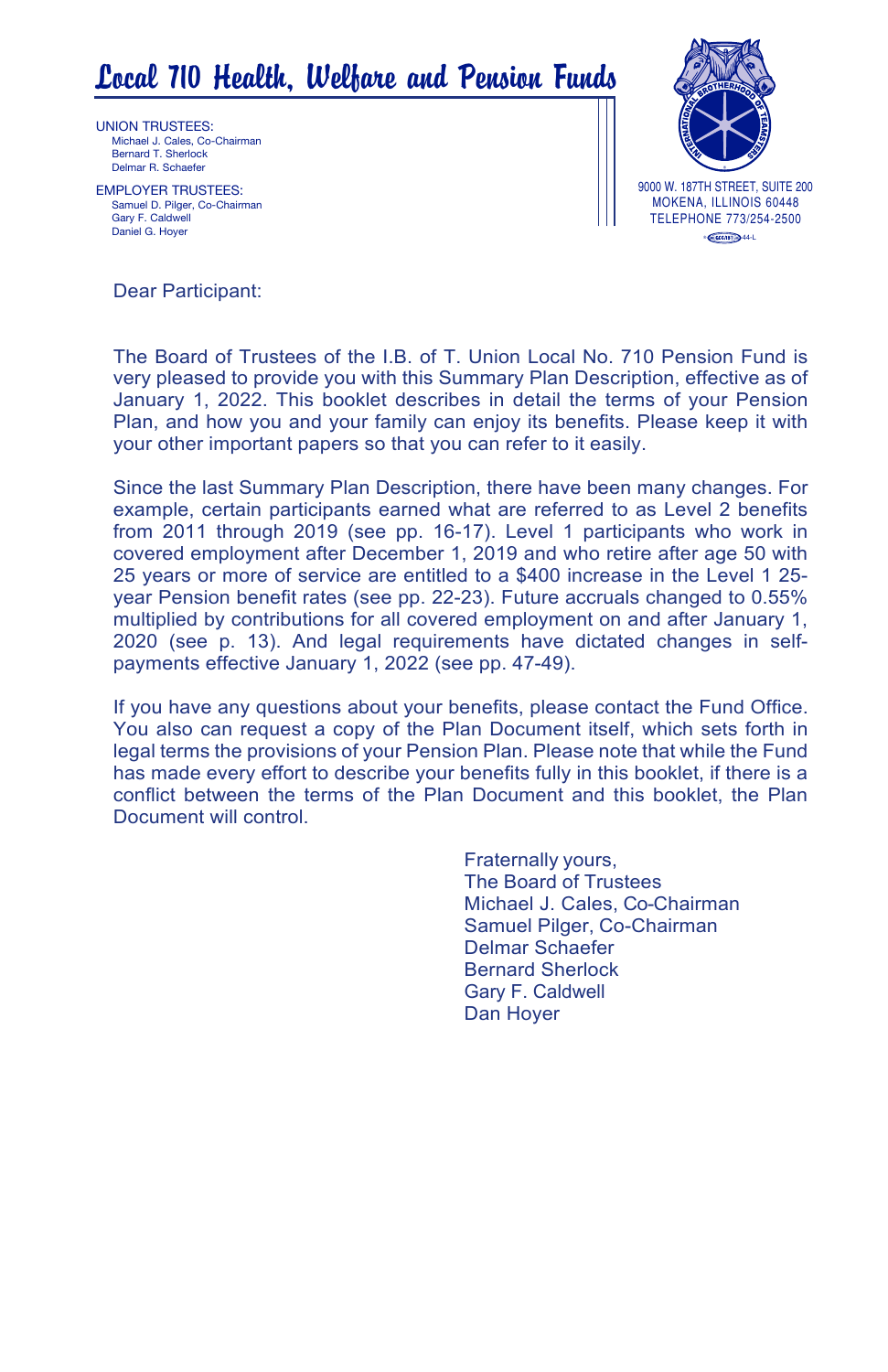# Local 710 Health, Welfare and Pension Funds

UNION TRUSTEES: Michael J. Cales, Co-Chairman Bernard T. Sherlock Delmar R. Schaefer

EMPLOYER TRUSTEES: Samuel D. Pilger, Co-Chairman Gary F. Caldwell Daniel G. Hoyer



Dear Participant:

The Board of Trustees of the I.B. of T. Union Local No. 710 Pension Fund is very pleased to provide you with this Summary Plan Description, effective as of January 1, 2022. This booklet describes in detail the terms of your Pension Plan, and how you and your family can enjoy its benefits. Please keep it with your other important papers so that you can refer to it easily.

Since the last Summary Plan Description, there have been many changes. For example, certain participants earned what are referred to as Level 2 benefits from 2011 through 2019 (see pp. 16-17). Level 1 participants who work in covered employment after December 1, 2019 and who retire after age 50 with 25 years or more of service are entitled to a \$400 increase in the Level 1 25 year Pension benefit rates (see pp. 22-23). Future accruals changed to 0.55% multiplied by contributions for all covered employment on and after January 1, 2020 (see p. 13). And legal requirements have dictated changes in selfpayments effective January 1, 2022 (see pp. 47-49).

If you have any questions about your benefits, please contact the Fund Office. You also can request a copy of the Plan Document itself, which sets forth in legal terms the provisions of your Pension Plan. Please note that while the Fund has made every effort to describe your benefits fully in this booklet, if there is a conflict between the terms of the Plan Document and this booklet, the Plan Document will control.

> Fraternally yours, The Board of Trustees Michael J. Cales, Co-Chairman Samuel Pilger, Co-Chairman Delmar Schaefer Bernard Sherlock Gary F. Caldwell Dan Hoyer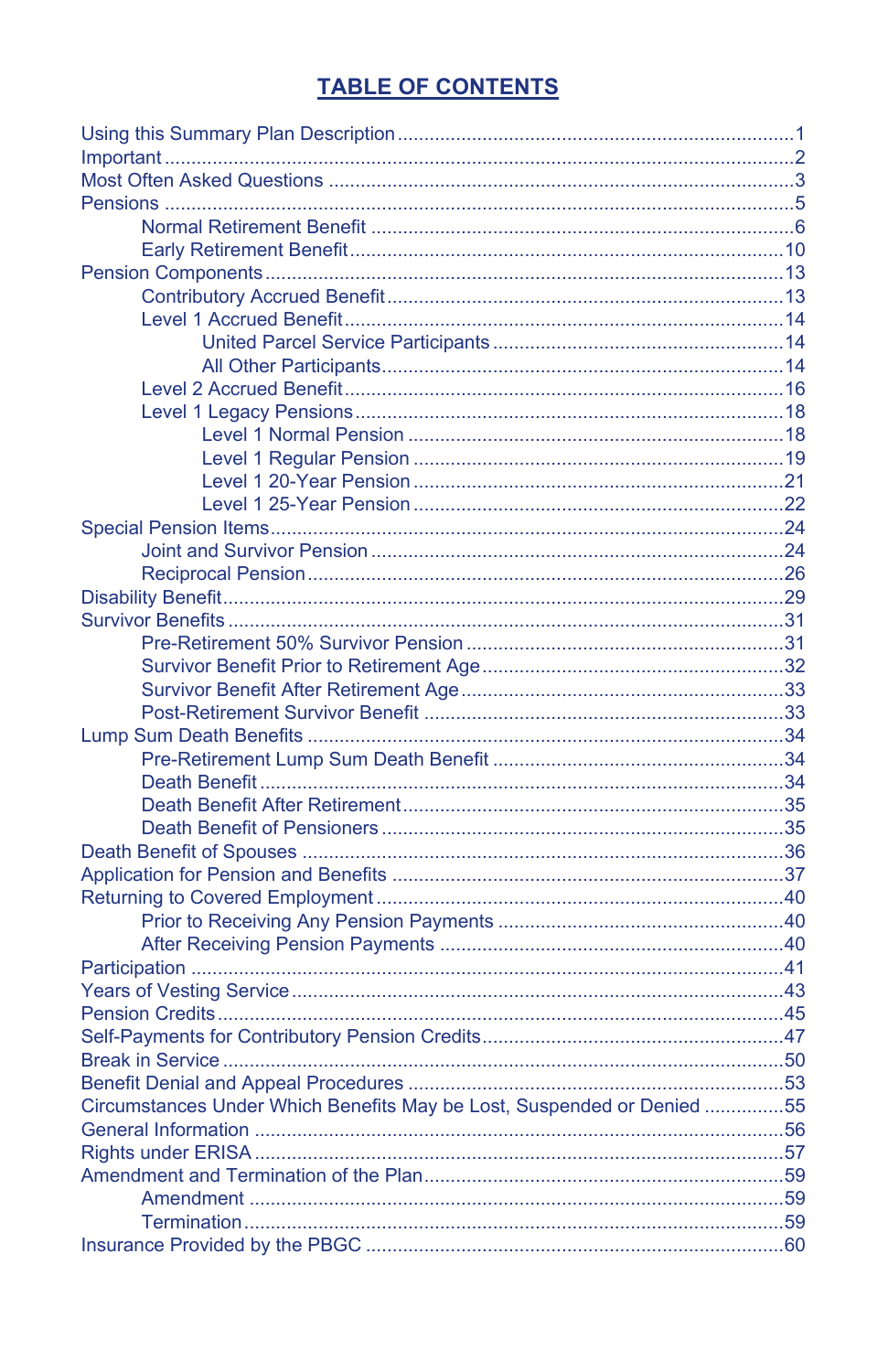# **TABLE OF CONTENTS**

| Circumstances Under Which Benefits May be Lost, Suspended or Denied 55 |  |
|------------------------------------------------------------------------|--|
|                                                                        |  |
|                                                                        |  |
|                                                                        |  |
|                                                                        |  |
|                                                                        |  |
|                                                                        |  |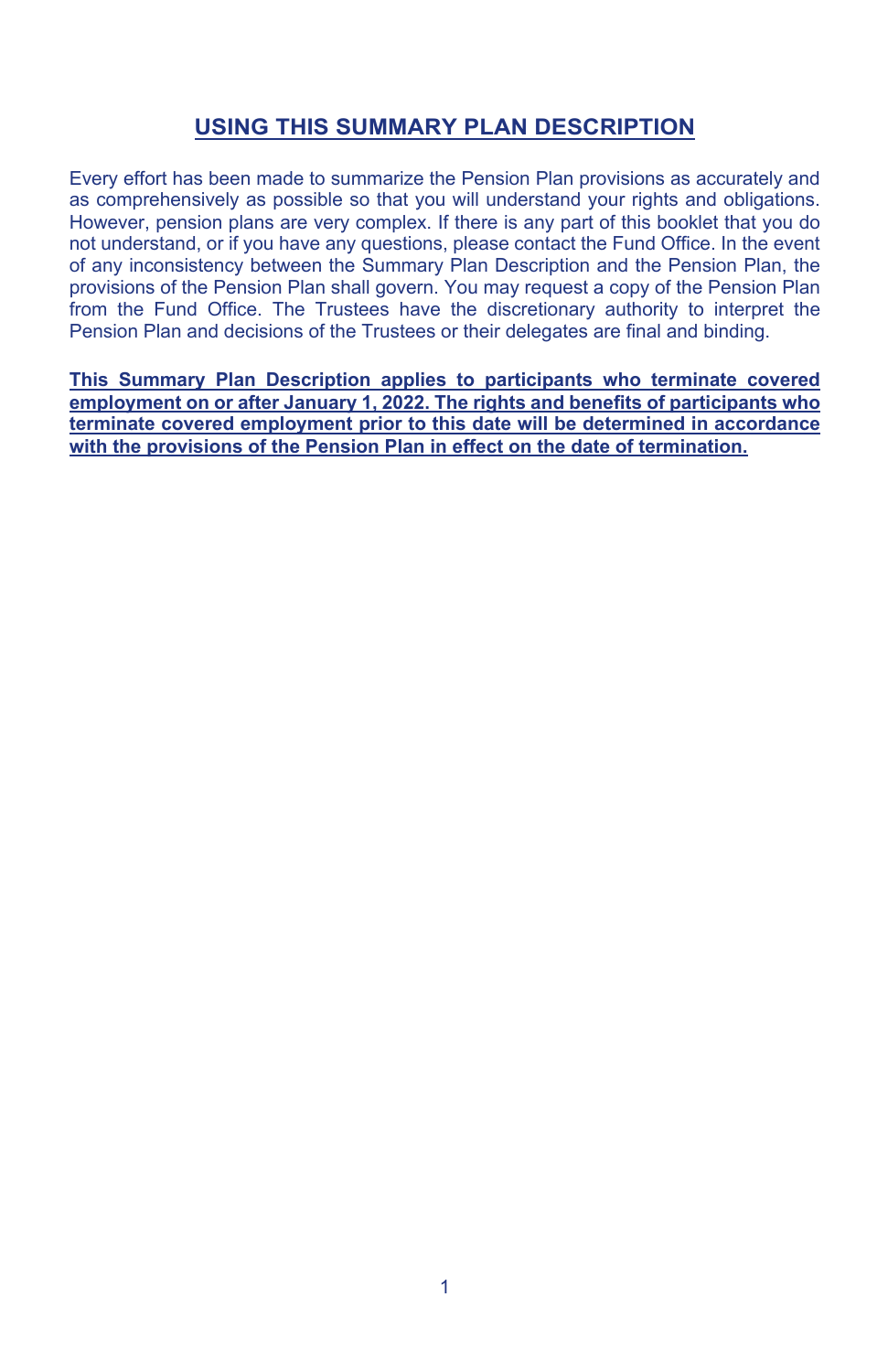# **USING THIS SUMMARY PLAN DESCRIPTION**

Every effort has been made to summarize the Pension Plan provisions as accurately and as comprehensively as possible so that you will understand your rights and obligations. However, pension plans are very complex. If there is any part of this booklet that you do not understand, or if you have any questions, please contact the Fund Office. In the event of any inconsistency between the Summary Plan Description and the Pension Plan, the provisions of the Pension Plan shall govern. You may request a copy of the Pension Plan from the Fund Office. The Trustees have the discretionary authority to interpret the Pension Plan and decisions of the Trustees or their delegates are final and binding.

**This Summary Plan Description applies to participants who terminate covered employment on or after January 1, 2022. The rights and benefits of participants who terminate covered employment prior to this date will be determined in accordance with the provisions of the Pension Plan in effect on the date of termination.**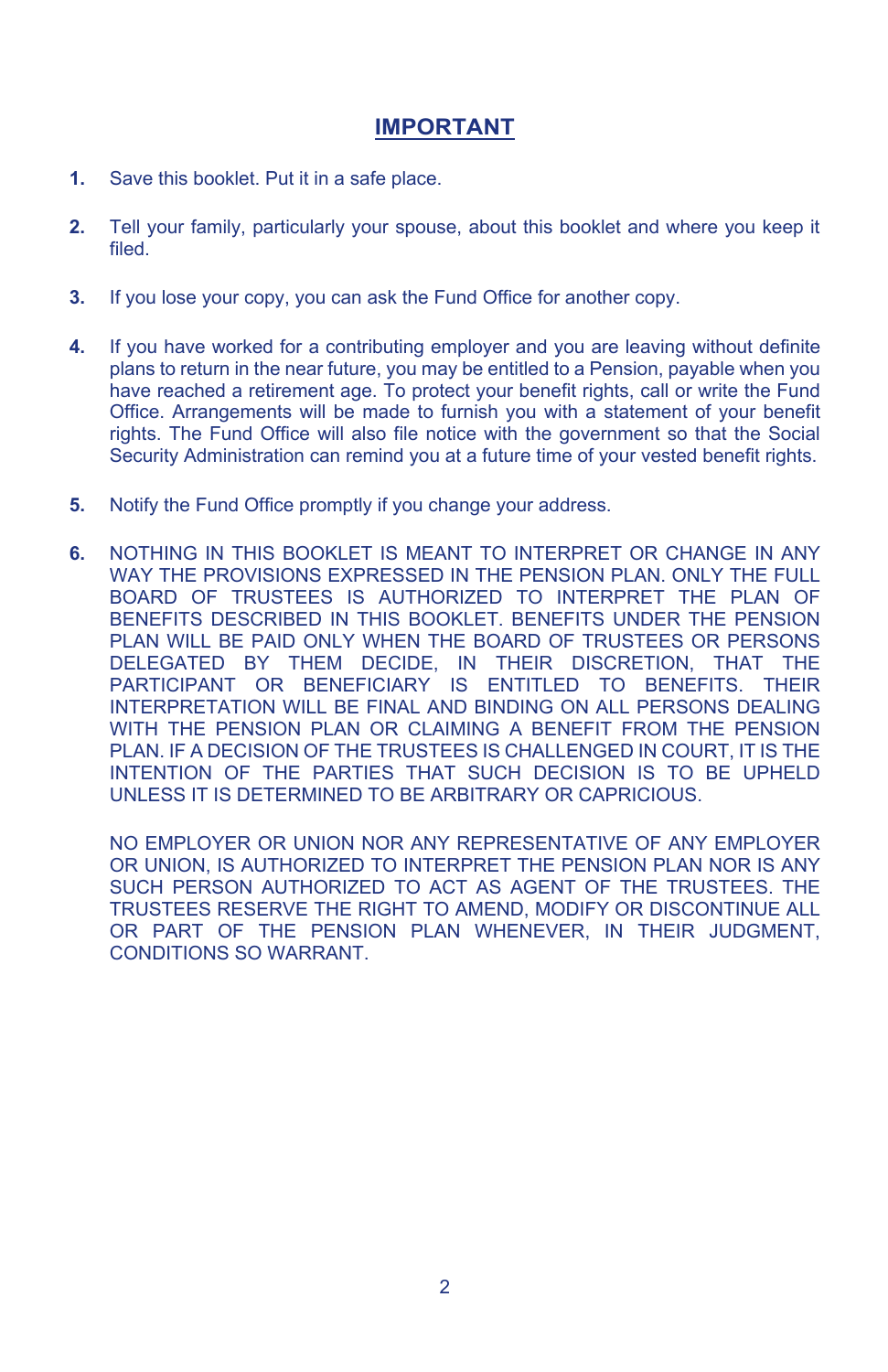# **IMPORTANT**

- **1.** Save this booklet. Put it in a safe place.
- **2.** Tell your family, particularly your spouse, about this booklet and where you keep it filed<sup>1</sup>
- **3.** If you lose your copy, you can ask the Fund Office for another copy.
- **4.** If you have worked for a contributing employer and you are leaving without definite plans to return in the near future, you may be entitled to a Pension, payable when you have reached a retirement age. To protect your benefit rights, call or write the Fund Office. Arrangements will be made to furnish you with a statement of your benefit rights. The Fund Office will also file notice with the government so that the Social Security Administration can remind you at a future time of your vested benefit rights.
- **5.** Notify the Fund Office promptly if you change your address.
- **6.** NOTHING IN THIS BOOKLET IS MEANT TO INTERPRET OR CHANGE IN ANY WAY THE PROVISIONS EXPRESSED IN THE PENSION PLAN. ONLY THE FULL BOARD OF TRUSTEES IS AUTHORIZED TO INTERPRET THE PLAN OF BENEFITS DESCRIBED IN THIS BOOKLET. BENEFITS UNDER THE PENSION PLAN WILL BE PAID ONLY WHEN THE BOARD OF TRUSTEES OR PERSONS DELEGATED BY THEM DECIDE, IN THEIR DISCRETION, THAT THE PARTICIPANT OR BENEFICIARY IS ENTITLED TO BENEFITS. THEIR INTERPRETATION WILL BE FINAL AND BINDING ON ALL PERSONS DEALING WITH THE PENSION PLAN OR CLAIMING A BENEFIT FROM THE PENSION PLAN. IF A DECISION OF THE TRUSTEES IS CHALLENGED IN COURT, IT IS THE INTENTION OF THE PARTIES THAT SUCH DECISION IS TO BE UPHELD UNLESS IT IS DETERMINED TO BE ARBITRARY OR CAPRICIOUS.

NO EMPLOYER OR UNION NOR ANY REPRESENTATIVE OF ANY EMPLOYER OR UNION, IS AUTHORIZED TO INTERPRET THE PENSION PLAN NOR IS ANY SUCH PERSON AUTHORIZED TO ACT AS AGENT OF THE TRUSTEES. THE TRUSTEES RESERVE THE RIGHT TO AMEND, MODIFY OR DISCONTINUE ALL OR PART OF THE PENSION PLAN WHENEVER, IN THEIR JUDGMENT, CONDITIONS SO WARRANT.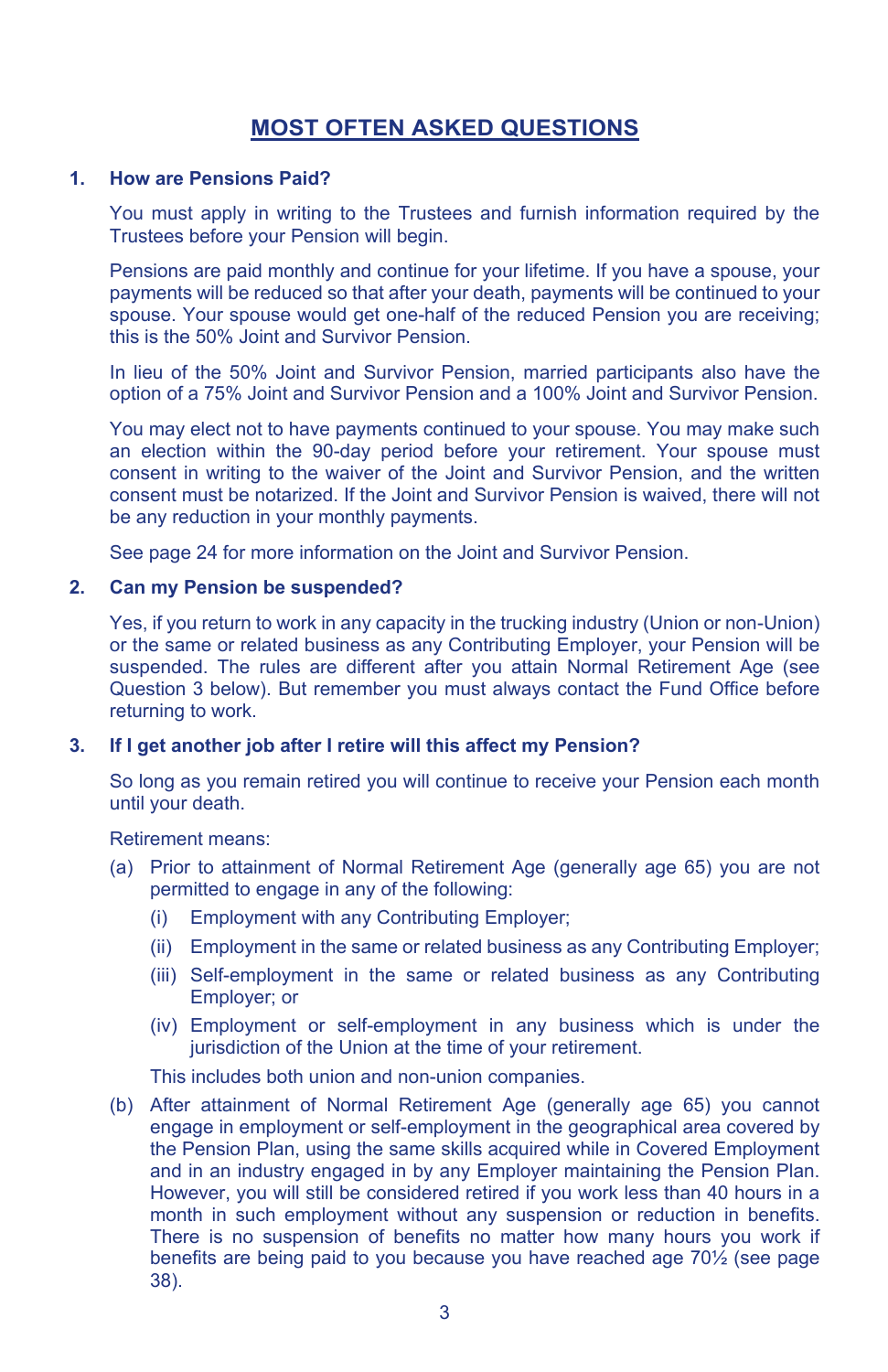# **MOST OFTEN ASKED QUESTIONS**

#### **1. How are Pensions Paid?**

You must apply in writing to the Trustees and furnish information required by the Trustees before your Pension will begin.

Pensions are paid monthly and continue for your lifetime. If you have a spouse, your payments will be reduced so that after your death, payments will be continued to your spouse. Your spouse would get one-half of the reduced Pension you are receiving; this is the 50% Joint and Survivor Pension.

In lieu of the 50% Joint and Survivor Pension, married participants also have the option of a 75% Joint and Survivor Pension and a 100% Joint and Survivor Pension.

You may elect not to have payments continued to your spouse. You may make such an election within the 90-day period before your retirement. Your spouse must consent in writing to the waiver of the Joint and Survivor Pension, and the written consent must be notarized. If the Joint and Survivor Pension is waived, there will not be any reduction in your monthly payments.

See page 24 for more information on the Joint and Survivor Pension.

#### **2. Can my Pension be suspended?**

Yes, if you return to work in any capacity in the trucking industry (Union or non-Union) or the same or related business as any Contributing Employer, your Pension will be suspended. The rules are different after you attain Normal Retirement Age (see Question 3 below). But remember you must always contact the Fund Office before returning to work.

#### **3. If I get another job after I retire will this affect my Pension?**

So long as you remain retired you will continue to receive your Pension each month until your death.

Retirement means:

- (a) Prior to attainment of Normal Retirement Age (generally age 65) you are not permitted to engage in any of the following:
	- (i) Employment with any Contributing Employer;
	- (ii) Employment in the same or related business as any Contributing Employer;
	- (iii) Self-employment in the same or related business as any Contributing Employer; or
	- (iv) Employment or self-employment in any business which is under the jurisdiction of the Union at the time of your retirement.

This includes both union and non-union companies.

(b) After attainment of Normal Retirement Age (generally age 65) you cannot engage in employment or self-employment in the geographical area covered by the Pension Plan, using the same skills acquired while in Covered Employment and in an industry engaged in by any Employer maintaining the Pension Plan. However, you will still be considered retired if you work less than 40 hours in a month in such employment without any suspension or reduction in benefits. There is no suspension of benefits no matter how many hours you work if benefits are being paid to you because you have reached age 70½ (see page 38).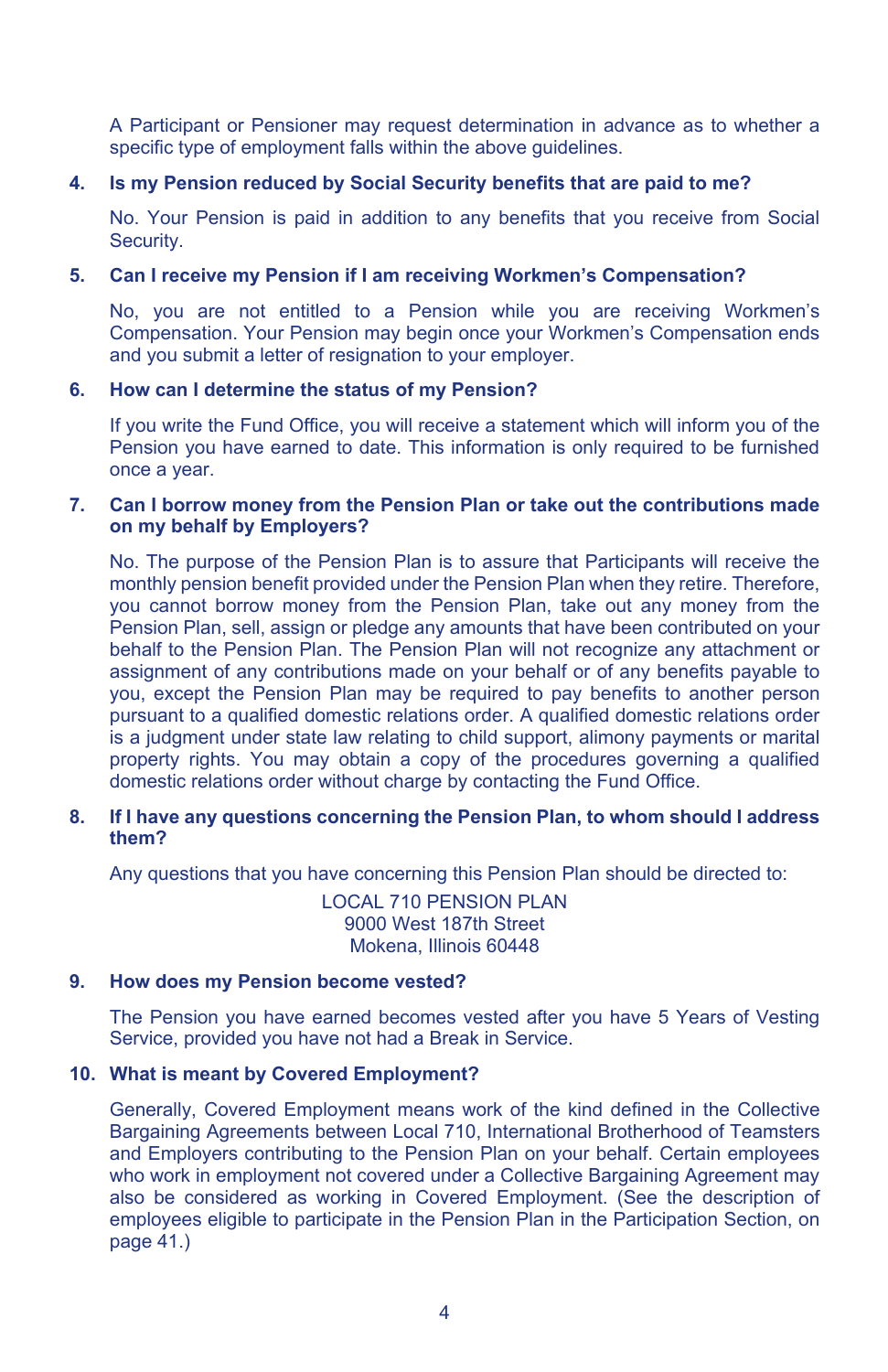A Participant or Pensioner may request determination in advance as to whether a specific type of employment falls within the above guidelines.

#### **4. Is my Pension reduced by Social Security benefits that are paid to me?**

No. Your Pension is paid in addition to any benefits that you receive from Social Security.

#### **5. Can I receive my Pension if I am receiving Workmen's Compensation?**

No, you are not entitled to a Pension while you are receiving Workmen's Compensation. Your Pension may begin once your Workmen's Compensation ends and you submit a letter of resignation to your employer.

#### **6. How can I determine the status of my Pension?**

If you write the Fund Office, you will receive a statement which will inform you of the Pension you have earned to date. This information is only required to be furnished once a year.

#### **7. Can I borrow money from the Pension Plan or take out the contributions made on my behalf by Employers?**

No. The purpose of the Pension Plan is to assure that Participants will receive the monthly pension benefit provided under the Pension Plan when they retire. Therefore, you cannot borrow money from the Pension Plan, take out any money from the Pension Plan, sell, assign or pledge any amounts that have been contributed on your behalf to the Pension Plan. The Pension Plan will not recognize any attachment or assignment of any contributions made on your behalf or of any benefits payable to you, except the Pension Plan may be required to pay benefits to another person pursuant to a qualified domestic relations order. A qualified domestic relations order is a judgment under state law relating to child support, alimony payments or marital property rights. You may obtain a copy of the procedures governing a qualified domestic relations order without charge by contacting the Fund Office.

#### **8. If I have any questions concerning the Pension Plan, to whom should I address them?**

Any questions that you have concerning this Pension Plan should be directed to:

LOCAL 710 PENSION PLAN 9000 West 187th Street Mokena, Illinois 60448

#### **9. How does my Pension become vested?**

The Pension you have earned becomes vested after you have 5 Years of Vesting Service, provided you have not had a Break in Service.

#### **10. What is meant by Covered Employment?**

Generally, Covered Employment means work of the kind defined in the Collective Bargaining Agreements between Local 710, International Brotherhood of Teamsters and Employers contributing to the Pension Plan on your behalf. Certain employees who work in employment not covered under a Collective Bargaining Agreement may also be considered as working in Covered Employment. (See the description of employees eligible to participate in the Pension Plan in the Participation Section, on page 41.)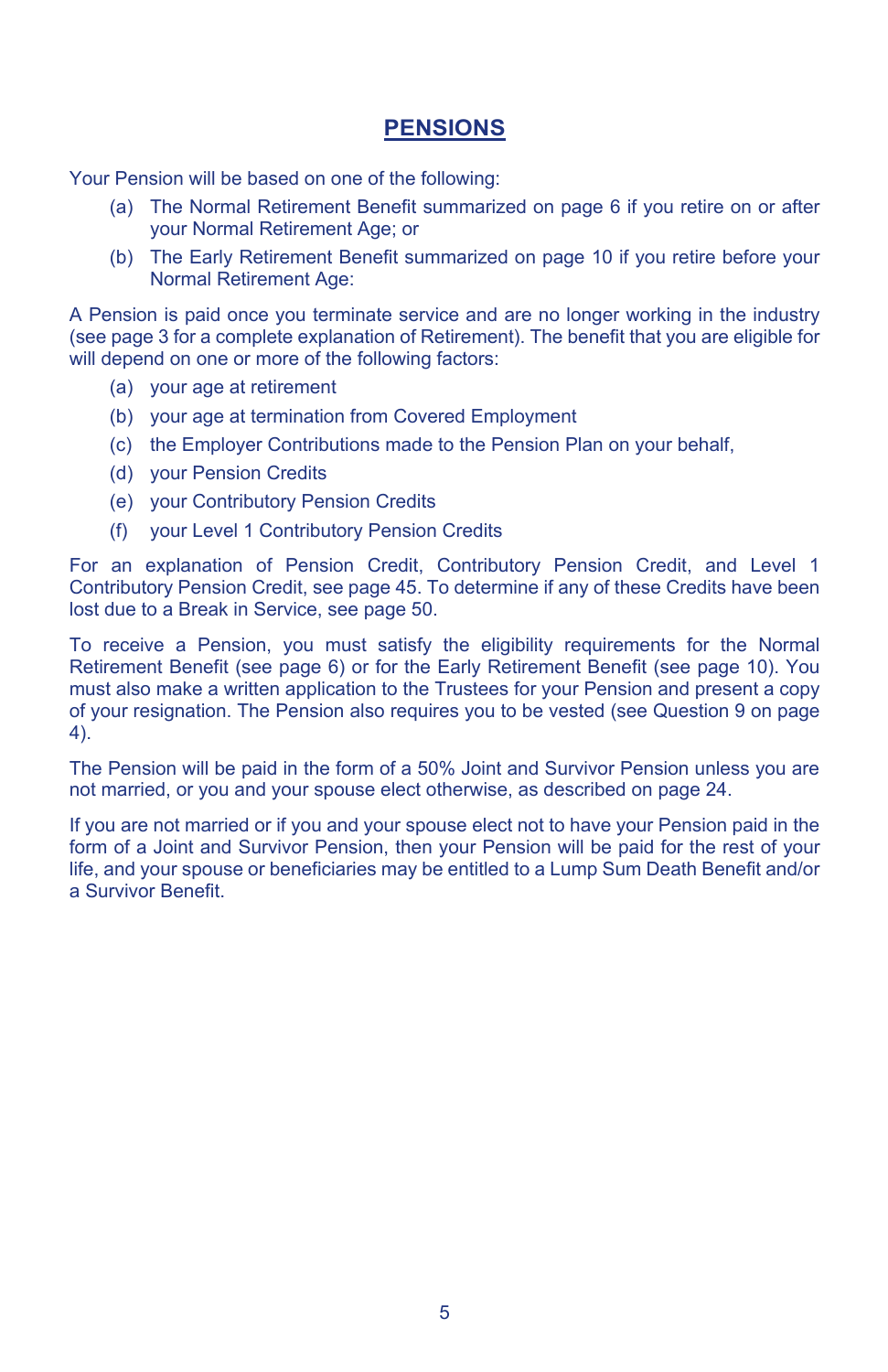# **PENSIONS**

Your Pension will be based on one of the following:

- (a) The Normal Retirement Benefit summarized on page 6 if you retire on or after your Normal Retirement Age; or
- (b) The Early Retirement Benefit summarized on page 10 if you retire before your Normal Retirement Age:

A Pension is paid once you terminate service and are no longer working in the industry (see page 3 for a complete explanation of Retirement). The benefit that you are eligible for will depend on one or more of the following factors:

- (a) your age at retirement
- (b) your age at termination from Covered Employment
- (c) the Employer Contributions made to the Pension Plan on your behalf,
- (d) your Pension Credits
- (e) your Contributory Pension Credits
- (f) your Level 1 Contributory Pension Credits

For an explanation of Pension Credit, Contributory Pension Credit, and Level 1 Contributory Pension Credit, see page 45. To determine if any of these Credits have been lost due to a Break in Service, see page 50.

To receive a Pension, you must satisfy the eligibility requirements for the Normal Retirement Benefit (see page 6) or for the Early Retirement Benefit (see page 10). You must also make a written application to the Trustees for your Pension and present a copy of your resignation. The Pension also requires you to be vested (see Question 9 on page 4).

The Pension will be paid in the form of a 50% Joint and Survivor Pension unless you are not married, or you and your spouse elect otherwise, as described on page 24.

If you are not married or if you and your spouse elect not to have your Pension paid in the form of a Joint and Survivor Pension, then your Pension will be paid for the rest of your life, and your spouse or beneficiaries may be entitled to a Lump Sum Death Benefit and/or a Survivor Benefit.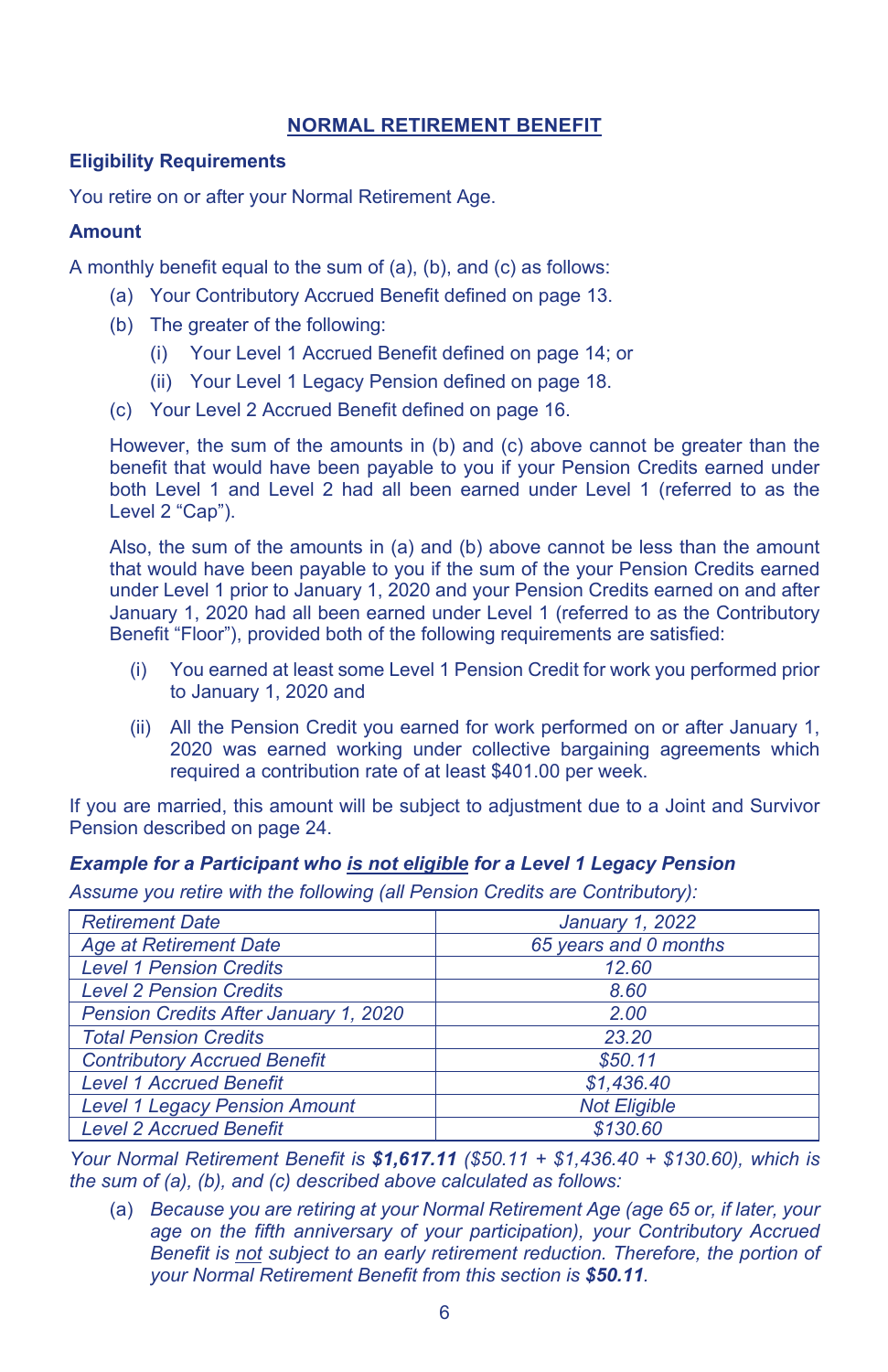#### **NORMAL RETIREMENT BENEFIT**

#### **Eligibility Requirements**

You retire on or after your Normal Retirement Age.

#### **Amount**

A monthly benefit equal to the sum of (a), (b), and (c) as follows:

- (a) Your Contributory Accrued Benefit defined on page 13.
- (b) The greater of the following:
	- (i) Your Level 1 Accrued Benefit defined on page 14; or
	- (ii) Your Level 1 Legacy Pension defined on page 18.
- (c) Your Level 2 Accrued Benefit defined on page 16.

However, the sum of the amounts in (b) and (c) above cannot be greater than the benefit that would have been payable to you if your Pension Credits earned under both Level 1 and Level 2 had all been earned under Level 1 (referred to as the Level 2 "Cap").

Also, the sum of the amounts in (a) and (b) above cannot be less than the amount that would have been payable to you if the sum of the your Pension Credits earned under Level 1 prior to January 1, 2020 and your Pension Credits earned on and after January 1, 2020 had all been earned under Level 1 (referred to as the Contributory Benefit "Floor"), provided both of the following requirements are satisfied:

- (i) You earned at least some Level 1 Pension Credit for work you performed prior to January 1, 2020 and
- (ii) All the Pension Credit you earned for work performed on or after January 1, 2020 was earned working under collective bargaining agreements which required a contribution rate of at least \$401.00 per week.

If you are married, this amount will be subject to adjustment due to a Joint and Survivor Pension described on page 24.

#### *Example for a Participant who is not eligible for a Level 1 Legacy Pension*

*Assume you retire with the following (all Pension Credits are Contributory):*

| <b>Retirement Date</b>                | January 1, 2022       |  |
|---------------------------------------|-----------------------|--|
| Age at Retirement Date                | 65 years and 0 months |  |
| <b>Level 1 Pension Credits</b>        | 12.60                 |  |
| <b>Level 2 Pension Credits</b>        | 8.60                  |  |
| Pension Credits After January 1, 2020 | 2.00                  |  |
| <b>Total Pension Credits</b>          | 23.20                 |  |
| <b>Contributory Accrued Benefit</b>   | \$50.11               |  |
| <b>Level 1 Accrued Benefit</b>        | \$1,436.40            |  |
| <b>Level 1 Legacy Pension Amount</b>  | <b>Not Eligible</b>   |  |
| <b>Level 2 Accrued Benefit</b>        | \$130.60              |  |

*Your Normal Retirement Benefit is \$1,617.11 (\$50.11 + \$1,436.40 + \$130.60), which is the sum of (a), (b), and (c) described above calculated as follows:*

(a) *Because you are retiring at your Normal Retirement Age (age 65 or, if later, your age on the fifth anniversary of your participation), your Contributory Accrued Benefit is not subject to an early retirement reduction. Therefore, the portion of your Normal Retirement Benefit from this section is \$50.11.*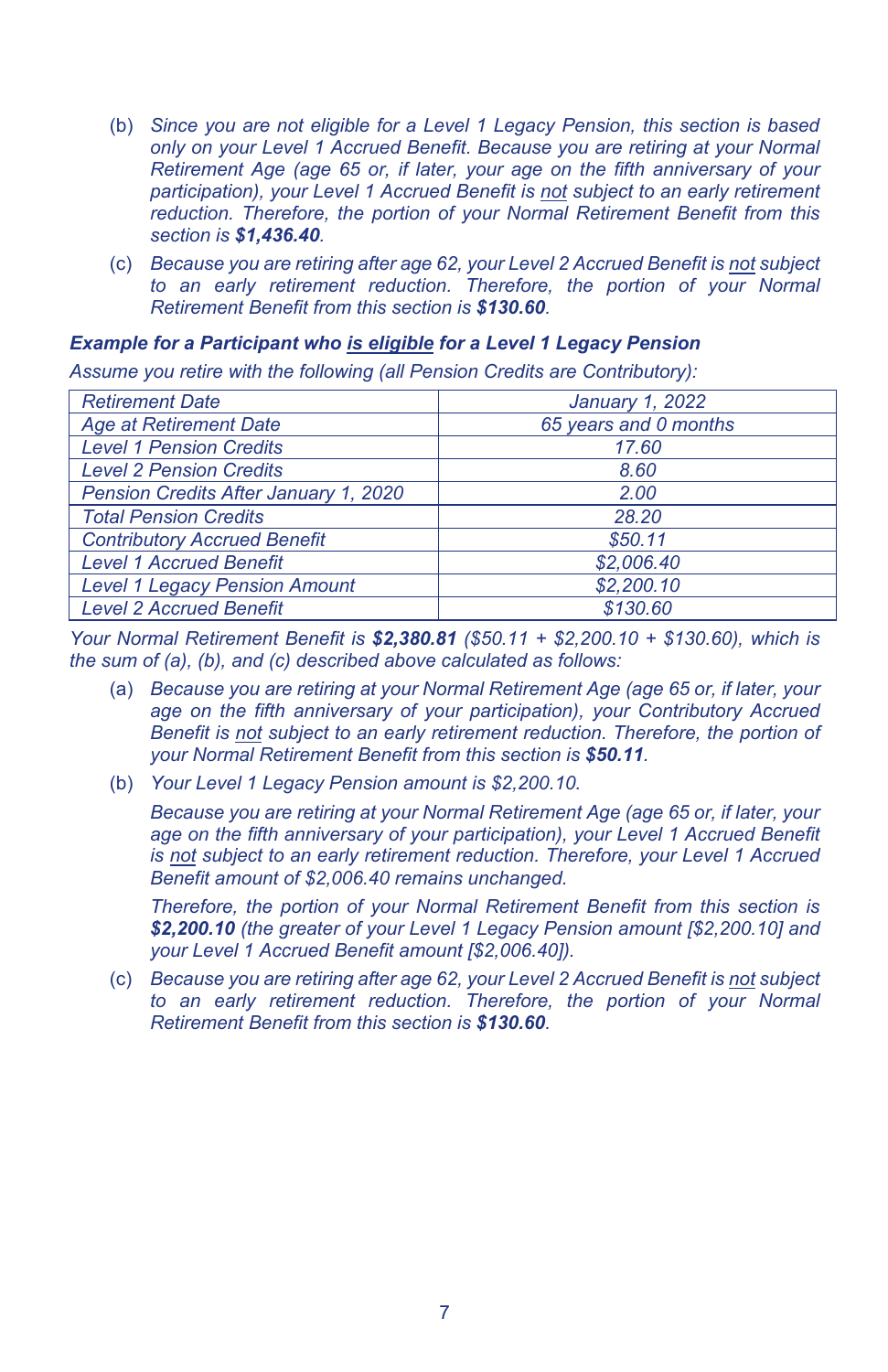- (b) *Since you are not eligible for a Level 1 Legacy Pension, this section is based only on your Level 1 Accrued Benefit. Because you are retiring at your Normal Retirement Age (age 65 or, if later, your age on the fifth anniversary of your participation), your Level 1 Accrued Benefit is not subject to an early retirement reduction. Therefore, the portion of your Normal Retirement Benefit from this section is \$1,436.40.*
- (c) *Because you are retiring after age 62, your Level 2 Accrued Benefit is not subject to an early retirement reduction. Therefore, the portion of your Normal Retirement Benefit from this section is \$130.60.*

#### *Example for a Participant who is eligible for a Level 1 Legacy Pension*

*Assume you retire with the following (all Pension Credits are Contributory):*

| <b>Retirement Date</b>                | January 1, 2022       |  |
|---------------------------------------|-----------------------|--|
| Age at Retirement Date                | 65 years and 0 months |  |
| <b>Level 1 Pension Credits</b>        | 17.60                 |  |
| <b>Level 2 Pension Credits</b>        | 8.60                  |  |
| Pension Credits After January 1, 2020 | 2.00                  |  |
| <b>Total Pension Credits</b>          | 28.20                 |  |
| <b>Contributory Accrued Benefit</b>   | \$50.11               |  |
| <b>Level 1 Accrued Benefit</b>        | \$2,006.40            |  |
| <b>Level 1 Legacy Pension Amount</b>  | \$2,200.10            |  |
| <b>Level 2 Accrued Benefit</b>        | \$130.60              |  |

*Your Normal Retirement Benefit is \$2,380.81 (\$50.11 + \$2,200.10 + \$130.60), which is the sum of (a), (b), and (c) described above calculated as follows:*

- (a) *Because you are retiring at your Normal Retirement Age (age 65 or, if later, your age on the fifth anniversary of your participation), your Contributory Accrued Benefit is not subject to an early retirement reduction. Therefore, the portion of your Normal Retirement Benefit from this section is \$50.11.*
- (b) *Your Level 1 Legacy Pension amount is \$2,200.10.*

*Because you are retiring at your Normal Retirement Age (age 65 or, if later, your age on the fifth anniversary of your participation), your Level 1 Accrued Benefit is not subject to an early retirement reduction. Therefore, your Level 1 Accrued Benefit amount of \$2,006.40 remains unchanged.*

*Therefore, the portion of your Normal Retirement Benefit from this section is \$2,200.10 (the greater of your Level 1 Legacy Pension amount [\$2,200.10] and your Level 1 Accrued Benefit amount [\$2,006.40]).*

(c) *Because you are retiring after age 62, your Level 2 Accrued Benefit is not subject to an early retirement reduction. Therefore, the portion of your Normal Retirement Benefit from this section is \$130.60.*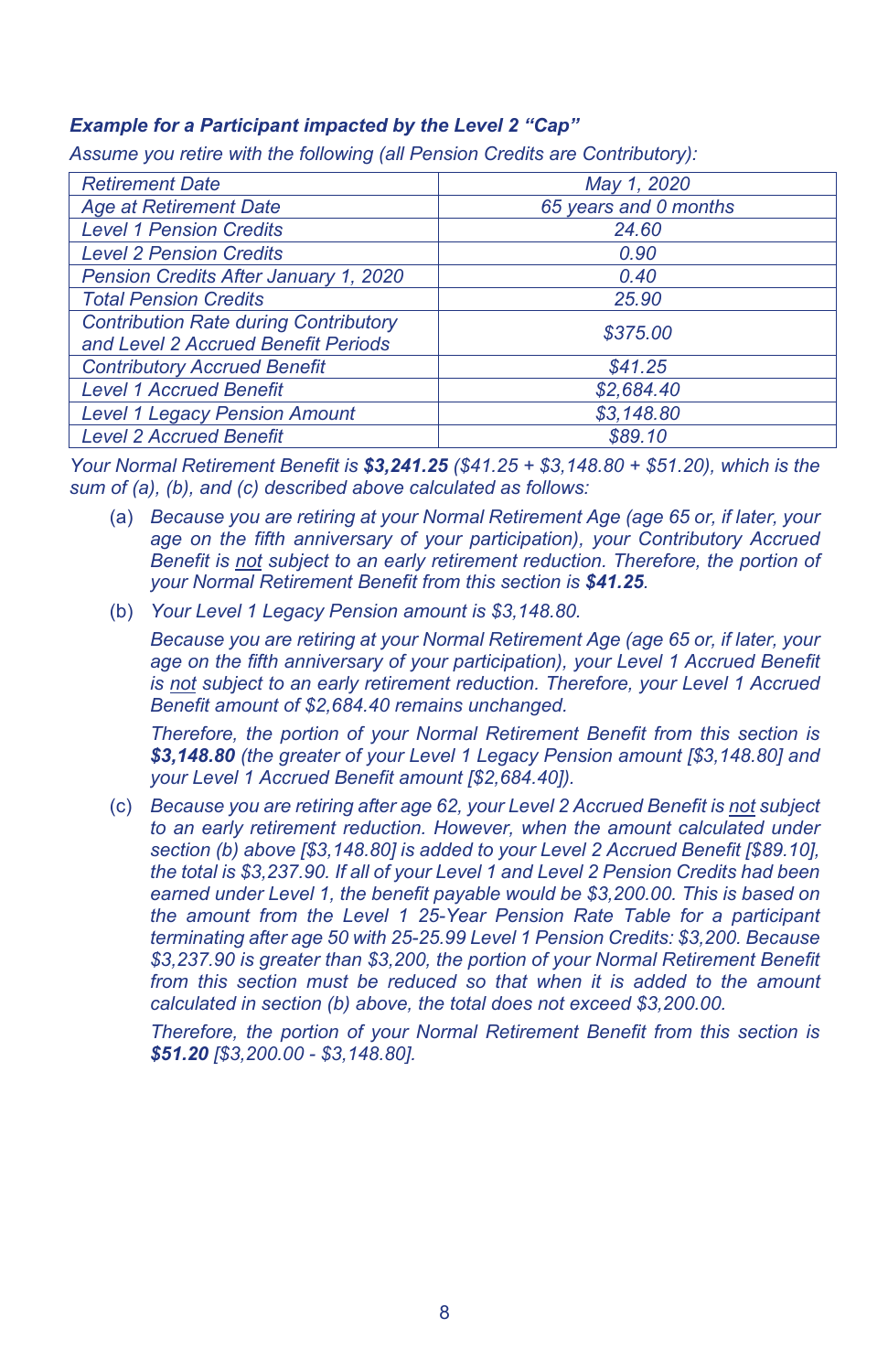#### *Example for a Participant impacted by the Level 2 "Cap"*

*Assume you retire with the following (all Pension Credits are Contributory):*

| <b>Retirement Date</b>                                                              | May 1, 2020           |
|-------------------------------------------------------------------------------------|-----------------------|
| <b>Age at Retirement Date</b>                                                       | 65 years and 0 months |
| <b>Level 1 Pension Credits</b>                                                      | 24.60                 |
| <b>Level 2 Pension Credits</b>                                                      | 0.90                  |
| Pension Credits After January 1, 2020                                               | 0.40                  |
| <b>Total Pension Credits</b>                                                        | 25.90                 |
| <b>Contribution Rate during Contributory</b><br>and Level 2 Accrued Benefit Periods | \$375.00              |
| <b>Contributory Accrued Benefit</b>                                                 | \$41.25               |
| <b>Level 1 Accrued Benefit</b>                                                      | \$2,684.40            |
| <b>Level 1 Legacy Pension Amount</b>                                                | \$3,148.80            |
| <b>Level 2 Accrued Benefit</b>                                                      | \$89.10               |

*Your Normal Retirement Benefit is \$3,241.25 (\$41.25 + \$3,148.80 + \$51.20), which is the sum of (a), (b), and (c) described above calculated as follows:*

- (a) *Because you are retiring at your Normal Retirement Age (age 65 or, if later, your age on the fifth anniversary of your participation), your Contributory Accrued Benefit is not subject to an early retirement reduction. Therefore, the portion of your Normal Retirement Benefit from this section is \$41.25.*
- (b) *Your Level 1 Legacy Pension amount is \$3,148.80.*

*Because you are retiring at your Normal Retirement Age (age 65 or, if later, your age on the fifth anniversary of your participation), your Level 1 Accrued Benefit is not subject to an early retirement reduction. Therefore, your Level 1 Accrued Benefit amount of \$2,684.40 remains unchanged.*

*Therefore, the portion of your Normal Retirement Benefit from this section is \$3,148.80 (the greater of your Level 1 Legacy Pension amount [\$3,148.80] and your Level 1 Accrued Benefit amount [\$2,684.40]).*

(c) *Because you are retiring after age 62, your Level 2 Accrued Benefit is not subject to an early retirement reduction. However, when the amount calculated under section (b) above [\$3,148.80] is added to your Level 2 Accrued Benefit [\$89.10], the total is \$3,237.90. If all of your Level 1 and Level 2 Pension Credits had been earned under Level 1, the benefit payable would be \$3,200.00. This is based on the amount from the Level 1 25-Year Pension Rate Table for a participant terminating after age 50 with 25-25.99 Level 1 Pension Credits: \$3,200. Because \$3,237.90 is greater than \$3,200, the portion of your Normal Retirement Benefit*  from this section must be reduced so that when it is added to the amount *calculated in section (b) above, the total does not exceed \$3,200.00.*

*Therefore, the portion of your Normal Retirement Benefit from this section is \$51.20 [\$3,200.00 - \$3,148.80].*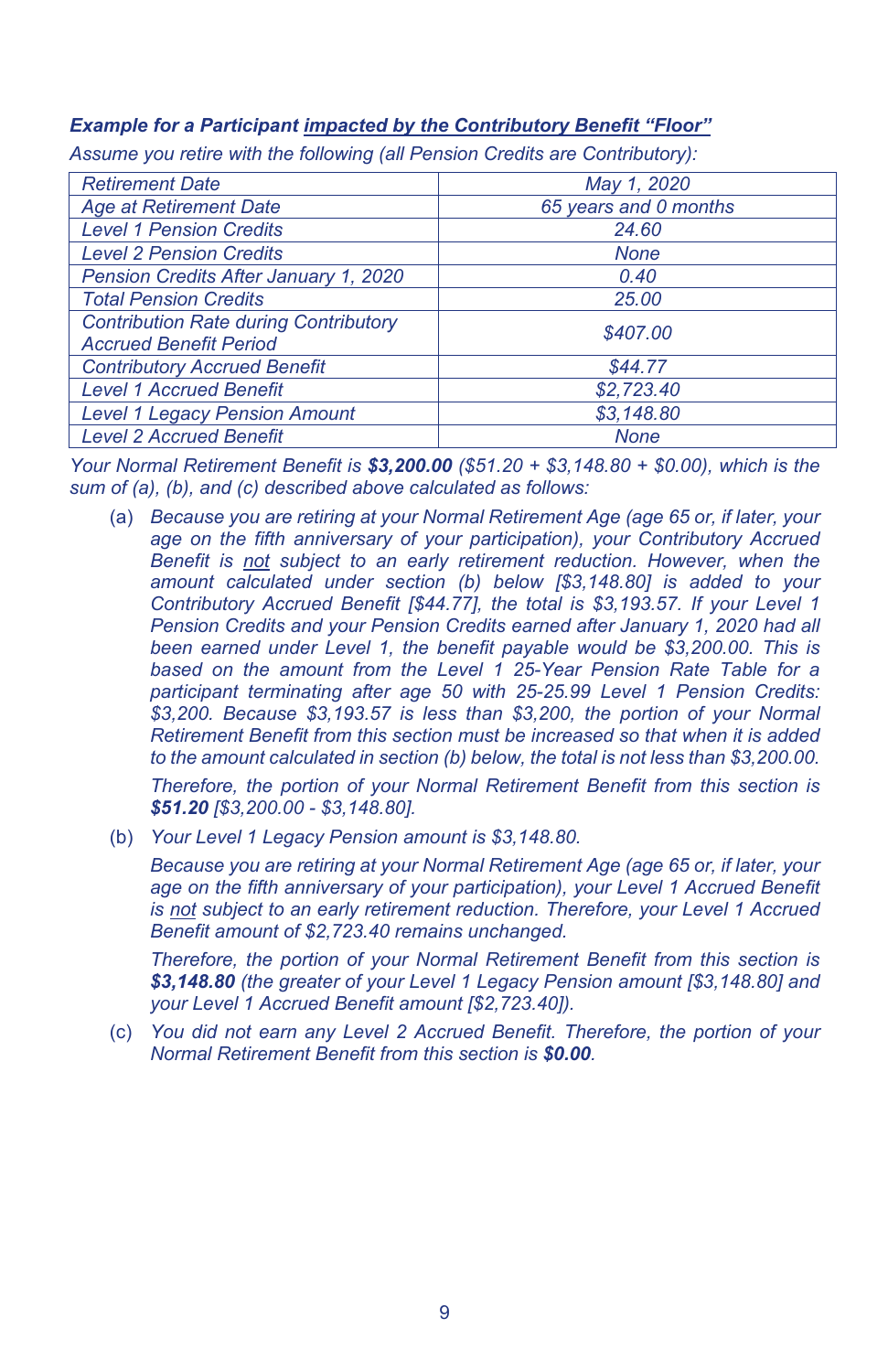#### *Example for a Participant impacted by the Contributory Benefit "Floor"*

| <b>Retirement Date</b>                                                        | May 1, 2020           |
|-------------------------------------------------------------------------------|-----------------------|
| Age at Retirement Date                                                        | 65 years and 0 months |
| <b>Level 1 Pension Credits</b>                                                | 24.60                 |
| <b>Level 2 Pension Credits</b>                                                | <b>None</b>           |
| Pension Credits After January 1, 2020                                         | 0.40                  |
| <b>Total Pension Credits</b>                                                  | 25.00                 |
| <b>Contribution Rate during Contributory</b><br><b>Accrued Benefit Period</b> | \$407.00              |
| <b>Contributory Accrued Benefit</b>                                           | \$44.77               |
| <b>Level 1 Accrued Benefit</b>                                                | \$2,723.40            |
| <b>Level 1 Legacy Pension Amount</b>                                          | \$3.148.80            |
| <b>Level 2 Accrued Benefit</b>                                                | <b>None</b>           |

*Assume you retire with the following (all Pension Credits are Contributory):*

*Your Normal Retirement Benefit is \$3,200.00 (\$51.20 + \$3,148.80 + \$0.00), which is the sum of (a), (b), and (c) described above calculated as follows:*

(a) *Because you are retiring at your Normal Retirement Age (age 65 or, if later, your age on the fifth anniversary of your participation), your Contributory Accrued Benefit is not subject to an early retirement reduction. However, when the amount calculated under section (b) below [\$3,148.80] is added to your Contributory Accrued Benefit [\$44.77], the total is \$3,193.57. If your Level 1 Pension Credits and your Pension Credits earned after January 1, 2020 had all been earned under Level 1, the benefit payable would be \$3,200.00. This is based on the amount from the Level 1 25-Year Pension Rate Table for a participant terminating after age 50 with 25-25.99 Level 1 Pension Credits: \$3,200. Because \$3,193.57 is less than \$3,200, the portion of your Normal Retirement Benefit from this section must be increased so that when it is added to the amount calculated in section (b) below, the total is not less than \$3,200.00.*

*Therefore, the portion of your Normal Retirement Benefit from this section is \$51.20 [\$3,200.00 - \$3,148.80].*

(b) *Your Level 1 Legacy Pension amount is \$3,148.80.* 

*Because you are retiring at your Normal Retirement Age (age 65 or, if later, your age on the fifth anniversary of your participation), your Level 1 Accrued Benefit is not subject to an early retirement reduction. Therefore, your Level 1 Accrued Benefit amount of \$2,723.40 remains unchanged.*

*Therefore, the portion of your Normal Retirement Benefit from this section is \$3,148.80 (the greater of your Level 1 Legacy Pension amount [\$3,148.80] and your Level 1 Accrued Benefit amount [\$2,723.40]).*

(c) *You did not earn any Level 2 Accrued Benefit. Therefore, the portion of your Normal Retirement Benefit from this section is \$0.00.*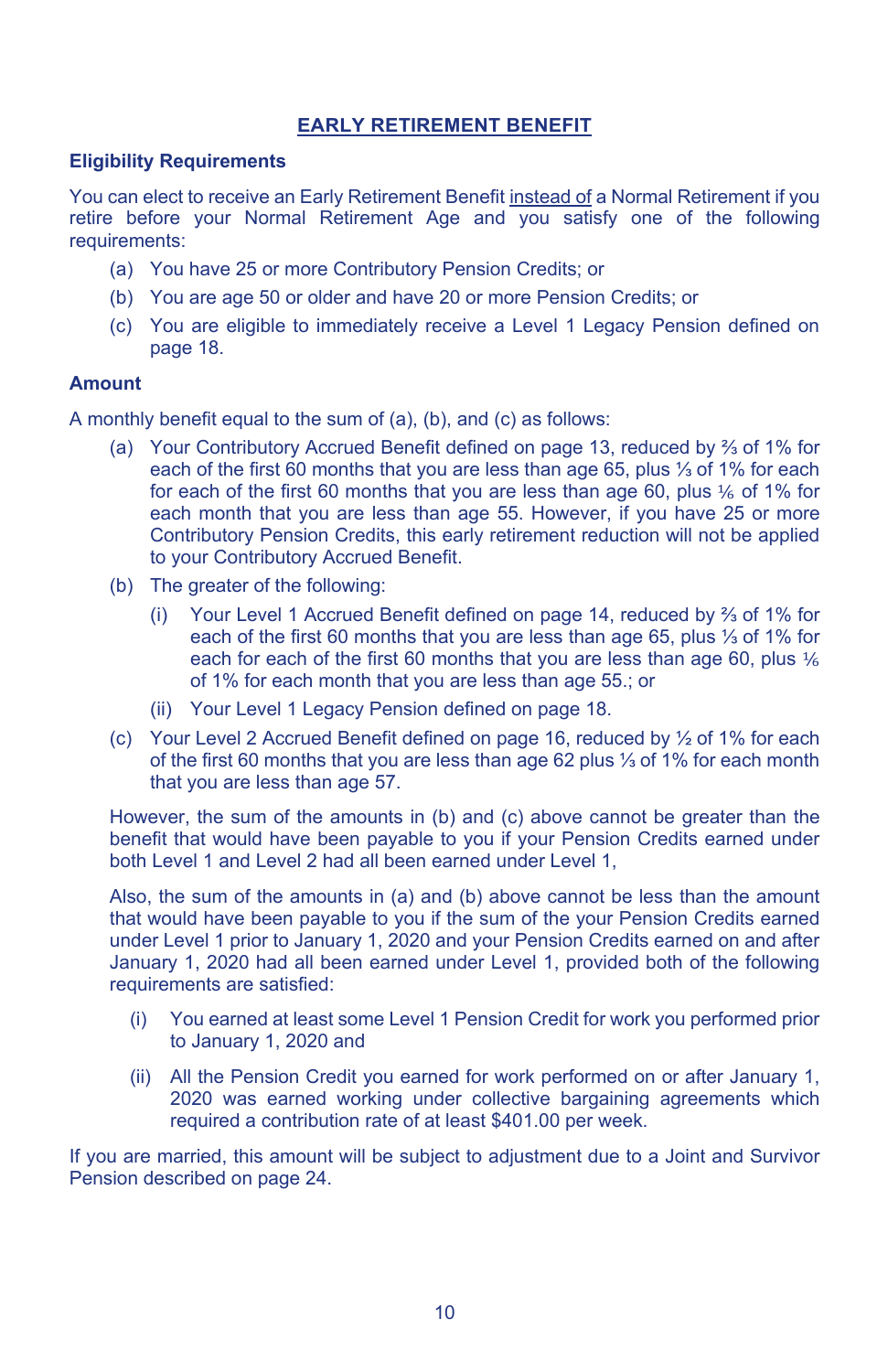#### **EARLY RETIREMENT BENEFIT**

#### **Eligibility Requirements**

You can elect to receive an Early Retirement Benefit instead of a Normal Retirement if you retire before your Normal Retirement Age and you satisfy one of the following requirements:

- (a) You have 25 or more Contributory Pension Credits; or
- (b) You are age 50 or older and have 20 or more Pension Credits; or
- (c) You are eligible to immediately receive a Level 1 Legacy Pension defined on page 18.

#### **Amount**

A monthly benefit equal to the sum of (a), (b), and (c) as follows:

- (a) Your Contributory Accrued Benefit defined on page 13, reduced by ⅔ of 1% for each of the first 60 months that you are less than age 65, plus ⅓ of 1% for each for each of the first 60 months that you are less than age 60, plus  $\frac{1}{6}$  of 1% for each month that you are less than age 55. However, if you have 25 or more Contributory Pension Credits, this early retirement reduction will not be applied to your Contributory Accrued Benefit.
- (b) The greater of the following:
	- (i) Your Level 1 Accrued Benefit defined on page 14, reduced by ⅔ of 1% for each of the first 60 months that you are less than age 65, plus ⅓ of 1% for each for each of the first 60 months that you are less than age 60, plus  $\frac{1}{6}$ of 1% for each month that you are less than age 55.; or
	- (ii) Your Level 1 Legacy Pension defined on page 18.
- (c) Your Level 2 Accrued Benefit defined on page 16, reduced by ½ of 1% for each of the first 60 months that you are less than age 62 plus ⅓ of 1% for each month that you are less than age 57.

However, the sum of the amounts in (b) and (c) above cannot be greater than the benefit that would have been payable to you if your Pension Credits earned under both Level 1 and Level 2 had all been earned under Level 1,

Also, the sum of the amounts in (a) and (b) above cannot be less than the amount that would have been payable to you if the sum of the your Pension Credits earned under Level 1 prior to January 1, 2020 and your Pension Credits earned on and after January 1, 2020 had all been earned under Level 1, provided both of the following requirements are satisfied:

- (i) You earned at least some Level 1 Pension Credit for work you performed prior to January 1, 2020 and
- (ii) All the Pension Credit you earned for work performed on or after January 1, 2020 was earned working under collective bargaining agreements which required a contribution rate of at least \$401.00 per week.

If you are married, this amount will be subject to adjustment due to a Joint and Survivor Pension described on page 24.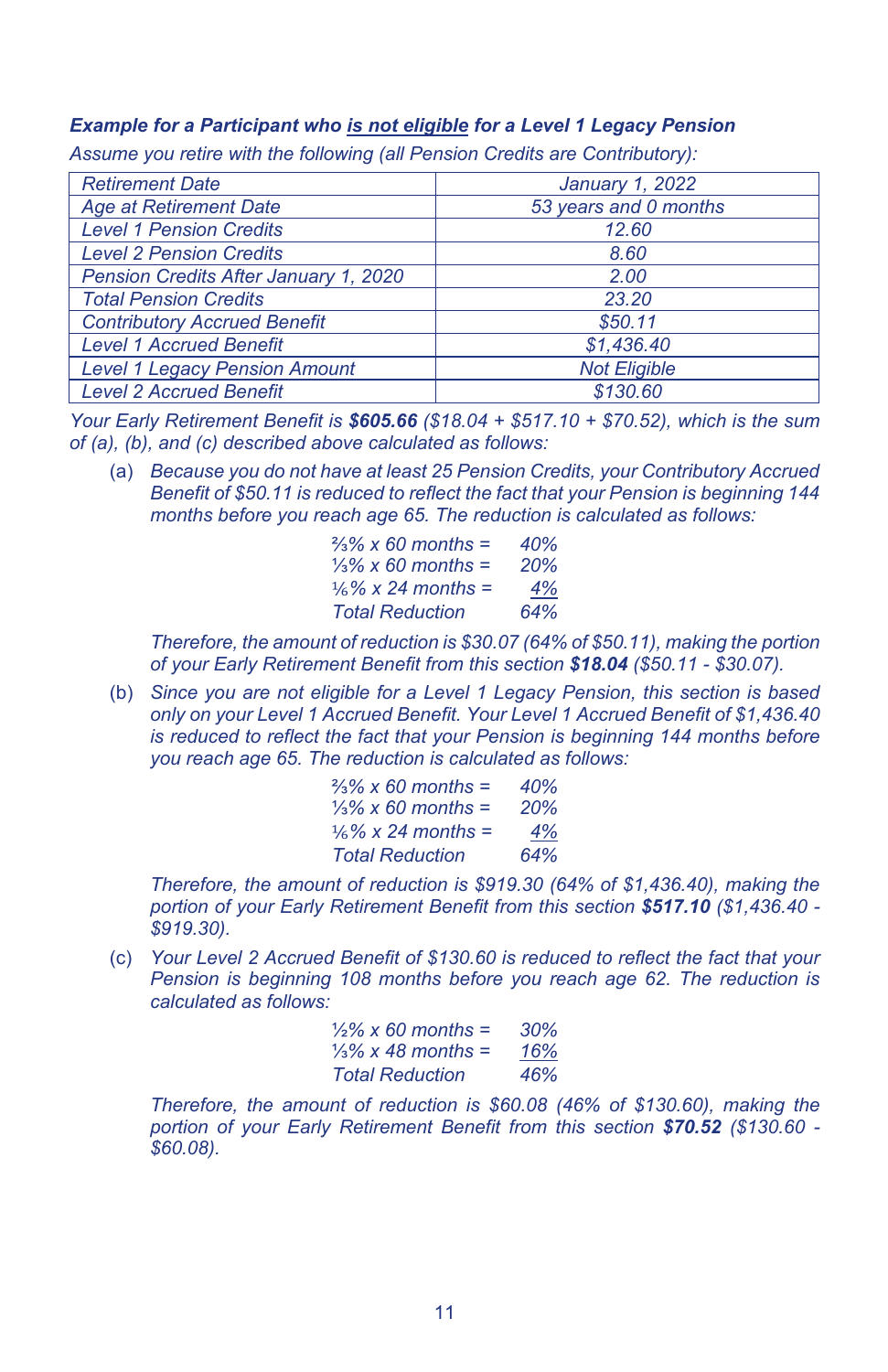#### *Example for a Participant who is not eligible for a Level 1 Legacy Pension*

| <b>Retirement Date</b>                | January 1, 2022       |  |  |
|---------------------------------------|-----------------------|--|--|
| Age at Retirement Date                | 53 years and 0 months |  |  |
| <b>Level 1 Pension Credits</b>        | 12.60                 |  |  |
| <b>Level 2 Pension Credits</b>        | 8.60                  |  |  |
| Pension Credits After January 1, 2020 | 2.00                  |  |  |
| <b>Total Pension Credits</b>          | 23.20                 |  |  |
| <b>Contributory Accrued Benefit</b>   | \$50.11               |  |  |
| <b>Level 1 Accrued Benefit</b>        | \$1,436.40            |  |  |
| <b>Level 1 Legacy Pension Amount</b>  | <b>Not Eligible</b>   |  |  |
| <b>Level 2 Accrued Benefit</b>        | \$130.60              |  |  |

*Assume you retire with the following (all Pension Credits are Contributory):*

*Your Early Retirement Benefit is \$605.66 (\$18.04 + \$517.10 + \$70.52), which is the sum of (a), (b), and (c) described above calculated as follows:*

(a) *Because you do not have at least 25 Pension Credits, your Contributory Accrued Benefit of \$50.11 is reduced to reflect the fact that your Pension is beginning 144 months before you reach age 65. The reduction is calculated as follows:*

| $\frac{2}{3}\% \times 60$ months = | 40%        |
|------------------------------------|------------|
| $\frac{1}{3}\% \times 60$ months = | <b>20%</b> |
| $\frac{1}{6}\%$ x 24 months =      | 4%         |
| <b>Total Reduction</b>             | 64%        |

*Therefore, the amount of reduction is \$30.07 (64% of \$50.11), making the portion of your Early Retirement Benefit from this section \$18.04 (\$50.11 - \$30.07).*

(b) *Since you are not eligible for a Level 1 Legacy Pension, this section is based only on your Level 1 Accrued Benefit. Your Level 1 Accrued Benefit of \$1,436.40 is reduced to reflect the fact that your Pension is beginning 144 months before you reach age 65. The reduction is calculated as follows:*

| $\frac{2}{3}\% \times 60$ months = | 40%        |
|------------------------------------|------------|
| $\frac{1}{3}\% \times 60$ months = | <b>20%</b> |
| $\frac{1}{6}\%$ x 24 months =      | 4%         |
| <b>Total Reduction</b>             | 64%        |

*Therefore, the amount of reduction is \$919.30 (64% of \$1,436.40), making the portion of your Early Retirement Benefit from this section \$517.10 (\$1,436.40 - \$919.30).*

(c) *Your Level 2 Accrued Benefit of \$130.60 is reduced to reflect the fact that your Pension is beginning 108 months before you reach age 62. The reduction is calculated as follows:*

| 1⁄2% x 60 months =            | 30% |
|-------------------------------|-----|
| $\frac{1}{3}\%$ x 48 months = | 16% |
| <b>Total Reduction</b>        | 46% |

*Therefore, the amount of reduction is \$60.08 (46% of \$130.60), making the portion of your Early Retirement Benefit from this section \$70.52 (\$130.60 - \$60.08).*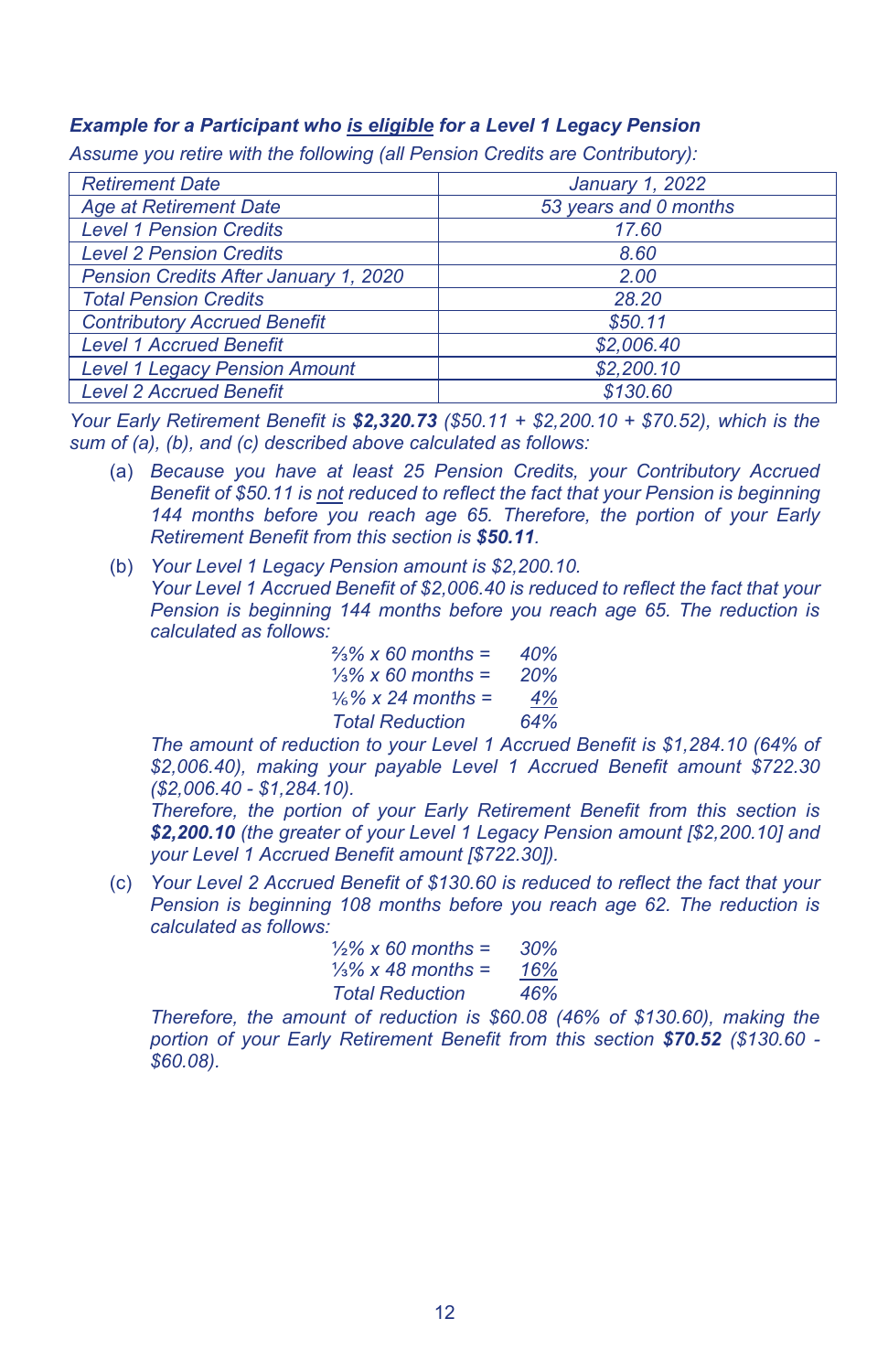#### *Example for a Participant who is eligible for a Level 1 Legacy Pension*

*Assume you retire with the following (all Pension Credits are Contributory):*

| <b>Retirement Date</b>                | January 1, 2022       |
|---------------------------------------|-----------------------|
| Age at Retirement Date                | 53 years and 0 months |
| <b>Level 1 Pension Credits</b>        | 17.60                 |
| <b>Level 2 Pension Credits</b>        | 8.60                  |
| Pension Credits After January 1, 2020 | 2.00                  |
| <b>Total Pension Credits</b>          | 28.20                 |
| <b>Contributory Accrued Benefit</b>   | \$50.11               |
| <b>Level 1 Accrued Benefit</b>        | \$2,006.40            |
| <b>Level 1 Legacy Pension Amount</b>  | \$2,200,10            |
| <b>Level 2 Accrued Benefit</b>        | \$130.60              |

*Your Early Retirement Benefit is \$2,320.73 (\$50.11 + \$2,200.10 + \$70.52), which is the sum of (a), (b), and (c) described above calculated as follows:*

- (a) *Because you have at least 25 Pension Credits, your Contributory Accrued Benefit of \$50.11 is not reduced to reflect the fact that your Pension is beginning 144 months before you reach age 65. Therefore, the portion of your Early Retirement Benefit from this section is \$50.11.*
- (b) *Your Level 1 Legacy Pension amount is \$2,200.10. Your Level 1 Accrued Benefit of \$2,006.40 is reduced to reflect the fact that your Pension is beginning 144 months before you reach age 65. The reduction is calculated as follows:*

| $\frac{2}{3}\% \times 60$ months = | 40%        |
|------------------------------------|------------|
| $\frac{1}{3}\% \times 60$ months = | <b>20%</b> |
| $\frac{1}{6}\%$ x 24 months =      | 4%         |
| <b>Total Reduction</b>             | 64%        |

*The amount of reduction to your Level 1 Accrued Benefit is \$1,284.10 (64% of \$2,006.40), making your payable Level 1 Accrued Benefit amount \$722.30 (\$2,006.40 - \$1,284.10).*

*Therefore, the portion of your Early Retirement Benefit from this section is \$2,200.10 (the greater of your Level 1 Legacy Pension amount [\$2,200.10] and your Level 1 Accrued Benefit amount [\$722.30]).*

(c) *Your Level 2 Accrued Benefit of \$130.60 is reduced to reflect the fact that your Pension is beginning 108 months before you reach age 62. The reduction is calculated as follows:*

½*% x 60 months = 30%* ⅓*% x 48 months = 16% Total Reduction 46%*

*Therefore, the amount of reduction is \$60.08 (46% of \$130.60), making the portion of your Early Retirement Benefit from this section \$70.52 (\$130.60 - \$60.08).*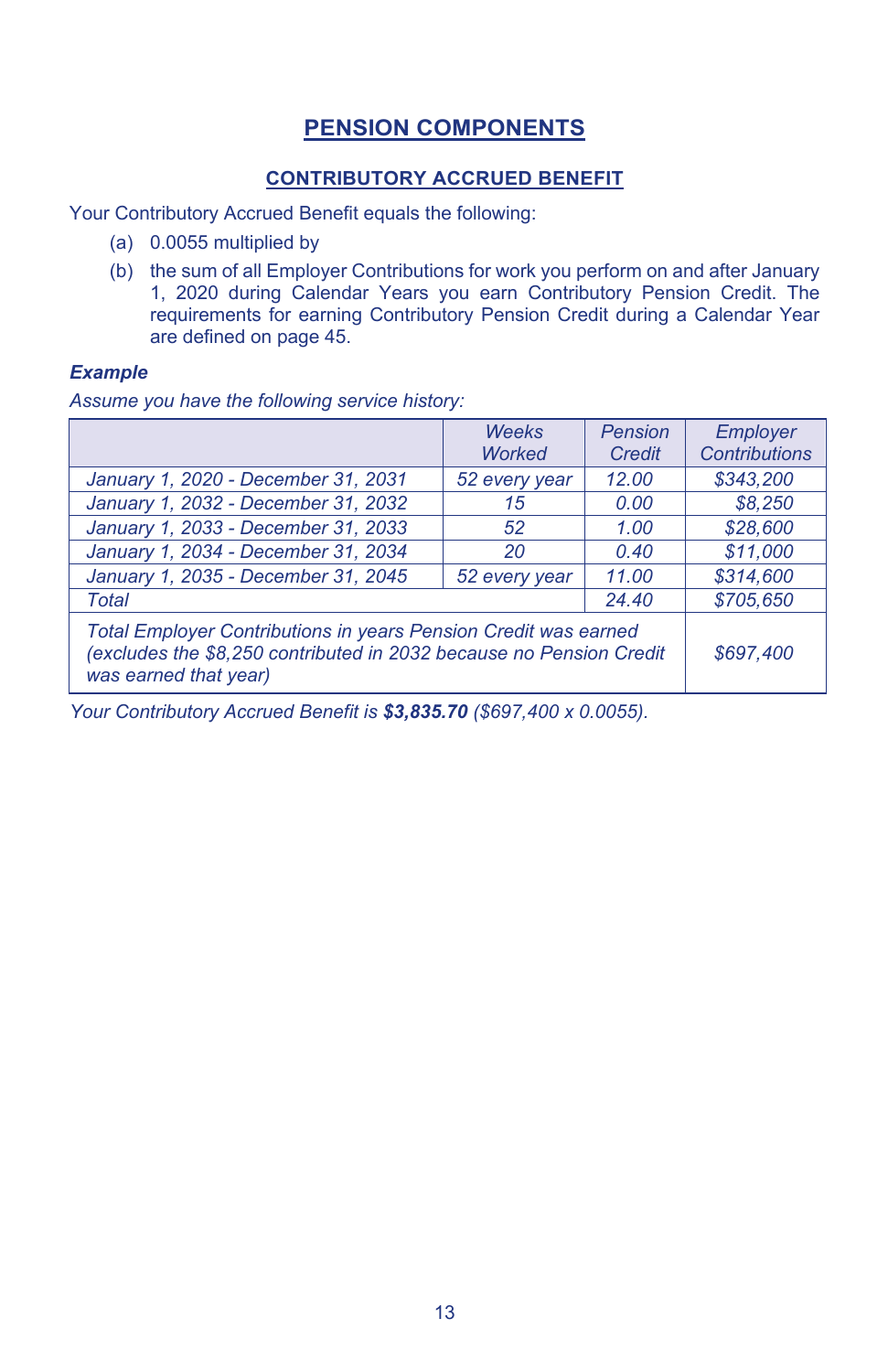# **PENSION COMPONENTS**

## **CONTRIBUTORY ACCRUED BENEFIT**

Your Contributory Accrued Benefit equals the following:

- (a) 0.0055 multiplied by
- (b) the sum of all Employer Contributions for work you perform on and after January 1, 2020 during Calendar Years you earn Contributory Pension Credit. The requirements for earning Contributory Pension Credit during a Calendar Year are defined on page 45.

#### *Example*

*Assume you have the following service history:*

|                                                                                                                                                                        | <b>Weeks</b><br><b>Worked</b> | Pension<br>Credit | Employer<br><b>Contributions</b> |
|------------------------------------------------------------------------------------------------------------------------------------------------------------------------|-------------------------------|-------------------|----------------------------------|
| January 1, 2020 - December 31, 2031                                                                                                                                    | 52 every year                 | 12.00             | \$343,200                        |
| January 1, 2032 - December 31, 2032                                                                                                                                    | 15                            | 0.00              | \$8,250                          |
| January 1, 2033 - December 31, 2033                                                                                                                                    | 52                            | 1.00              | \$28,600                         |
| January 1, 2034 - December 31, 2034                                                                                                                                    | 20                            | 0.40              | \$11,000                         |
| January 1, 2035 - December 31, 2045                                                                                                                                    | 52 every year                 | 11.00             | \$314,600                        |
| <b>Total</b>                                                                                                                                                           |                               | 24.40             | \$705,650                        |
| <b>Total Employer Contributions in years Pension Credit was earned</b><br>(excludes the \$8,250 contributed in 2032 because no Pension Credit<br>was earned that year) |                               |                   | \$697.400                        |

*Your Contributory Accrued Benefit is \$3,835.70 (\$697,400 x 0.0055).*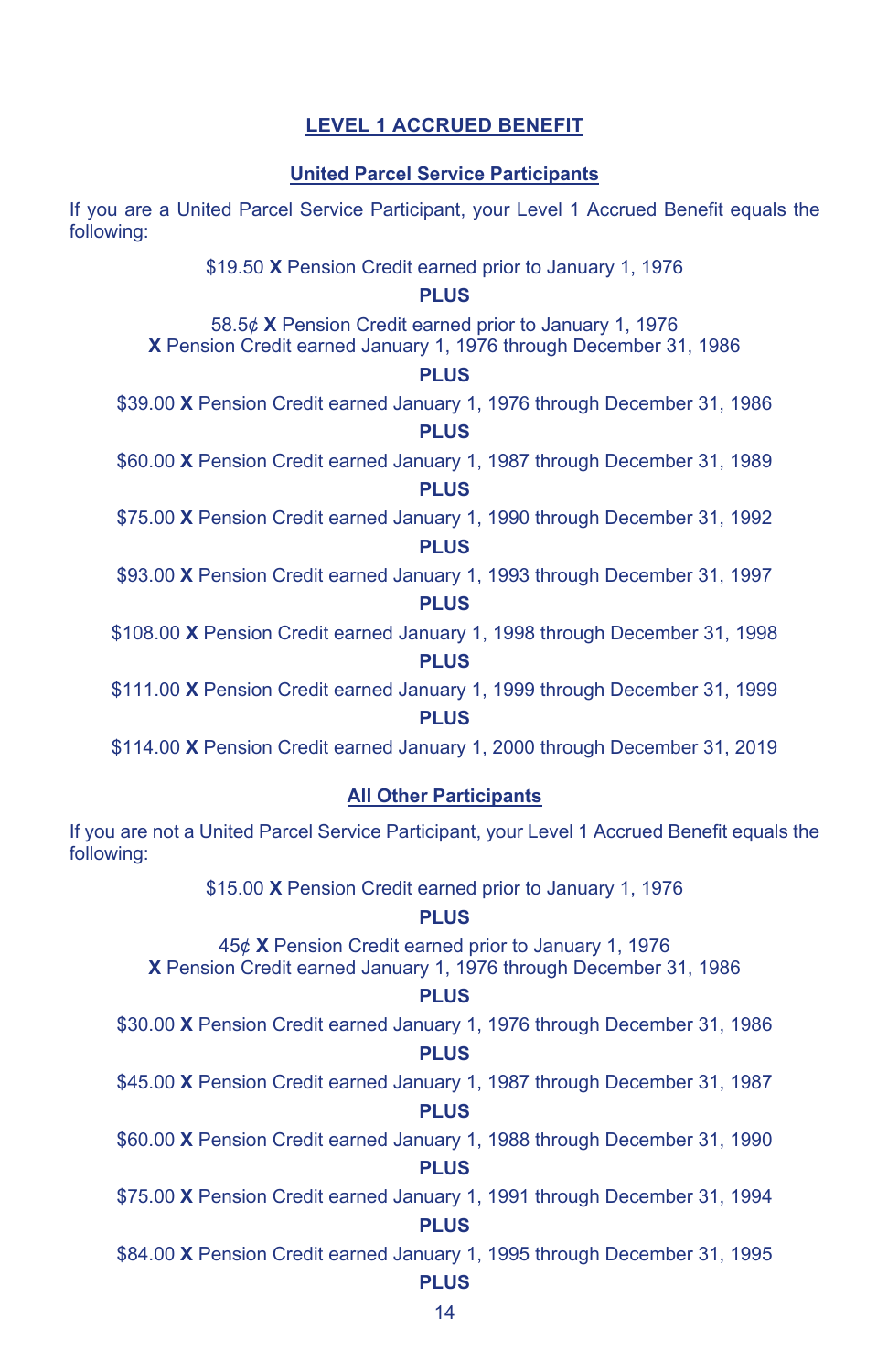#### **LEVEL 1 ACCRUED BENEFIT**

#### **United Parcel Service Participants**

If you are a United Parcel Service Participant, your Level 1 Accrued Benefit equals the following:

\$19.50 **X** Pension Credit earned prior to January 1, 1976

#### **PLUS**

58.5¢ **X** Pension Credit earned prior to January 1, 1976 **X** Pension Credit earned January 1, 1976 through December 31, 1986

#### **PLUS**

\$39.00 **X** Pension Credit earned January 1, 1976 through December 31, 1986 **PLUS**

\$60.00 **X** Pension Credit earned January 1, 1987 through December 31, 1989 **PLUS**

\$75.00 **X** Pension Credit earned January 1, 1990 through December 31, 1992 **PLUS**

\$93.00 **X** Pension Credit earned January 1, 1993 through December 31, 1997 **PLUS**

\$108.00 **X** Pension Credit earned January 1, 1998 through December 31, 1998 **PLUS**

\$111.00 **X** Pension Credit earned January 1, 1999 through December 31, 1999 **PLUS**

\$114.00 **X** Pension Credit earned January 1, 2000 through December 31, 2019

#### **All Other Participants**

If you are not a United Parcel Service Participant, your Level 1 Accrued Benefit equals the following:

\$15.00 **X** Pension Credit earned prior to January 1, 1976

#### **PLUS**

45¢ **X** Pension Credit earned prior to January 1, 1976 **X** Pension Credit earned January 1, 1976 through December 31, 1986

#### **PLUS**

\$30.00 **X** Pension Credit earned January 1, 1976 through December 31, 1986 **PLUS**

\$45.00 **X** Pension Credit earned January 1, 1987 through December 31, 1987 **PLUS**

# \$60.00 **X** Pension Credit earned January 1, 1988 through December 31, 1990 **PLUS**

\$75.00 **X** Pension Credit earned January 1, 1991 through December 31, 1994 **PLUS**

\$84.00 **X** Pension Credit earned January 1, 1995 through December 31, 1995

#### **PLUS**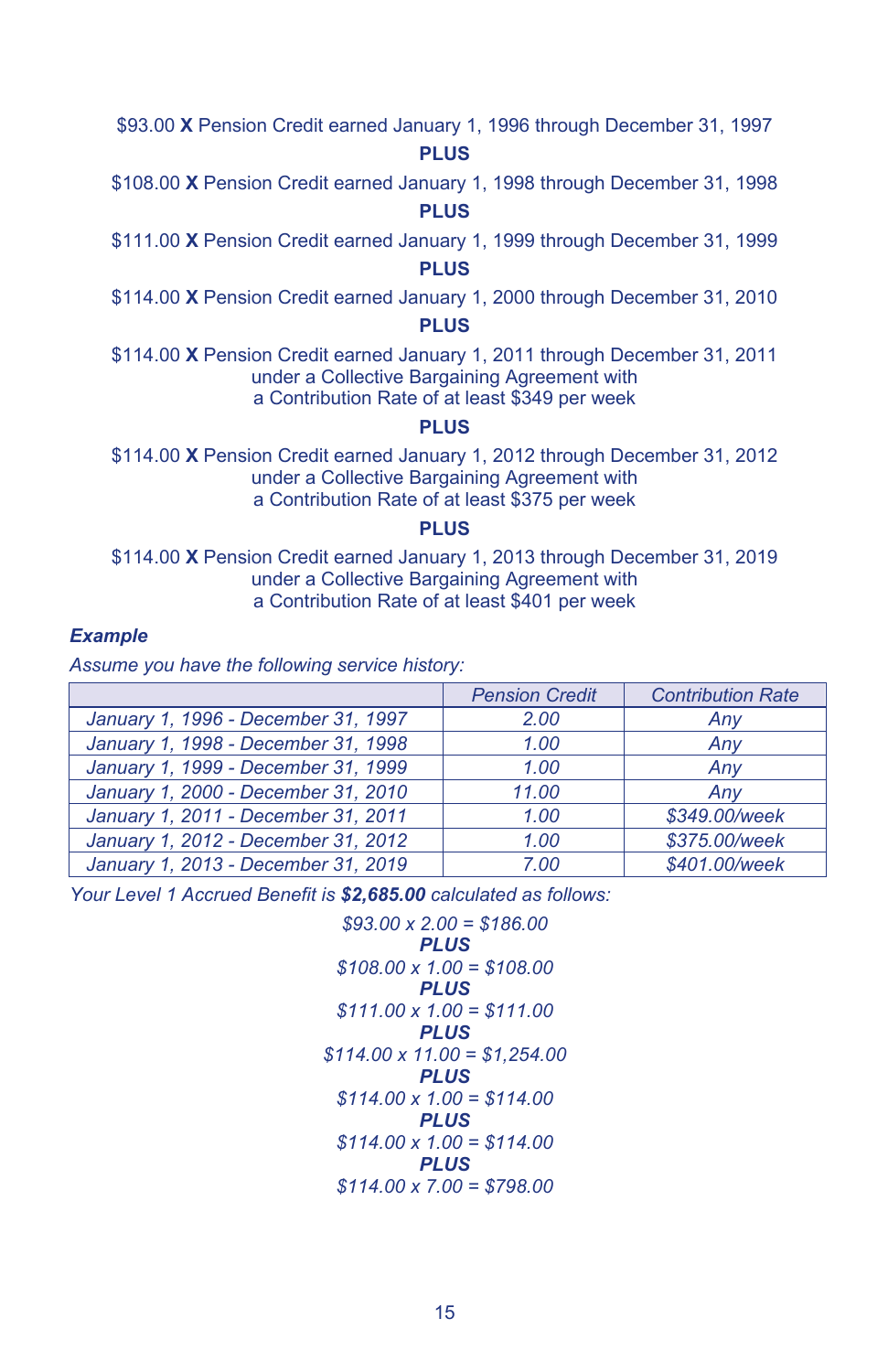\$93.00 **X** Pension Credit earned January 1, 1996 through December 31, 1997

#### **PLUS**

\$108.00 **X** Pension Credit earned January 1, 1998 through December 31, 1998 **PLUS**

\$111.00 **X** Pension Credit earned January 1, 1999 through December 31, 1999 **PLUS**

\$114.00 **X** Pension Credit earned January 1, 2000 through December 31, 2010

#### **PLUS**

\$114.00 **X** Pension Credit earned January 1, 2011 through December 31, 2011 under a Collective Bargaining Agreement with a Contribution Rate of at least \$349 per week

#### **PLUS**

\$114.00 **X** Pension Credit earned January 1, 2012 through December 31, 2012 under a Collective Bargaining Agreement with a Contribution Rate of at least \$375 per week

#### **PLUS**

\$114.00 **X** Pension Credit earned January 1, 2013 through December 31, 2019 under a Collective Bargaining Agreement with a Contribution Rate of at least \$401 per week

#### *Example*

*Assume you have the following service history:*

|                                     | <b>Pension Credit</b> | <b>Contribution Rate</b> |  |
|-------------------------------------|-----------------------|--------------------------|--|
| January 1, 1996 - December 31, 1997 | 2.00                  | Any                      |  |
| January 1, 1998 - December 31, 1998 | 1.00                  | Anv                      |  |
| January 1, 1999 - December 31, 1999 | 1.00                  | Any                      |  |
| January 1, 2000 - December 31, 2010 | 11.00                 | Any                      |  |
| January 1, 2011 - December 31, 2011 | 1.00                  | \$349.00/week            |  |
| January 1, 2012 - December 31, 2012 | 1.00                  | \$375.00/week            |  |
| January 1, 2013 - December 31, 2019 | 7.00                  | \$401.00/week            |  |

*Your Level 1 Accrued Benefit is \$2,685.00 calculated as follows:*

*\$93.00 x 2.00 = \$186.00 PLUS \$108.00 x 1.00 = \$108.00 PLUS \$111.00 x 1.00 = \$111.00 PLUS \$114.00 x 11.00 = \$1,254.00 PLUS \$114.00 x 1.00 = \$114.00 PLUS \$114.00 x 1.00 = \$114.00 PLUS \$114.00 x 7.00 = \$798.00*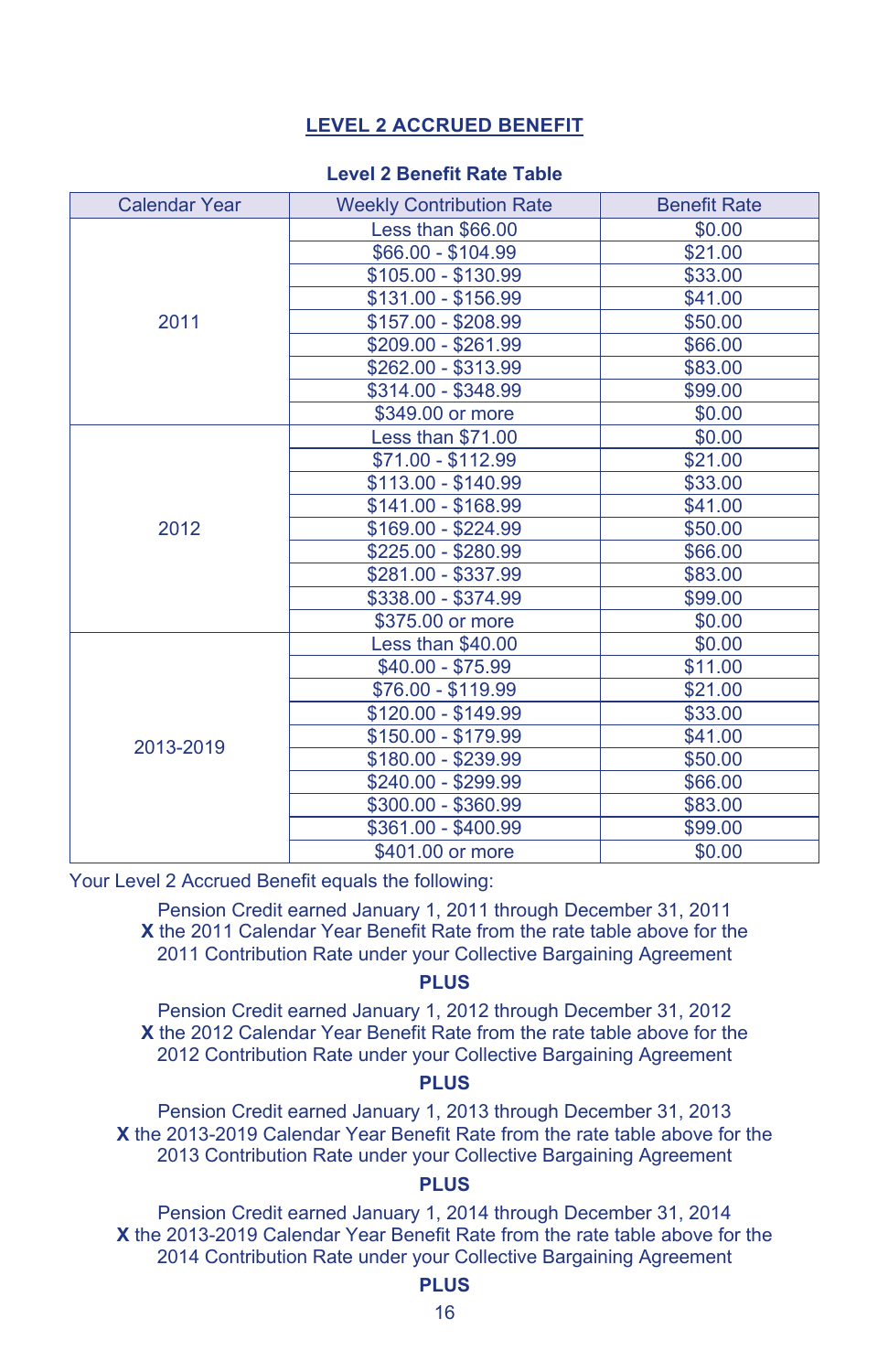#### **LEVEL 2 ACCRUED BENEFIT**

#### **Level 2 Benefit Rate Table**

| <b>Calendar Year</b> | <b>Weekly Contribution Rate</b> | <b>Benefit Rate</b> |
|----------------------|---------------------------------|---------------------|
|                      | Less than \$66.00               | \$0.00              |
|                      | $$66.00 - $104.99$              | \$21.00             |
|                      | \$105.00 - \$130.99             | \$33.00             |
|                      | \$131.00 - \$156.99             | \$41.00             |
| 2011                 | \$157.00 - \$208.99             | \$50.00             |
|                      | \$209.00 - \$261.99             | \$66.00             |
|                      | \$262.00 - \$313.99             | \$83.00             |
|                      | \$314.00 - \$348.99             | \$99.00             |
|                      | \$349,00 or more                | \$0.00              |
|                      | Less than \$71.00               | \$0.00              |
|                      | \$71.00 - \$112.99              | \$21.00             |
|                      | \$113.00 - \$140.99             | \$33.00             |
|                      | \$141.00 - \$168.99             | \$41.00             |
| 2012                 | \$169.00 - \$224.99             | \$50.00             |
|                      | \$225.00 - \$280.99             | \$66.00             |
|                      | \$281.00 - \$337.99             | \$83.00             |
|                      | \$338.00 - \$374.99             | \$99.00             |
|                      | \$375,00 or more                | \$0.00              |
|                      | Less than \$40.00               | \$0.00              |
|                      | $$40.00 - $75.99$               | \$11.00             |
|                      | \$76.00 - \$119.99              | \$21.00             |
|                      | \$120.00 - \$149.99             | \$33.00             |
| 2013-2019            | \$150.00 - \$179.99             | \$41.00             |
|                      | \$180.00 - \$239.99             | \$50.00             |
|                      | $\overline{$}240.00 - $299.99$  | \$66.00             |
|                      | \$300.00 - \$360.99             | \$83.00             |
|                      | \$361.00 - \$400.99             | \$99.00             |
|                      | \$401.00 or more                | \$0.00              |

Your Level 2 Accrued Benefit equals the following:

Pension Credit earned January 1, 2011 through December 31, 2011 **X** the 2011 Calendar Year Benefit Rate from the rate table above for the 2011 Contribution Rate under your Collective Bargaining Agreement

#### **PLUS**

Pension Credit earned January 1, 2012 through December 31, 2012 **X** the 2012 Calendar Year Benefit Rate from the rate table above for the 2012 Contribution Rate under your Collective Bargaining Agreement

#### **PLUS**

Pension Credit earned January 1, 2013 through December 31, 2013 **X** the 2013-2019 Calendar Year Benefit Rate from the rate table above for the 2013 Contribution Rate under your Collective Bargaining Agreement

#### **PLUS**

Pension Credit earned January 1, 2014 through December 31, 2014 **X** the 2013-2019 Calendar Year Benefit Rate from the rate table above for the 2014 Contribution Rate under your Collective Bargaining Agreement

#### **PLUS**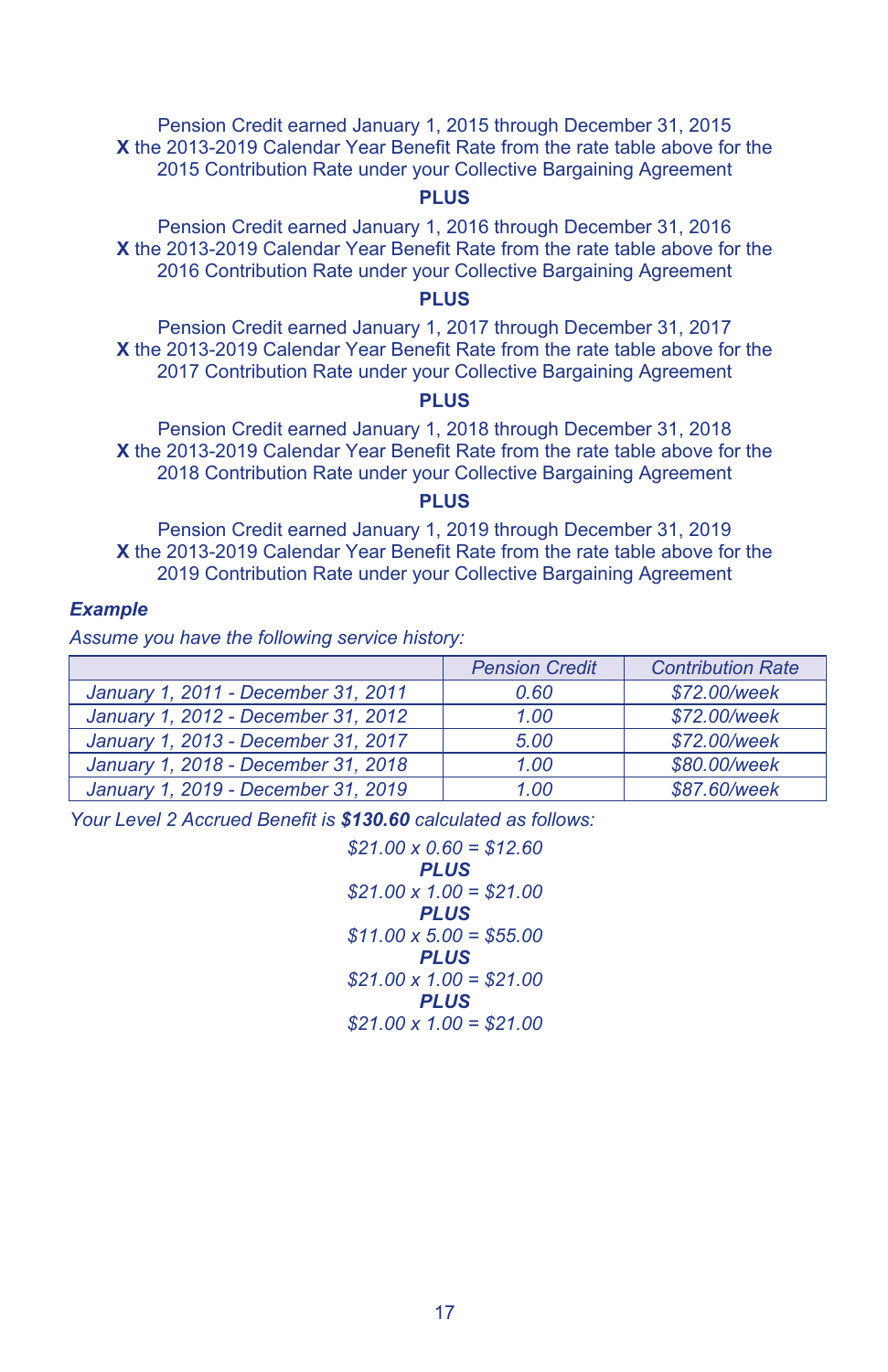Pension Credit earned January 1, 2015 through December 31, 2015 **X** the 2013-2019 Calendar Year Benefit Rate from the rate table above for the 2015 Contribution Rate under your Collective Bargaining Agreement

#### **PLUS**

Pension Credit earned January 1, 2016 through December 31, 2016 **X** the 2013-2019 Calendar Year Benefit Rate from the rate table above for the 2016 Contribution Rate under your Collective Bargaining Agreement

#### **PLUS**

Pension Credit earned January 1, 2017 through December 31, 2017 **X** the 2013-2019 Calendar Year Benefit Rate from the rate table above for the 2017 Contribution Rate under your Collective Bargaining Agreement

#### **PLUS**

Pension Credit earned January 1, 2018 through December 31, 2018 **X** the 2013-2019 Calendar Year Benefit Rate from the rate table above for the 2018 Contribution Rate under your Collective Bargaining Agreement

#### **PLUS**

Pension Credit earned January 1, 2019 through December 31, 2019 **X** the 2013-2019 Calendar Year Benefit Rate from the rate table above for the 2019 Contribution Rate under your Collective Bargaining Agreement

#### *Example*

*Assume you have the following service history:*

|                                     | <b>Pension Credit</b> | <b>Contribution Rate</b> |
|-------------------------------------|-----------------------|--------------------------|
| January 1, 2011 - December 31, 2011 | 0.60                  | \$72.00/week             |
| January 1, 2012 - December 31, 2012 | 1.00                  | \$72.00/week             |
| January 1, 2013 - December 31, 2017 | 5.00                  | \$72.00/week             |
| January 1, 2018 - December 31, 2018 | 1.00                  | \$80.00/week             |
| January 1, 2019 - December 31, 2019 | 1.00                  | \$87.60/week             |

*Your Level 2 Accrued Benefit is \$130.60 calculated as follows:*

*\$21.00 x 0.60 = \$12.60 PLUS \$21.00 x 1.00 = \$21.00 PLUS \$11.00 x 5.00 = \$55.00 PLUS \$21.00 x 1.00 = \$21.00 PLUS \$21.00 x 1.00 = \$21.00*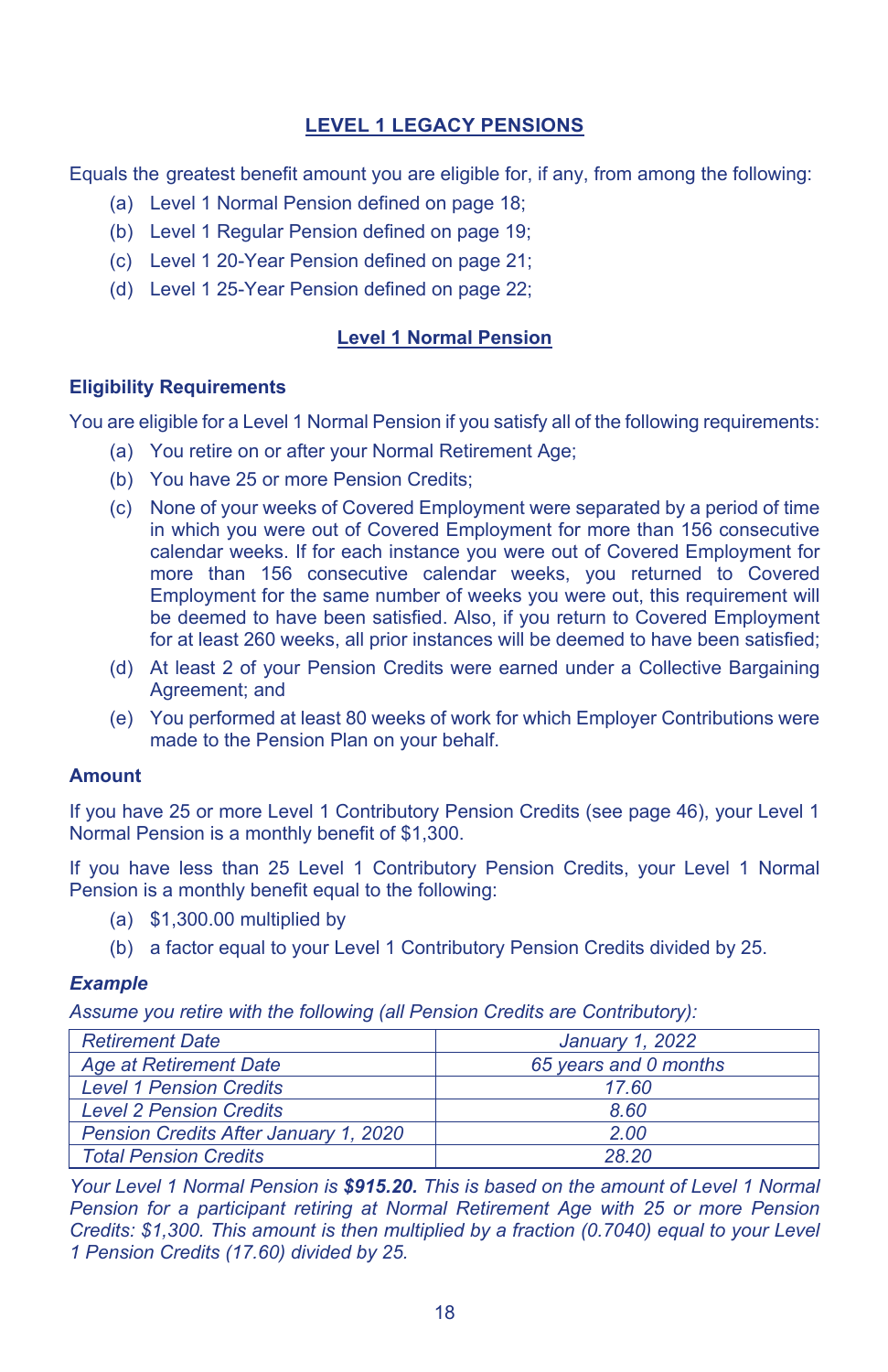#### **LEVEL 1 LEGACY PENSIONS**

Equals the greatest benefit amount you are eligible for, if any, from among the following:

- (a) Level 1 Normal Pension defined on page 18;
- (b) Level 1 Regular Pension defined on page 19;
- (c) Level 1 20-Year Pension defined on page 21;
- (d) Level 1 25-Year Pension defined on page 22;

#### **Level 1 Normal Pension**

#### **Eligibility Requirements**

You are eligible for a Level 1 Normal Pension if you satisfy all of the following requirements:

- (a) You retire on or after your Normal Retirement Age;
- (b) You have 25 or more Pension Credits;
- (c) None of your weeks of Covered Employment were separated by a period of time in which you were out of Covered Employment for more than 156 consecutive calendar weeks. If for each instance you were out of Covered Employment for more than 156 consecutive calendar weeks, you returned to Covered Employment for the same number of weeks you were out, this requirement will be deemed to have been satisfied. Also, if you return to Covered Employment for at least 260 weeks, all prior instances will be deemed to have been satisfied;
- (d) At least 2 of your Pension Credits were earned under a Collective Bargaining Agreement; and
- (e) You performed at least 80 weeks of work for which Employer Contributions were made to the Pension Plan on your behalf.

#### **Amount**

If you have 25 or more Level 1 Contributory Pension Credits (see page 46), your Level 1 Normal Pension is a monthly benefit of \$1,300.

If you have less than 25 Level 1 Contributory Pension Credits, your Level 1 Normal Pension is a monthly benefit equal to the following:

- (a) \$1,300.00 multiplied by
- (b) a factor equal to your Level 1 Contributory Pension Credits divided by 25.

#### *Example*

*Assume you retire with the following (all Pension Credits are Contributory):*

| <b>Retirement Date</b>                | January 1, 2022       |
|---------------------------------------|-----------------------|
| <b>Age at Retirement Date</b>         | 65 years and 0 months |
| <b>Level 1 Pension Credits</b>        | 17.60                 |
| <b>Level 2 Pension Credits</b>        | 8.60                  |
| Pension Credits After January 1, 2020 | 2.00                  |
| <b>Total Pension Credits</b>          | 28.20                 |

*Your Level 1 Normal Pension is \$915.20. This is based on the amount of Level 1 Normal Pension for a participant retiring at Normal Retirement Age with 25 or more Pension Credits: \$1,300. This amount is then multiplied by a fraction (0.7040) equal to your Level 1 Pension Credits (17.60) divided by 25.*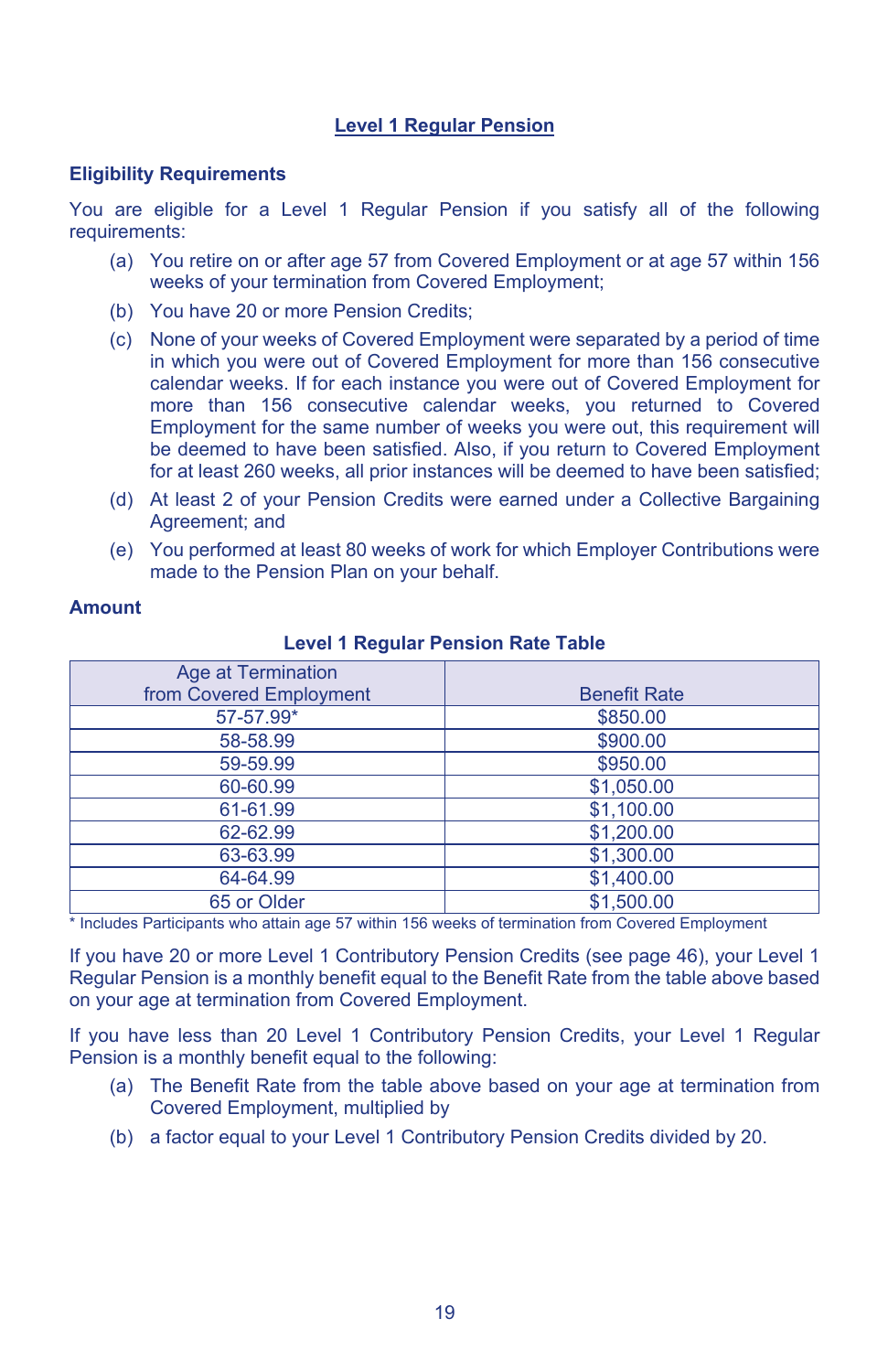#### **Level 1 Regular Pension**

#### **Eligibility Requirements**

You are eligible for a Level 1 Regular Pension if you satisfy all of the following requirements:

- (a) You retire on or after age 57 from Covered Employment or at age 57 within 156 weeks of your termination from Covered Employment;
- (b) You have 20 or more Pension Credits;
- (c) None of your weeks of Covered Employment were separated by a period of time in which you were out of Covered Employment for more than 156 consecutive calendar weeks. If for each instance you were out of Covered Employment for more than 156 consecutive calendar weeks, you returned to Covered Employment for the same number of weeks you were out, this requirement will be deemed to have been satisfied. Also, if you return to Covered Employment for at least 260 weeks, all prior instances will be deemed to have been satisfied;
- (d) At least 2 of your Pension Credits were earned under a Collective Bargaining Agreement; and
- (e) You performed at least 80 weeks of work for which Employer Contributions were made to the Pension Plan on your behalf.

| Age at Termination<br>from Covered Employment | <b>Benefit Rate</b> |
|-----------------------------------------------|---------------------|
| 57-57.99*                                     | \$850.00            |
| 58-58.99                                      | \$900.00            |
| 59-59.99                                      | \$950.00            |
| 60-60.99                                      | \$1,050,00          |
| 61-61.99                                      | \$1,100.00          |
| 62-62.99                                      | \$1,200.00          |
| 63-63.99                                      | \$1,300.00          |
| 64-64.99                                      | \$1,400.00          |
| 65 or Older                                   | \$1,500.00          |

# **Amount**

#### **Level 1 Regular Pension Rate Table**

\* Includes Participants who attain age 57 within 156 weeks of termination from Covered Employment

If you have 20 or more Level 1 Contributory Pension Credits (see page 46), your Level 1 Regular Pension is a monthly benefit equal to the Benefit Rate from the table above based on your age at termination from Covered Employment.

If you have less than 20 Level 1 Contributory Pension Credits, your Level 1 Regular Pension is a monthly benefit equal to the following:

- (a) The Benefit Rate from the table above based on your age at termination from Covered Employment, multiplied by
- (b) a factor equal to your Level 1 Contributory Pension Credits divided by 20.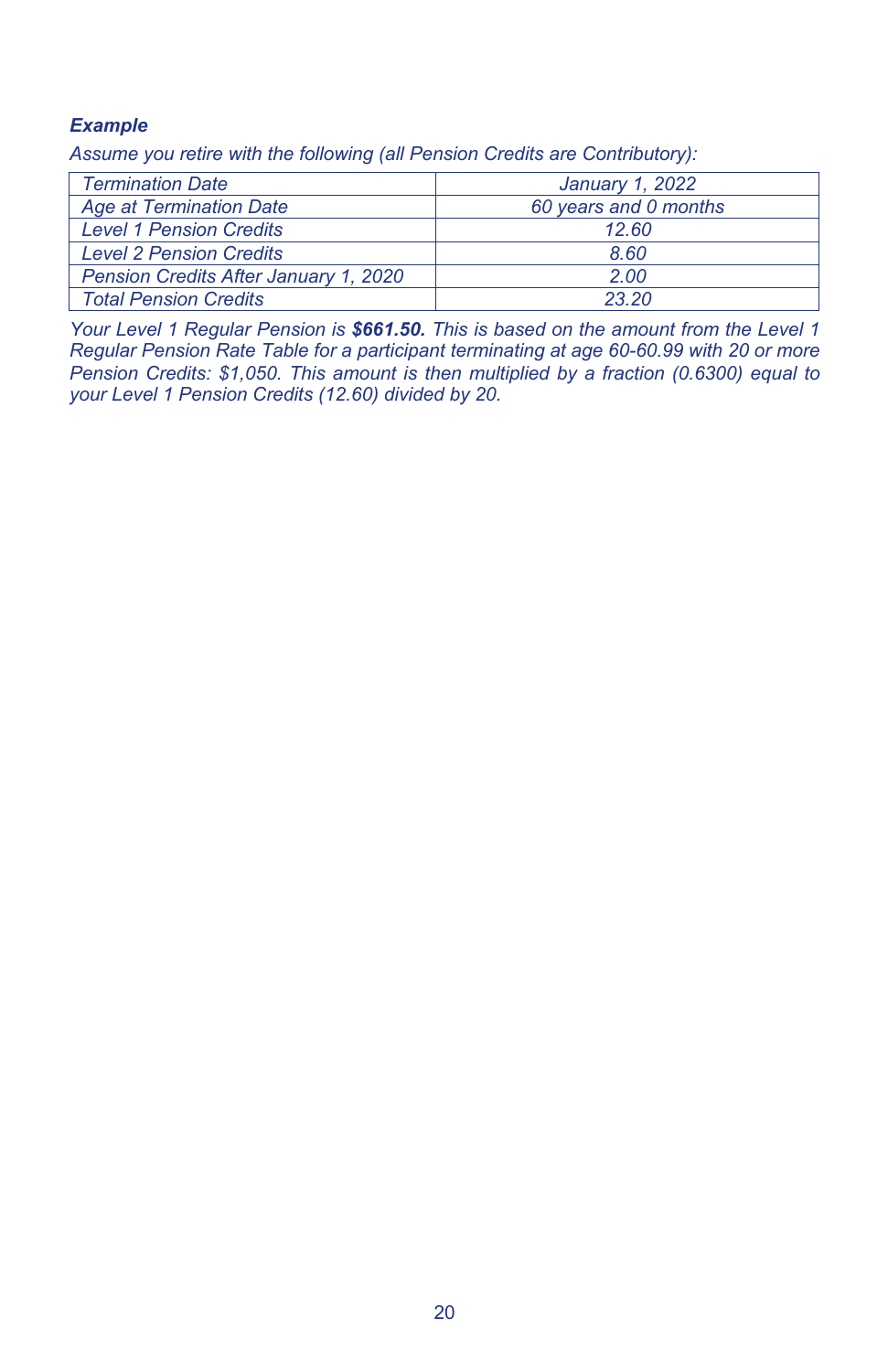## *Example*

*Assume you retire with the following (all Pension Credits are Contributory):*

| <b>Termination Date</b>               | January 1, 2022       |
|---------------------------------------|-----------------------|
| Age at Termination Date               | 60 years and 0 months |
| <b>Level 1 Pension Credits</b>        | 12.60                 |
| <b>Level 2 Pension Credits</b>        | 8.60                  |
| Pension Credits After January 1, 2020 | 2.00                  |
| <b>Total Pension Credits</b>          | 23.20                 |

*Your Level 1 Regular Pension is \$661.50. This is based on the amount from the Level 1 Regular Pension Rate Table for a participant terminating at age 60-60.99 with 20 or more Pension Credits: \$1,050. This amount is then multiplied by a fraction (0.6300) equal to your Level 1 Pension Credits (12.60) divided by 20.*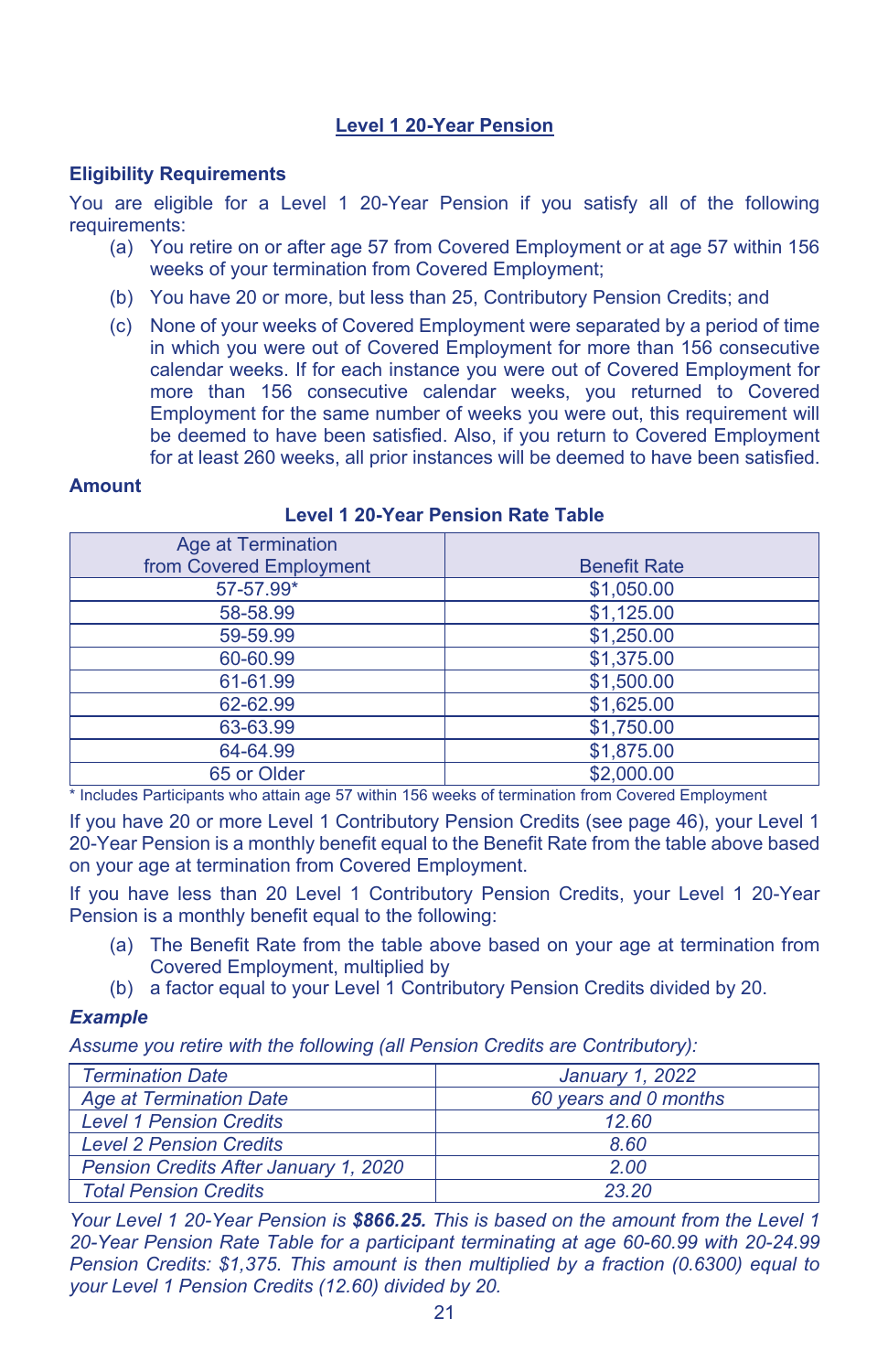#### **Level 1 20-Year Pension**

#### **Eligibility Requirements**

You are eligible for a Level 1 20-Year Pension if you satisfy all of the following requirements:

- (a) You retire on or after age 57 from Covered Employment or at age 57 within 156 weeks of your termination from Covered Employment;
- (b) You have 20 or more, but less than 25, Contributory Pension Credits; and
- (c) None of your weeks of Covered Employment were separated by a period of time in which you were out of Covered Employment for more than 156 consecutive calendar weeks. If for each instance you were out of Covered Employment for more than 156 consecutive calendar weeks, you returned to Covered Employment for the same number of weeks you were out, this requirement will be deemed to have been satisfied. Also, if you return to Covered Employment for at least 260 weeks, all prior instances will be deemed to have been satisfied.

#### **Amount**

# **Level 1 20-Year Pension Rate Table**

| Age at Termination      |                     |
|-------------------------|---------------------|
| from Covered Employment | <b>Benefit Rate</b> |
| 57-57.99*               | \$1,050.00          |
| 58-58.99                | \$1,125.00          |
| 59-59.99                | \$1,250.00          |
| 60-60.99                | \$1,375.00          |
| 61-61.99                | \$1,500.00          |
| 62-62.99                | \$1,625.00          |
| 63-63.99                | \$1,750.00          |
| 64-64.99                | \$1,875.00          |
| 65 or Older             | \$2,000.00          |

\* Includes Participants who attain age 57 within 156 weeks of termination from Covered Employment

If you have 20 or more Level 1 Contributory Pension Credits (see page 46), your Level 1 20-Year Pension is a monthly benefit equal to the Benefit Rate from the table above based on your age at termination from Covered Employment.

If you have less than 20 Level 1 Contributory Pension Credits, your Level 1 20-Year Pension is a monthly benefit equal to the following:

- (a) The Benefit Rate from the table above based on your age at termination from Covered Employment, multiplied by
- (b) a factor equal to your Level 1 Contributory Pension Credits divided by 20.

#### *Example*

*Assume you retire with the following (all Pension Credits are Contributory):*

| <b>Termination Date</b>               | January 1, 2022       |
|---------------------------------------|-----------------------|
| <b>Age at Termination Date</b>        | 60 years and 0 months |
| <b>Level 1 Pension Credits</b>        | 12.60                 |
| <b>Level 2 Pension Credits</b>        | 8.60                  |
| Pension Credits After January 1, 2020 | 2.00                  |
| <b>Total Pension Credits</b>          | 23.20                 |

*Your Level 1 20-Year Pension is \$866.25. This is based on the amount from the Level 1 20-Year Pension Rate Table for a participant terminating at age 60-60.99 with 20-24.99 Pension Credits: \$1,375. This amount is then multiplied by a fraction (0.6300) equal to your Level 1 Pension Credits (12.60) divided by 20.*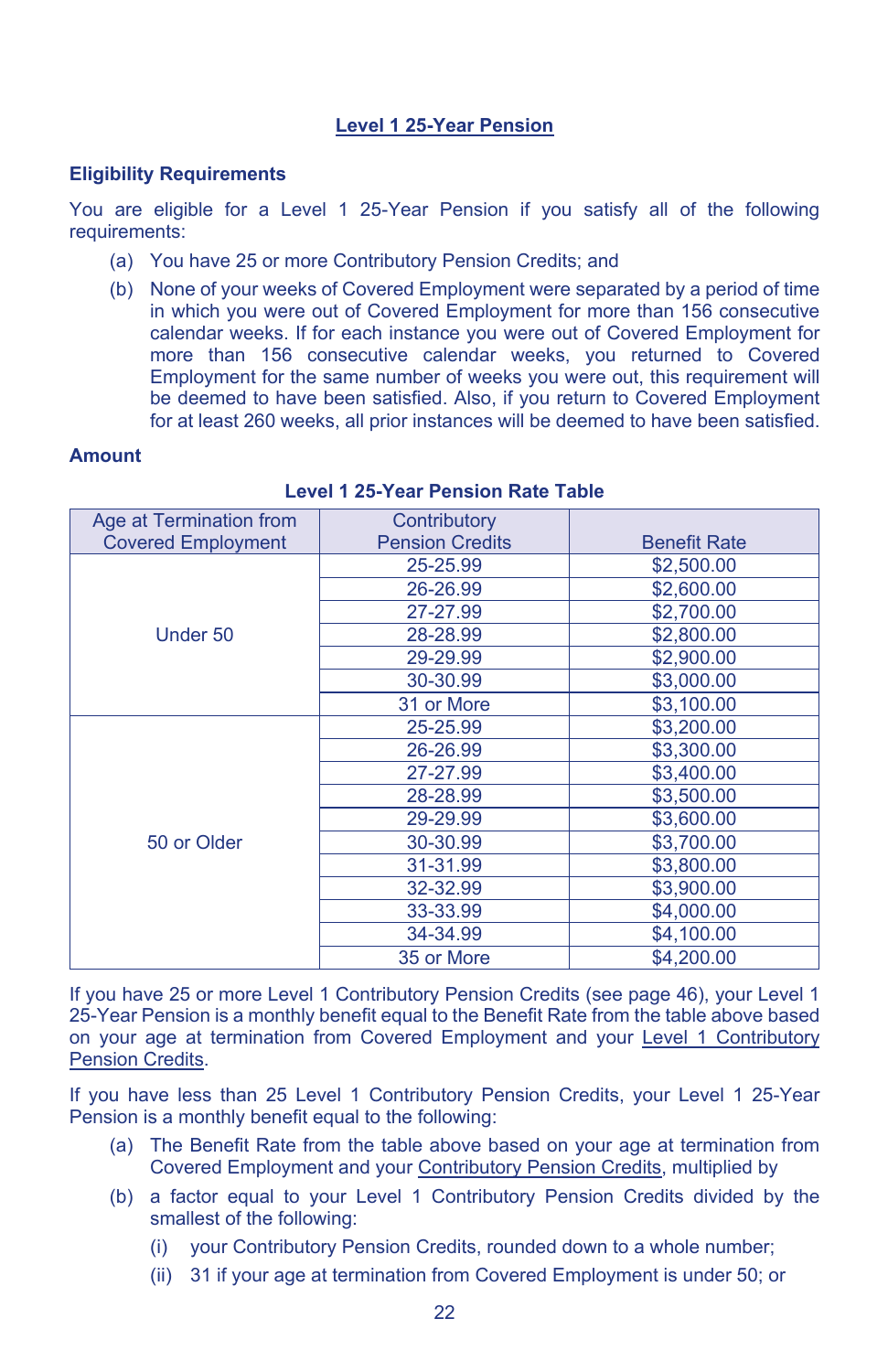#### **Level 1 25-Year Pension**

#### **Eligibility Requirements**

You are eligible for a Level 1 25-Year Pension if you satisfy all of the following requirements:

- (a) You have 25 or more Contributory Pension Credits; and
- (b) None of your weeks of Covered Employment were separated by a period of time in which you were out of Covered Employment for more than 156 consecutive calendar weeks. If for each instance you were out of Covered Employment for more than 156 consecutive calendar weeks, you returned to Covered Employment for the same number of weeks you were out, this requirement will be deemed to have been satisfied. Also, if you return to Covered Employment for at least 260 weeks, all prior instances will be deemed to have been satisfied.

#### **Amount**

| Age at Termination from   | Contributory           |                     |
|---------------------------|------------------------|---------------------|
| <b>Covered Employment</b> | <b>Pension Credits</b> | <b>Benefit Rate</b> |
|                           | 25-25.99               | \$2,500.00          |
|                           | 26-26.99               | \$2,600.00          |
|                           | 27-27.99               | \$2.700.00          |
| Under 50                  | 28-28.99               | \$2,800.00          |
|                           | 29-29.99               | \$2,900.00          |
|                           | 30-30.99               | \$3,000.00          |
|                           | 31 or More             | \$3,100.00          |
|                           | 25-25.99               | \$3,200,00          |
|                           | 26-26.99               | \$3,300.00          |
|                           | 27-27.99               | \$3,400.00          |
|                           | 28-28.99               | \$3,500,00          |
|                           | 29-29.99               | \$3,600.00          |
| 50 or Older               | 30-30.99               | \$3.700.00          |
|                           | 31-31.99               | \$3,800.00          |
|                           | 32-32.99               | \$3,900.00          |
|                           | 33-33.99               | \$4,000.00          |
|                           | 34-34.99               | \$4,100.00          |
|                           | 35 or More             | \$4.200.00          |

#### **Level 1 25-Year Pension Rate Table**

If you have 25 or more Level 1 Contributory Pension Credits (see page 46), your Level 1 25-Year Pension is a monthly benefit equal to the Benefit Rate from the table above based on your age at termination from Covered Employment and your Level 1 Contributory Pension Credits.

If you have less than 25 Level 1 Contributory Pension Credits, your Level 1 25-Year Pension is a monthly benefit equal to the following:

- (a) The Benefit Rate from the table above based on your age at termination from Covered Employment and your Contributory Pension Credits, multiplied by
- (b) a factor equal to your Level 1 Contributory Pension Credits divided by the smallest of the following:
	- (i) your Contributory Pension Credits, rounded down to a whole number;
	- (ii) 31 if your age at termination from Covered Employment is under 50; or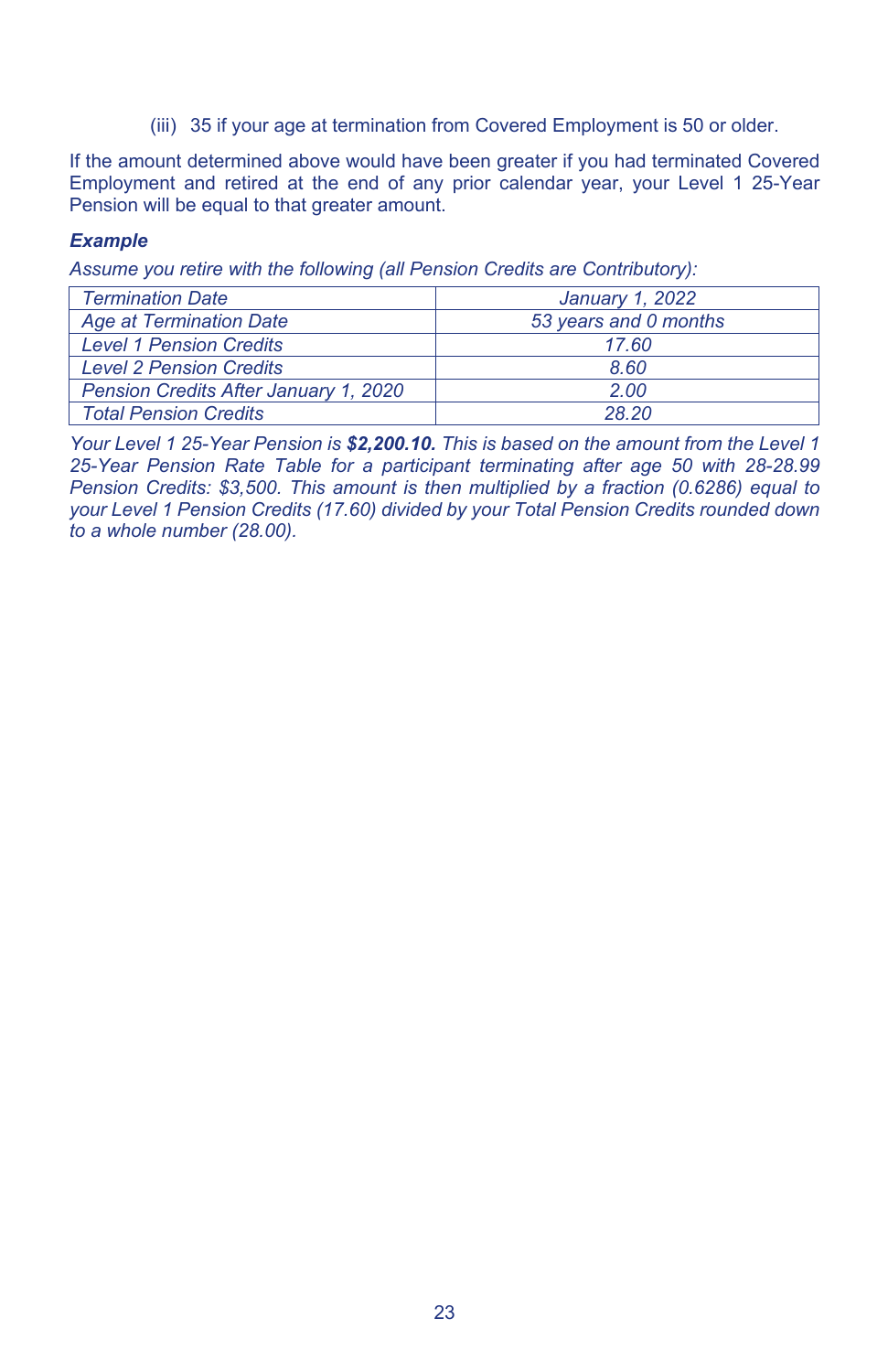(iii) 35 if your age at termination from Covered Employment is 50 or older.

If the amount determined above would have been greater if you had terminated Covered Employment and retired at the end of any prior calendar year, your Level 1 25-Year Pension will be equal to that greater amount.

#### *Example*

*Assume you retire with the following (all Pension Credits are Contributory):*

| <b>Termination Date</b>               | January 1, 2022       |
|---------------------------------------|-----------------------|
| <b>Age at Termination Date</b>        | 53 years and 0 months |
| <b>Level 1 Pension Credits</b>        | 17.60                 |
| <b>Level 2 Pension Credits</b>        | 8.60                  |
| Pension Credits After January 1, 2020 | 2.00                  |
| <b>Total Pension Credits</b>          | 28.20                 |

*Your Level 1 25-Year Pension is \$2,200.10. This is based on the amount from the Level 1 25-Year Pension Rate Table for a participant terminating after age 50 with 28-28.99 Pension Credits: \$3,500. This amount is then multiplied by a fraction (0.6286) equal to your Level 1 Pension Credits (17.60) divided by your Total Pension Credits rounded down to a whole number (28.00).*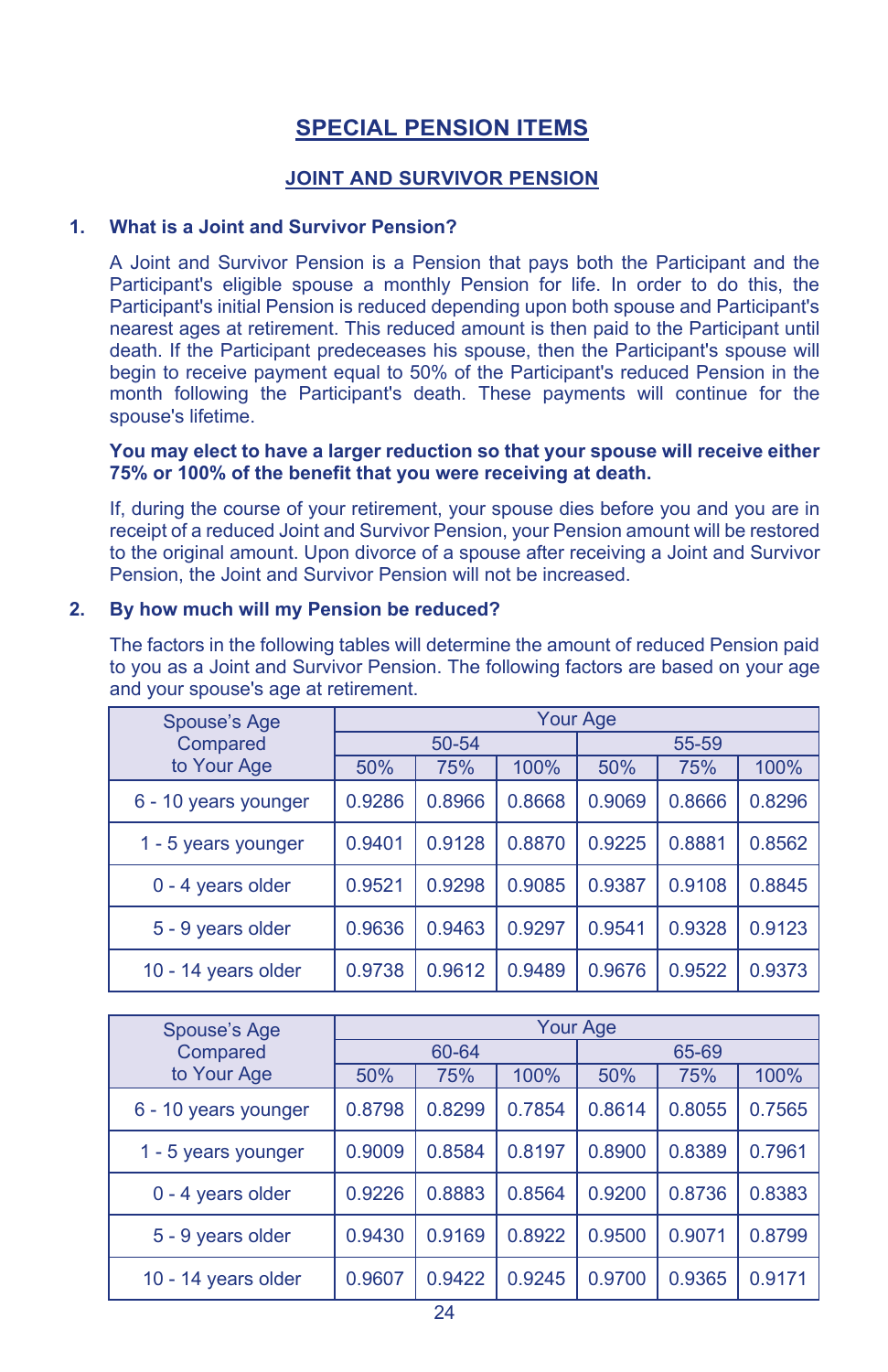# **SPECIAL PENSION ITEMS**

#### **JOINT AND SURVIVOR PENSION**

#### **1. What is a Joint and Survivor Pension?**

A Joint and Survivor Pension is a Pension that pays both the Participant and the Participant's eligible spouse a monthly Pension for life. In order to do this, the Participant's initial Pension is reduced depending upon both spouse and Participant's nearest ages at retirement. This reduced amount is then paid to the Participant until death. If the Participant predeceases his spouse, then the Participant's spouse will begin to receive payment equal to 50% of the Participant's reduced Pension in the month following the Participant's death. These payments will continue for the spouse's lifetime.

#### **You may elect to have a larger reduction so that your spouse will receive either 75% or 100% of the benefit that you were receiving at death.**

If, during the course of your retirement, your spouse dies before you and you are in receipt of a reduced Joint and Survivor Pension, your Pension amount will be restored to the original amount. Upon divorce of a spouse after receiving a Joint and Survivor Pension, the Joint and Survivor Pension will not be increased.

#### **2. By how much will my Pension be reduced?**

The factors in the following tables will determine the amount of reduced Pension paid to you as a Joint and Survivor Pension. The following factors are based on your age and your spouse's age at retirement.

| Spouse's Age         | <b>Your Age</b> |        |        |        |        |        |
|----------------------|-----------------|--------|--------|--------|--------|--------|
| Compared             |                 | 50-54  |        | 55-59  |        |        |
| to Your Age          | 50%             | 75%    | 100%   | 50%    | 75%    | 100%   |
| 6 - 10 years younger | 0.9286          | 0.8966 | 0.8668 | 0.9069 | 0.8666 | 0.8296 |
| 1 - 5 years younger  | 0.9401          | 0.9128 | 0.8870 | 0.9225 | 0.8881 | 0.8562 |
| 0 - 4 years older    | 0.9521          | 0.9298 | 0.9085 | 0.9387 | 0.9108 | 0.8845 |
| 5 - 9 years older    | 0.9636          | 0.9463 | 0.9297 | 0.9541 | 0.9328 | 0.9123 |
| 10 - 14 years older  | 0.9738          | 0.9612 | 0.9489 | 0.9676 | 0.9522 | 0.9373 |

| Spouse's Age         | Your Age |        |        |        |        |        |
|----------------------|----------|--------|--------|--------|--------|--------|
| Compared             | 60-64    |        |        | 65-69  |        |        |
| to Your Age          | 50%      | 75%    | 100%   | 50%    | 75%    | 100%   |
| 6 - 10 years younger | 0.8798   | 0.8299 | 0.7854 | 0.8614 | 0.8055 | 0.7565 |
| 1 - 5 years younger  | 0.9009   | 0.8584 | 0.8197 | 0.8900 | 0.8389 | 0.7961 |
| 0 - 4 years older    | 0.9226   | 0.8883 | 0.8564 | 0.9200 | 0.8736 | 0.8383 |
| 5 - 9 years older    | 0.9430   | 0.9169 | 0.8922 | 0.9500 | 0.9071 | 0.8799 |
| 10 - 14 years older  | 0.9607   | 0.9422 | 0.9245 | 0.9700 | 0.9365 | 0.9171 |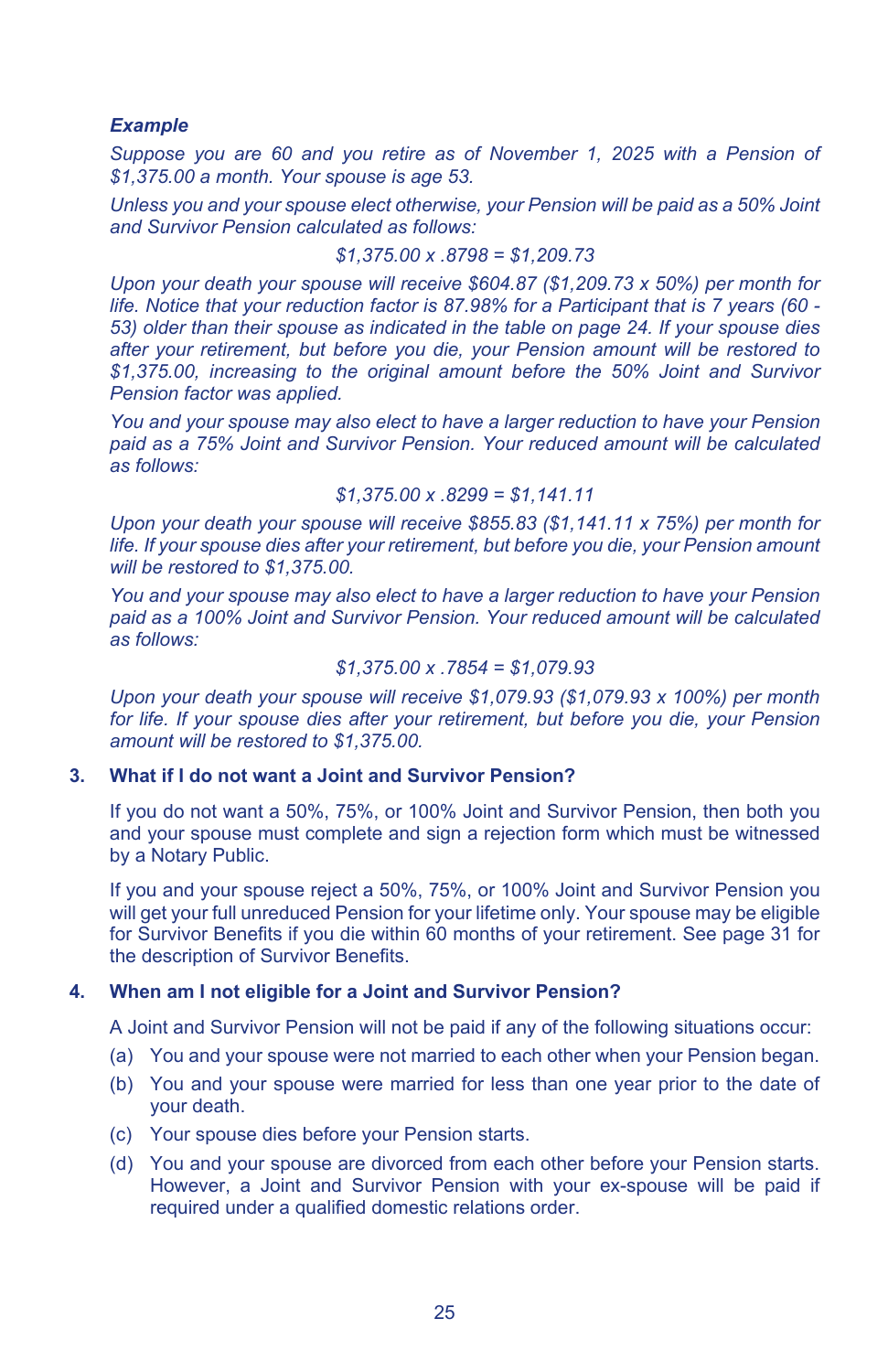#### *Example*

*Suppose you are 60 and you retire as of November 1, 2025 with a Pension of \$1,375.00 a month. Your spouse is age 53.*

*Unless you and your spouse elect otherwise, your Pension will be paid as a 50% Joint and Survivor Pension calculated as follows:*

$$
$1,375.00 \times .8798 = $1,209.73
$$

*Upon your death your spouse will receive \$604.87 (\$1,209.73 x 50%) per month for life. Notice that your reduction factor is 87.98% for a Participant that is 7 years (60 - 53) older than their spouse as indicated in the table on page 24. If your spouse dies after your retirement, but before you die, your Pension amount will be restored to \$1,375.00, increasing to the original amount before the 50% Joint and Survivor Pension factor was applied.*

*You and your spouse may also elect to have a larger reduction to have your Pension paid as a 75% Joint and Survivor Pension. Your reduced amount will be calculated as follows:*

#### *\$1,375.00 x .8299 = \$1,141.11*

*Upon your death your spouse will receive \$855.83 (\$1,141.11 x 75%) per month for life. If your spouse dies after your retirement, but before you die, your Pension amount will be restored to \$1,375.00.*

*You and your spouse may also elect to have a larger reduction to have your Pension paid as a 100% Joint and Survivor Pension. Your reduced amount will be calculated as follows:*

#### *\$1,375.00 x .7854 = \$1,079.93*

*Upon your death your spouse will receive \$1,079.93 (\$1,079.93 x 100%) per month for life. If your spouse dies after your retirement, but before you die, your Pension amount will be restored to \$1,375.00.*

#### **3. What if I do not want a Joint and Survivor Pension?**

If you do not want a 50%, 75%, or 100% Joint and Survivor Pension, then both you and your spouse must complete and sign a rejection form which must be witnessed by a Notary Public.

If you and your spouse reject a 50%, 75%, or 100% Joint and Survivor Pension you will get your full unreduced Pension for your lifetime only. Your spouse may be eligible for Survivor Benefits if you die within 60 months of your retirement. See page 31 for the description of Survivor Benefits.

#### **4. When am I not eligible for a Joint and Survivor Pension?**

A Joint and Survivor Pension will not be paid if any of the following situations occur:

- (a) You and your spouse were not married to each other when your Pension began.
- (b) You and your spouse were married for less than one year prior to the date of your death.
- (c) Your spouse dies before your Pension starts.
- (d) You and your spouse are divorced from each other before your Pension starts. However, a Joint and Survivor Pension with your ex-spouse will be paid if required under a qualified domestic relations order.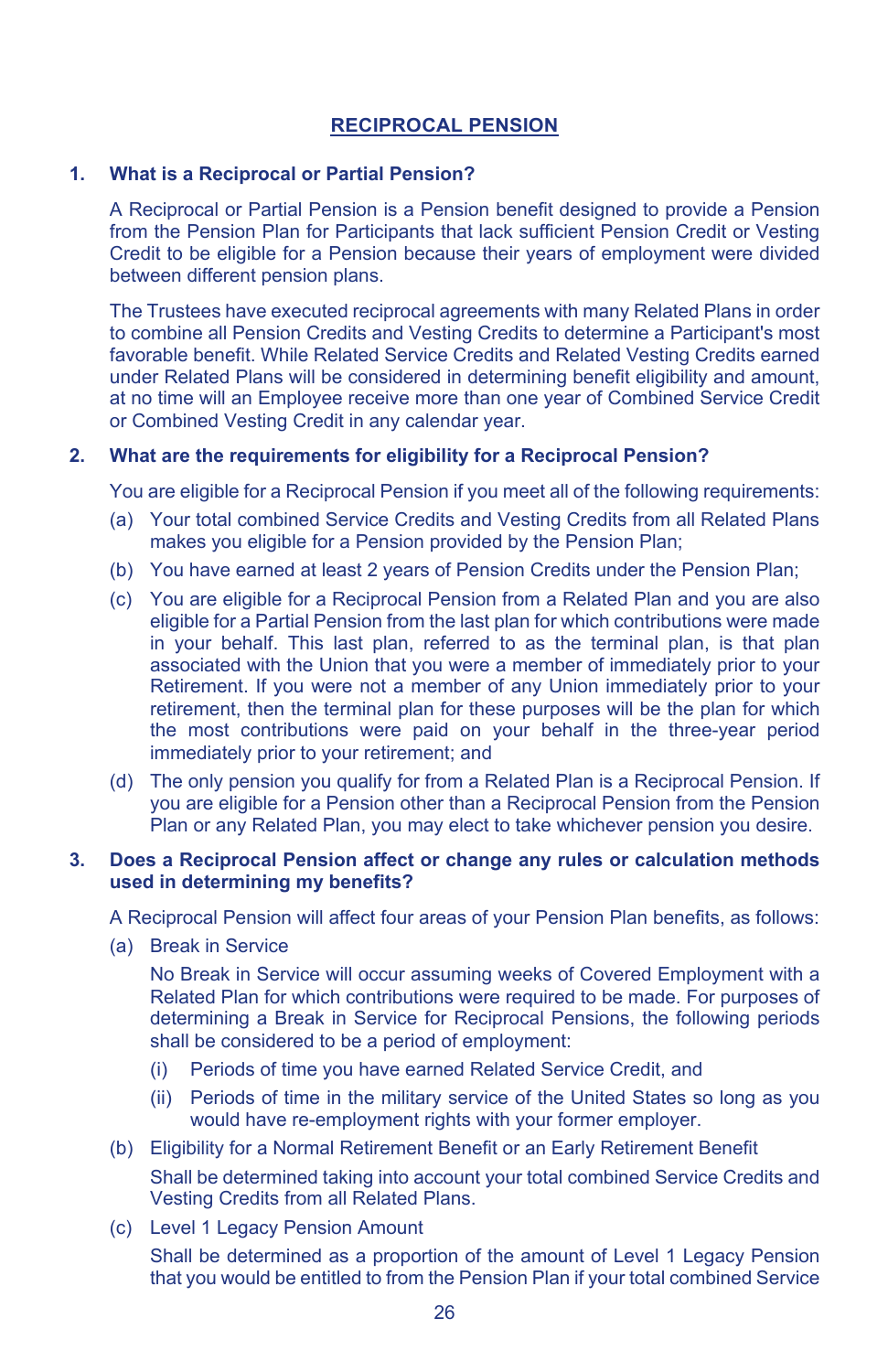#### **RECIPROCAL PENSION**

#### **1. What is a Reciprocal or Partial Pension?**

A Reciprocal or Partial Pension is a Pension benefit designed to provide a Pension from the Pension Plan for Participants that lack sufficient Pension Credit or Vesting Credit to be eligible for a Pension because their years of employment were divided between different pension plans.

The Trustees have executed reciprocal agreements with many Related Plans in order to combine all Pension Credits and Vesting Credits to determine a Participant's most favorable benefit. While Related Service Credits and Related Vesting Credits earned under Related Plans will be considered in determining benefit eligibility and amount, at no time will an Employee receive more than one year of Combined Service Credit or Combined Vesting Credit in any calendar year.

#### **2. What are the requirements for eligibility for a Reciprocal Pension?**

You are eligible for a Reciprocal Pension if you meet all of the following requirements:

- (a) Your total combined Service Credits and Vesting Credits from all Related Plans makes you eligible for a Pension provided by the Pension Plan;
- (b) You have earned at least 2 years of Pension Credits under the Pension Plan;
- (c) You are eligible for a Reciprocal Pension from a Related Plan and you are also eligible for a Partial Pension from the last plan for which contributions were made in your behalf. This last plan, referred to as the terminal plan, is that plan associated with the Union that you were a member of immediately prior to your Retirement. If you were not a member of any Union immediately prior to your retirement, then the terminal plan for these purposes will be the plan for which the most contributions were paid on your behalf in the three-year period immediately prior to your retirement; and
- (d) The only pension you qualify for from a Related Plan is a Reciprocal Pension. If you are eligible for a Pension other than a Reciprocal Pension from the Pension Plan or any Related Plan, you may elect to take whichever pension you desire.

#### **3. Does a Reciprocal Pension affect or change any rules or calculation methods used in determining my benefits?**

A Reciprocal Pension will affect four areas of your Pension Plan benefits, as follows:

(a) Break in Service

No Break in Service will occur assuming weeks of Covered Employment with a Related Plan for which contributions were required to be made. For purposes of determining a Break in Service for Reciprocal Pensions, the following periods shall be considered to be a period of employment:

- (i) Periods of time you have earned Related Service Credit, and
- (ii) Periods of time in the military service of the United States so long as you would have re-employment rights with your former employer.
- (b) Eligibility for a Normal Retirement Benefit or an Early Retirement Benefit Shall be determined taking into account your total combined Service Credits and Vesting Credits from all Related Plans.
- (c) Level 1 Legacy Pension Amount

Shall be determined as a proportion of the amount of Level 1 Legacy Pension that you would be entitled to from the Pension Plan if your total combined Service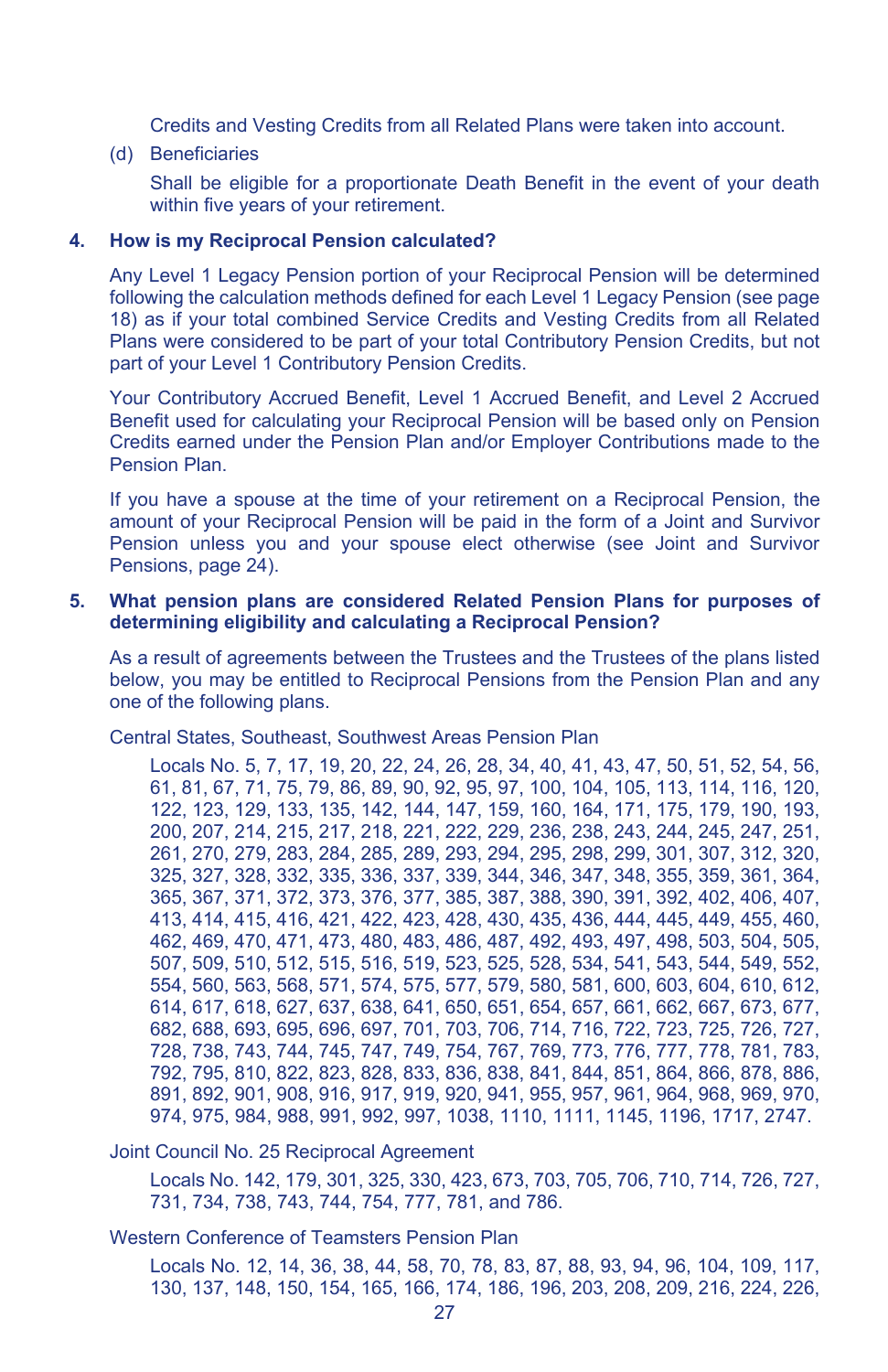Credits and Vesting Credits from all Related Plans were taken into account.

#### (d) Beneficiaries

Shall be eligible for a proportionate Death Benefit in the event of your death within five years of your retirement.

#### **4. How is my Reciprocal Pension calculated?**

Any Level 1 Legacy Pension portion of your Reciprocal Pension will be determined following the calculation methods defined for each Level 1 Legacy Pension (see page 18) as if your total combined Service Credits and Vesting Credits from all Related Plans were considered to be part of your total Contributory Pension Credits, but not part of your Level 1 Contributory Pension Credits.

Your Contributory Accrued Benefit, Level 1 Accrued Benefit, and Level 2 Accrued Benefit used for calculating your Reciprocal Pension will be based only on Pension Credits earned under the Pension Plan and/or Employer Contributions made to the Pension Plan.

If you have a spouse at the time of your retirement on a Reciprocal Pension, the amount of your Reciprocal Pension will be paid in the form of a Joint and Survivor Pension unless you and your spouse elect otherwise (see Joint and Survivor Pensions, page 24).

#### **5. What pension plans are considered Related Pension Plans for purposes of determining eligibility and calculating a Reciprocal Pension?**

As a result of agreements between the Trustees and the Trustees of the plans listed below, you may be entitled to Reciprocal Pensions from the Pension Plan and any one of the following plans.

Central States, Southeast, Southwest Areas Pension Plan

Locals No. 5, 7, 17, 19, 20, 22, 24, 26, 28, 34, 40, 41, 43, 47, 50, 51, 52, 54, 56, 61, 81, 67, 71, 75, 79, 86, 89, 90, 92, 95, 97, 100, 104, 105, 113, 114, 116, 120, 122, 123, 129, 133, 135, 142, 144, 147, 159, 160, 164, 171, 175, 179, 190, 193, 200, 207, 214, 215, 217, 218, 221, 222, 229, 236, 238, 243, 244, 245, 247, 251, 261, 270, 279, 283, 284, 285, 289, 293, 294, 295, 298, 299, 301, 307, 312, 320, 325, 327, 328, 332, 335, 336, 337, 339, 344, 346, 347, 348, 355, 359, 361, 364, 365, 367, 371, 372, 373, 376, 377, 385, 387, 388, 390, 391, 392, 402, 406, 407, 413, 414, 415, 416, 421, 422, 423, 428, 430, 435, 436, 444, 445, 449, 455, 460, 462, 469, 470, 471, 473, 480, 483, 486, 487, 492, 493, 497, 498, 503, 504, 505, 507, 509, 510, 512, 515, 516, 519, 523, 525, 528, 534, 541, 543, 544, 549, 552, 554, 560, 563, 568, 571, 574, 575, 577, 579, 580, 581, 600, 603, 604, 610, 612, 614, 617, 618, 627, 637, 638, 641, 650, 651, 654, 657, 661, 662, 667, 673, 677, 682, 688, 693, 695, 696, 697, 701, 703, 706, 714, 716, 722, 723, 725, 726, 727, 728, 738, 743, 744, 745, 747, 749, 754, 767, 769, 773, 776, 777, 778, 781, 783, 792, 795, 810, 822, 823, 828, 833, 836, 838, 841, 844, 851, 864, 866, 878, 886, 891, 892, 901, 908, 916, 917, 919, 920, 941, 955, 957, 961, 964, 968, 969, 970, 974, 975, 984, 988, 991, 992, 997, 1038, 1110, 1111, 1145, 1196, 1717, 2747.

Joint Council No. 25 Reciprocal Agreement

Locals No. 142, 179, 301, 325, 330, 423, 673, 703, 705, 706, 710, 714, 726, 727, 731, 734, 738, 743, 744, 754, 777, 781, and 786.

Western Conference of Teamsters Pension Plan

Locals No. 12, 14, 36, 38, 44, 58, 70, 78, 83, 87, 88, 93, 94, 96, 104, 109, 117, 130, 137, 148, 150, 154, 165, 166, 174, 186, 196, 203, 208, 209, 216, 224, 226,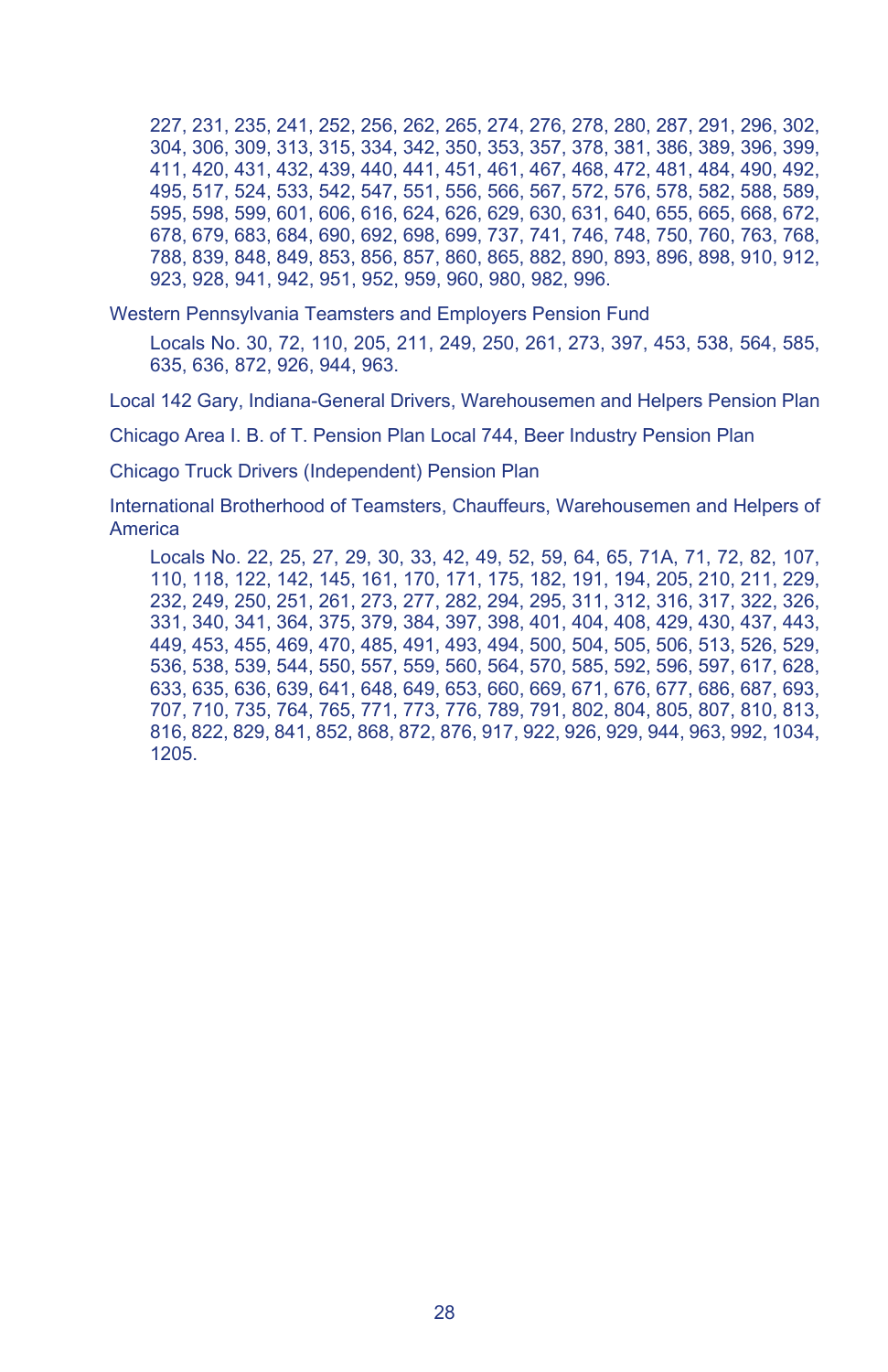227, 231, 235, 241, 252, 256, 262, 265, 274, 276, 278, 280, 287, 291, 296, 302, 304, 306, 309, 313, 315, 334, 342, 350, 353, 357, 378, 381, 386, 389, 396, 399, 411, 420, 431, 432, 439, 440, 441, 451, 461, 467, 468, 472, 481, 484, 490, 492, 495, 517, 524, 533, 542, 547, 551, 556, 566, 567, 572, 576, 578, 582, 588, 589, 595, 598, 599, 601, 606, 616, 624, 626, 629, 630, 631, 640, 655, 665, 668, 672, 678, 679, 683, 684, 690, 692, 698, 699, 737, 741, 746, 748, 750, 760, 763, 768, 788, 839, 848, 849, 853, 856, 857, 860, 865, 882, 890, 893, 896, 898, 910, 912, 923, 928, 941, 942, 951, 952, 959, 960, 980, 982, 996.

Western Pennsylvania Teamsters and Employers Pension Fund

Locals No. 30, 72, 110, 205, 211, 249, 250, 261, 273, 397, 453, 538, 564, 585, 635, 636, 872, 926, 944, 963.

Local 142 Gary, Indiana-General Drivers, Warehousemen and Helpers Pension Plan

Chicago Area I. B. of T. Pension Plan Local 744, Beer Industry Pension Plan

Chicago Truck Drivers (Independent) Pension Plan

International Brotherhood of Teamsters, Chauffeurs, Warehousemen and Helpers of America

Locals No. 22, 25, 27, 29, 30, 33, 42, 49, 52, 59, 64, 65, 71A, 71, 72, 82, 107, 110, 118, 122, 142, 145, 161, 170, 171, 175, 182, 191, 194, 205, 210, 211, 229, 232, 249, 250, 251, 261, 273, 277, 282, 294, 295, 311, 312, 316, 317, 322, 326, 331, 340, 341, 364, 375, 379, 384, 397, 398, 401, 404, 408, 429, 430, 437, 443, 449, 453, 455, 469, 470, 485, 491, 493, 494, 500, 504, 505, 506, 513, 526, 529, 536, 538, 539, 544, 550, 557, 559, 560, 564, 570, 585, 592, 596, 597, 617, 628, 633, 635, 636, 639, 641, 648, 649, 653, 660, 669, 671, 676, 677, 686, 687, 693, 707, 710, 735, 764, 765, 771, 773, 776, 789, 791, 802, 804, 805, 807, 810, 813, 816, 822, 829, 841, 852, 868, 872, 876, 917, 922, 926, 929, 944, 963, 992, 1034, 1205.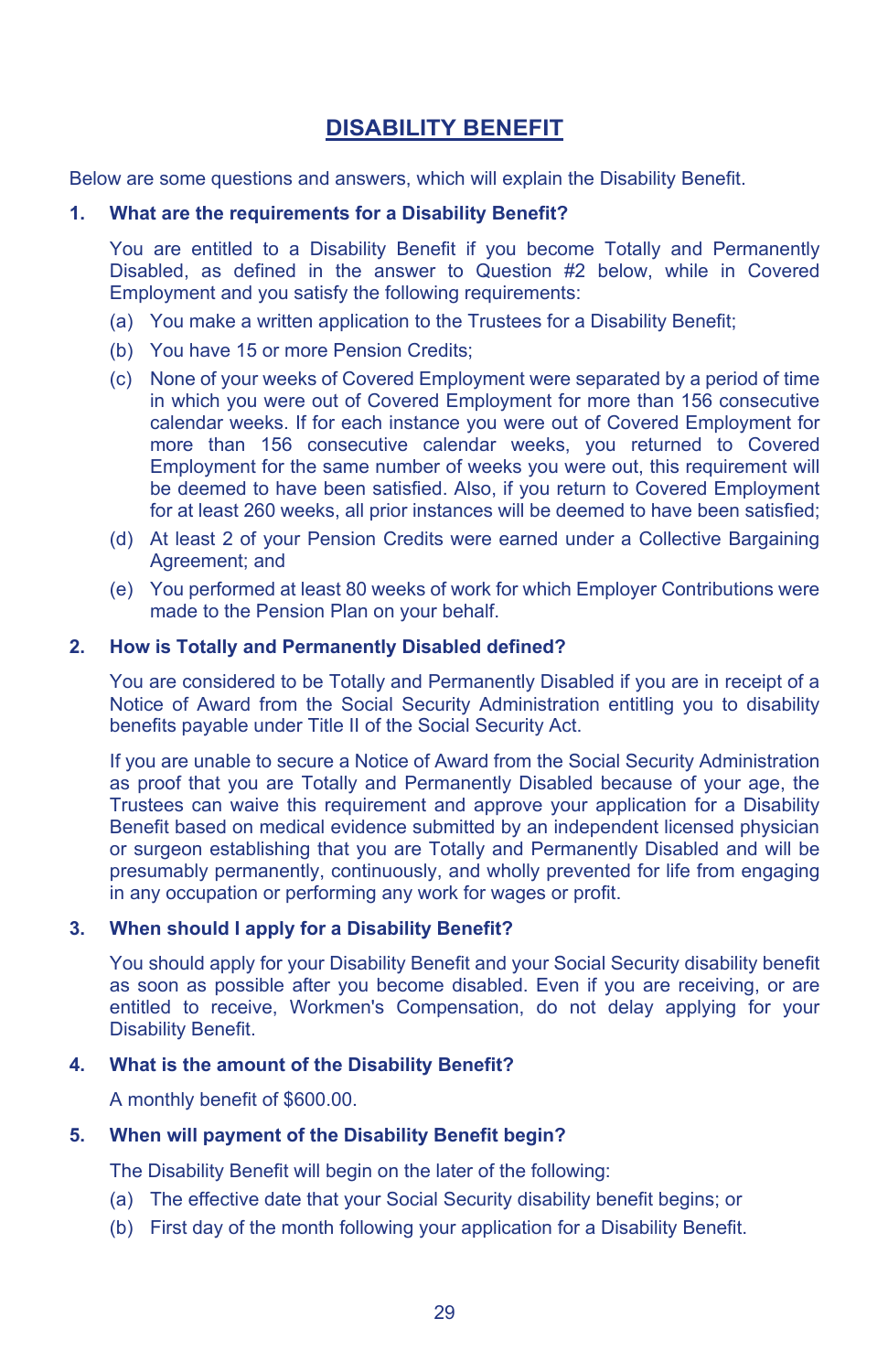# **DISABILITY BENEFIT**

Below are some questions and answers, which will explain the Disability Benefit.

#### **1. What are the requirements for a Disability Benefit?**

You are entitled to a Disability Benefit if you become Totally and Permanently Disabled, as defined in the answer to Question #2 below, while in Covered Employment and you satisfy the following requirements:

- (a) You make a written application to the Trustees for a Disability Benefit;
- (b) You have 15 or more Pension Credits;
- (c) None of your weeks of Covered Employment were separated by a period of time in which you were out of Covered Employment for more than 156 consecutive calendar weeks. If for each instance you were out of Covered Employment for more than 156 consecutive calendar weeks, you returned to Covered Employment for the same number of weeks you were out, this requirement will be deemed to have been satisfied. Also, if you return to Covered Employment for at least 260 weeks, all prior instances will be deemed to have been satisfied;
- (d) At least 2 of your Pension Credits were earned under a Collective Bargaining Agreement: and
- (e) You performed at least 80 weeks of work for which Employer Contributions were made to the Pension Plan on your behalf.

#### **2. How is Totally and Permanently Disabled defined?**

You are considered to be Totally and Permanently Disabled if you are in receipt of a Notice of Award from the Social Security Administration entitling you to disability benefits payable under Title II of the Social Security Act.

If you are unable to secure a Notice of Award from the Social Security Administration as proof that you are Totally and Permanently Disabled because of your age, the Trustees can waive this requirement and approve your application for a Disability Benefit based on medical evidence submitted by an independent licensed physician or surgeon establishing that you are Totally and Permanently Disabled and will be presumably permanently, continuously, and wholly prevented for life from engaging in any occupation or performing any work for wages or profit.

#### **3. When should I apply for a Disability Benefit?**

You should apply for your Disability Benefit and your Social Security disability benefit as soon as possible after you become disabled. Even if you are receiving, or are entitled to receive, Workmen's Compensation, do not delay applying for your Disability Benefit.

#### **4. What is the amount of the Disability Benefit?**

A monthly benefit of \$600.00.

#### **5. When will payment of the Disability Benefit begin?**

The Disability Benefit will begin on the later of the following:

- (a) The effective date that your Social Security disability benefit begins; or
- (b) First day of the month following your application for a Disability Benefit.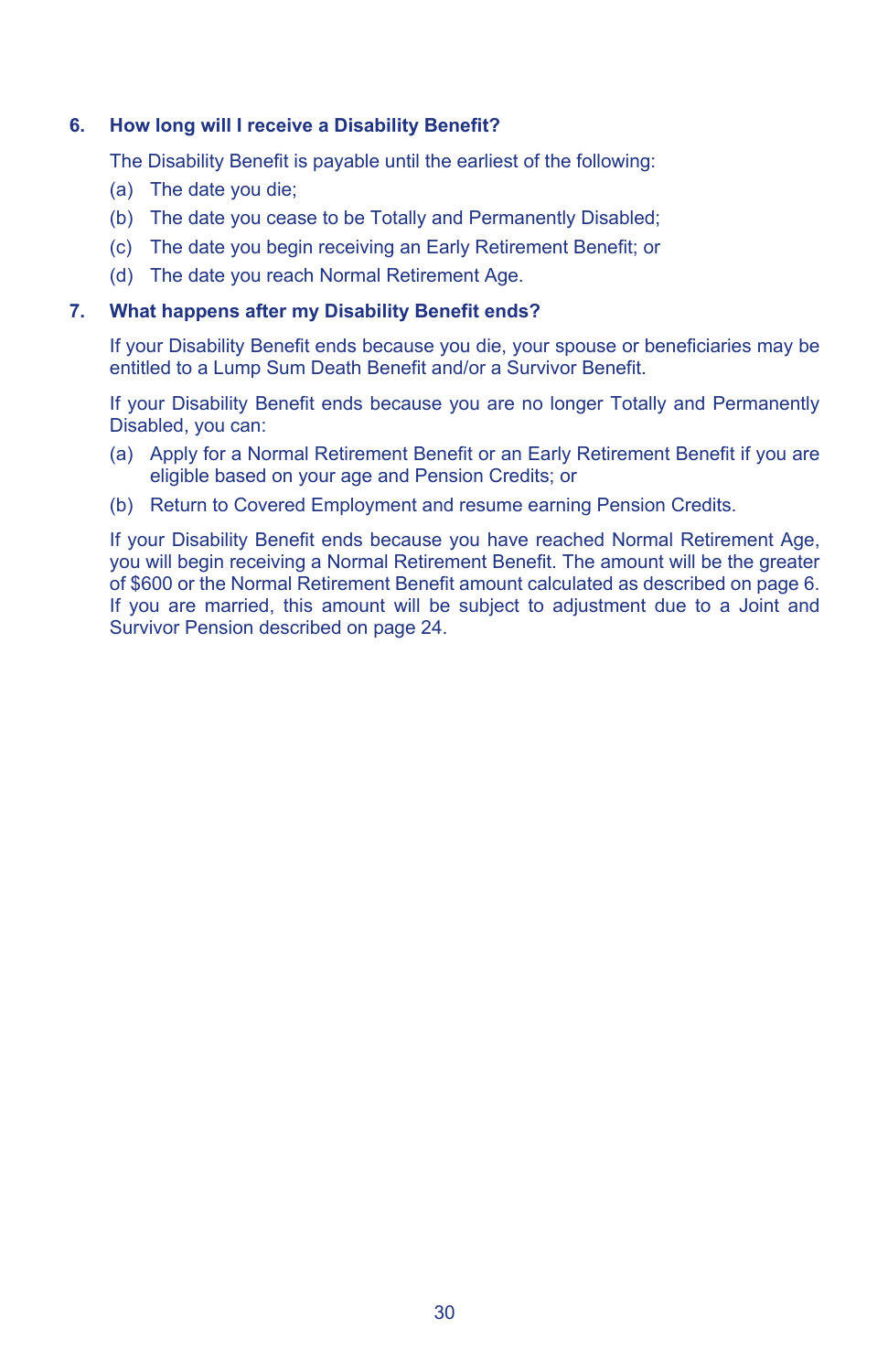#### **6. How long will I receive a Disability Benefit?**

The Disability Benefit is payable until the earliest of the following:

- (a) The date you die;
- (b) The date you cease to be Totally and Permanently Disabled;
- (c) The date you begin receiving an Early Retirement Benefit; or
- (d) The date you reach Normal Retirement Age.

#### **7. What happens after my Disability Benefit ends?**

If your Disability Benefit ends because you die, your spouse or beneficiaries may be entitled to a Lump Sum Death Benefit and/or a Survivor Benefit.

If your Disability Benefit ends because you are no longer Totally and Permanently Disabled, you can:

- (a) Apply for a Normal Retirement Benefit or an Early Retirement Benefit if you are eligible based on your age and Pension Credits; or
- (b) Return to Covered Employment and resume earning Pension Credits.

If your Disability Benefit ends because you have reached Normal Retirement Age, you will begin receiving a Normal Retirement Benefit. The amount will be the greater of \$600 or the Normal Retirement Benefit amount calculated as described on page 6. If you are married, this amount will be subject to adjustment due to a Joint and Survivor Pension described on page 24.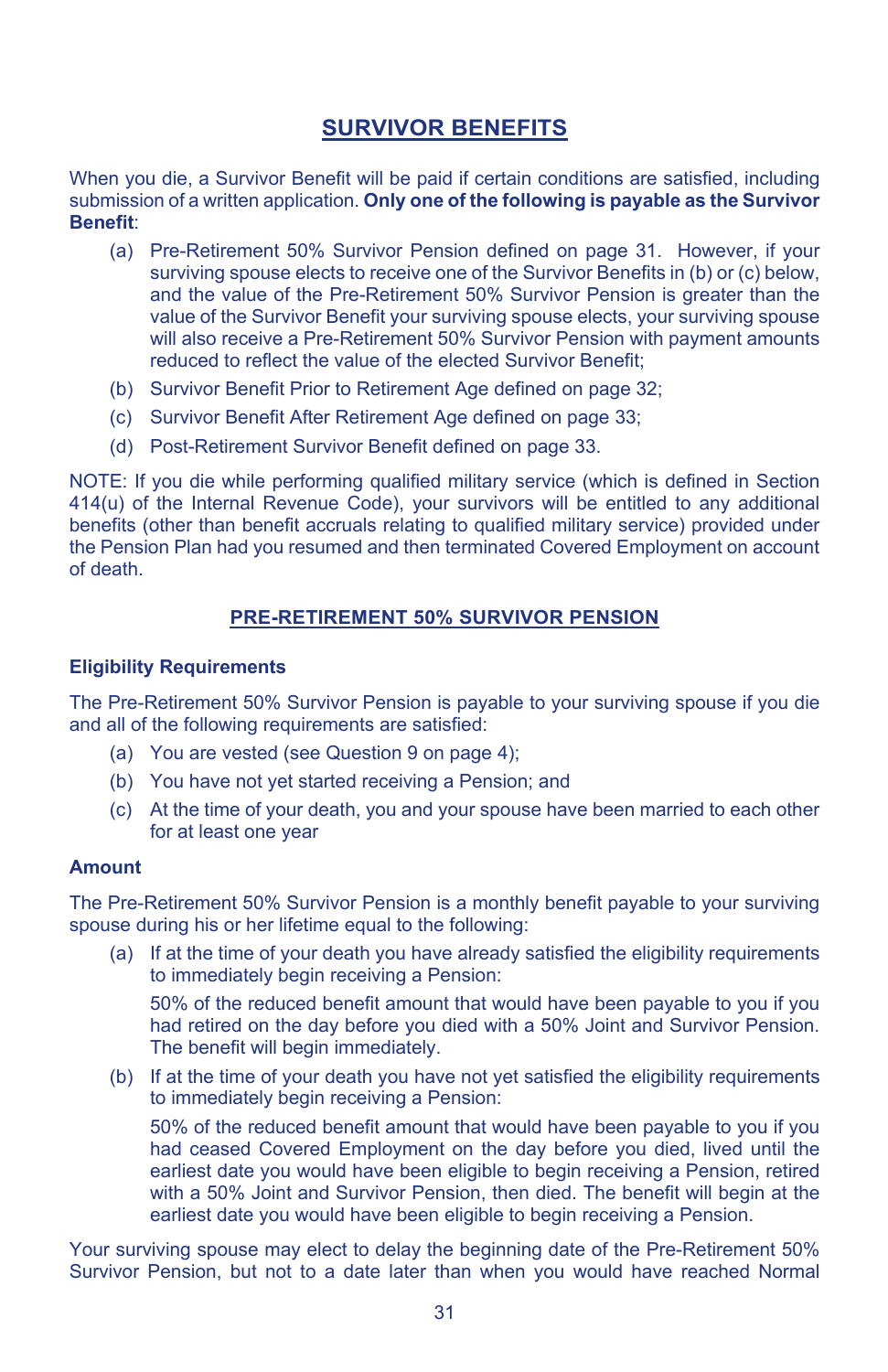# **SURVIVOR BENEFITS**

When you die, a Survivor Benefit will be paid if certain conditions are satisfied, including submission of a written application. **Only one of the following is payable as the Survivor Benefit**:

- (a) Pre-Retirement 50% Survivor Pension defined on page 31. However, if your surviving spouse elects to receive one of the Survivor Benefits in (b) or (c) below, and the value of the Pre-Retirement 50% Survivor Pension is greater than the value of the Survivor Benefit your surviving spouse elects, your surviving spouse will also receive a Pre-Retirement 50% Survivor Pension with payment amounts reduced to reflect the value of the elected Survivor Benefit;
- (b) Survivor Benefit Prior to Retirement Age defined on page 32;
- (c) Survivor Benefit After Retirement Age defined on page 33;
- (d) Post-Retirement Survivor Benefit defined on page 33.

NOTE: If you die while performing qualified military service (which is defined in Section 414(u) of the Internal Revenue Code), your survivors will be entitled to any additional benefits (other than benefit accruals relating to qualified military service) provided under the Pension Plan had you resumed and then terminated Covered Employment on account of death.

#### **PRE-RETIREMENT 50% SURVIVOR PENSION**

#### **Eligibility Requirements**

The Pre-Retirement 50% Survivor Pension is payable to your surviving spouse if you die and all of the following requirements are satisfied:

- (a) You are vested (see Question 9 on page 4);
- (b) You have not yet started receiving a Pension; and
- (c) At the time of your death, you and your spouse have been married to each other for at least one year

#### **Amount**

The Pre-Retirement 50% Survivor Pension is a monthly benefit payable to your surviving spouse during his or her lifetime equal to the following:

(a) If at the time of your death you have already satisfied the eligibility requirements to immediately begin receiving a Pension:

50% of the reduced benefit amount that would have been payable to you if you had retired on the day before you died with a 50% Joint and Survivor Pension. The benefit will begin immediately.

(b) If at the time of your death you have not yet satisfied the eligibility requirements to immediately begin receiving a Pension:

50% of the reduced benefit amount that would have been payable to you if you had ceased Covered Employment on the day before you died, lived until the earliest date you would have been eligible to begin receiving a Pension, retired with a 50% Joint and Survivor Pension, then died. The benefit will begin at the earliest date you would have been eligible to begin receiving a Pension.

Your surviving spouse may elect to delay the beginning date of the Pre-Retirement 50% Survivor Pension, but not to a date later than when you would have reached Normal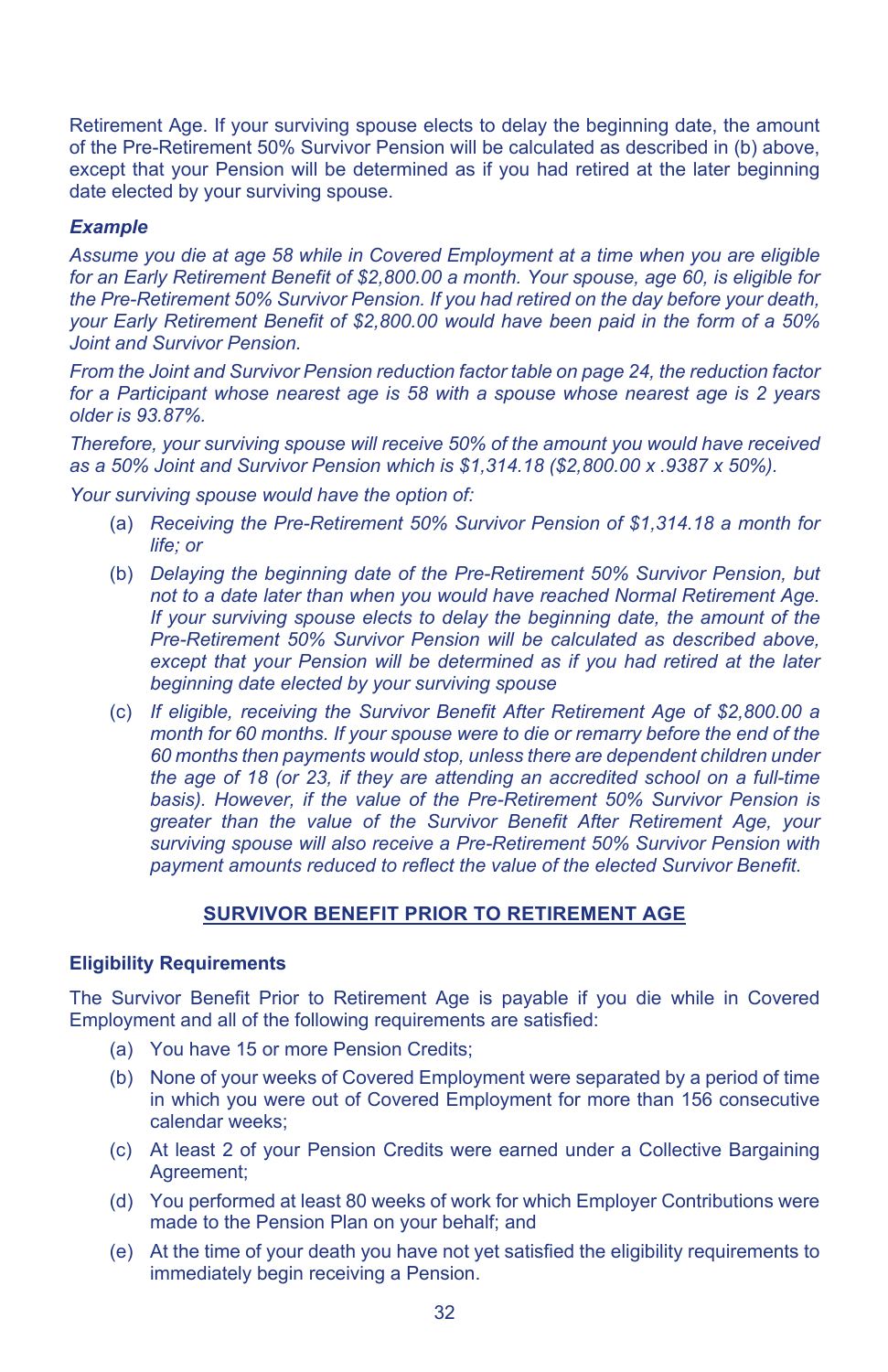Retirement Age. If your surviving spouse elects to delay the beginning date, the amount of the Pre-Retirement 50% Survivor Pension will be calculated as described in (b) above, except that your Pension will be determined as if you had retired at the later beginning date elected by your surviving spouse.

#### *Example*

*Assume you die at age 58 while in Covered Employment at a time when you are eligible for an Early Retirement Benefit of \$2,800.00 a month. Your spouse, age 60, is eligible for the Pre-Retirement 50% Survivor Pension. If you had retired on the day before your death, your Early Retirement Benefit of \$2,800.00 would have been paid in the form of a 50% Joint and Survivor Pension.*

*From the Joint and Survivor Pension reduction factor table on page 24, the reduction factor for a Participant whose nearest age is 58 with a spouse whose nearest age is 2 years older is 93.87%.*

*Therefore, your surviving spouse will receive 50% of the amount you would have received as a 50% Joint and Survivor Pension which is \$1,314.18 (\$2,800.00 x .9387 x 50%).*

*Your surviving spouse would have the option of:*

- (a) *Receiving the Pre-Retirement 50% Survivor Pension of \$1,314.18 a month for life; or*
- (b) *Delaying the beginning date of the Pre-Retirement 50% Survivor Pension, but not to a date later than when you would have reached Normal Retirement Age. If your surviving spouse elects to delay the beginning date, the amount of the Pre-Retirement 50% Survivor Pension will be calculated as described above, except that your Pension will be determined as if you had retired at the later beginning date elected by your surviving spouse*
- (c) *If eligible, receiving the Survivor Benefit After Retirement Age of \$2,800.00 a month for 60 months. If your spouse were to die or remarry before the end of the 60 months then payments would stop, unless there are dependent children under the age of 18 (or 23, if they are attending an accredited school on a full-time basis). However, if the value of the Pre-Retirement 50% Survivor Pension is greater than the value of the Survivor Benefit After Retirement Age, your surviving spouse will also receive a Pre-Retirement 50% Survivor Pension with payment amounts reduced to reflect the value of the elected Survivor Benefit.*

#### **SURVIVOR BENEFIT PRIOR TO RETIREMENT AGE**

#### **Eligibility Requirements**

The Survivor Benefit Prior to Retirement Age is payable if you die while in Covered Employment and all of the following requirements are satisfied:

- (a) You have 15 or more Pension Credits;
- (b) None of your weeks of Covered Employment were separated by a period of time in which you were out of Covered Employment for more than 156 consecutive calendar weeks;
- (c) At least 2 of your Pension Credits were earned under a Collective Bargaining Agreement;
- (d) You performed at least 80 weeks of work for which Employer Contributions were made to the Pension Plan on your behalf; and
- (e) At the time of your death you have not yet satisfied the eligibility requirements to immediately begin receiving a Pension.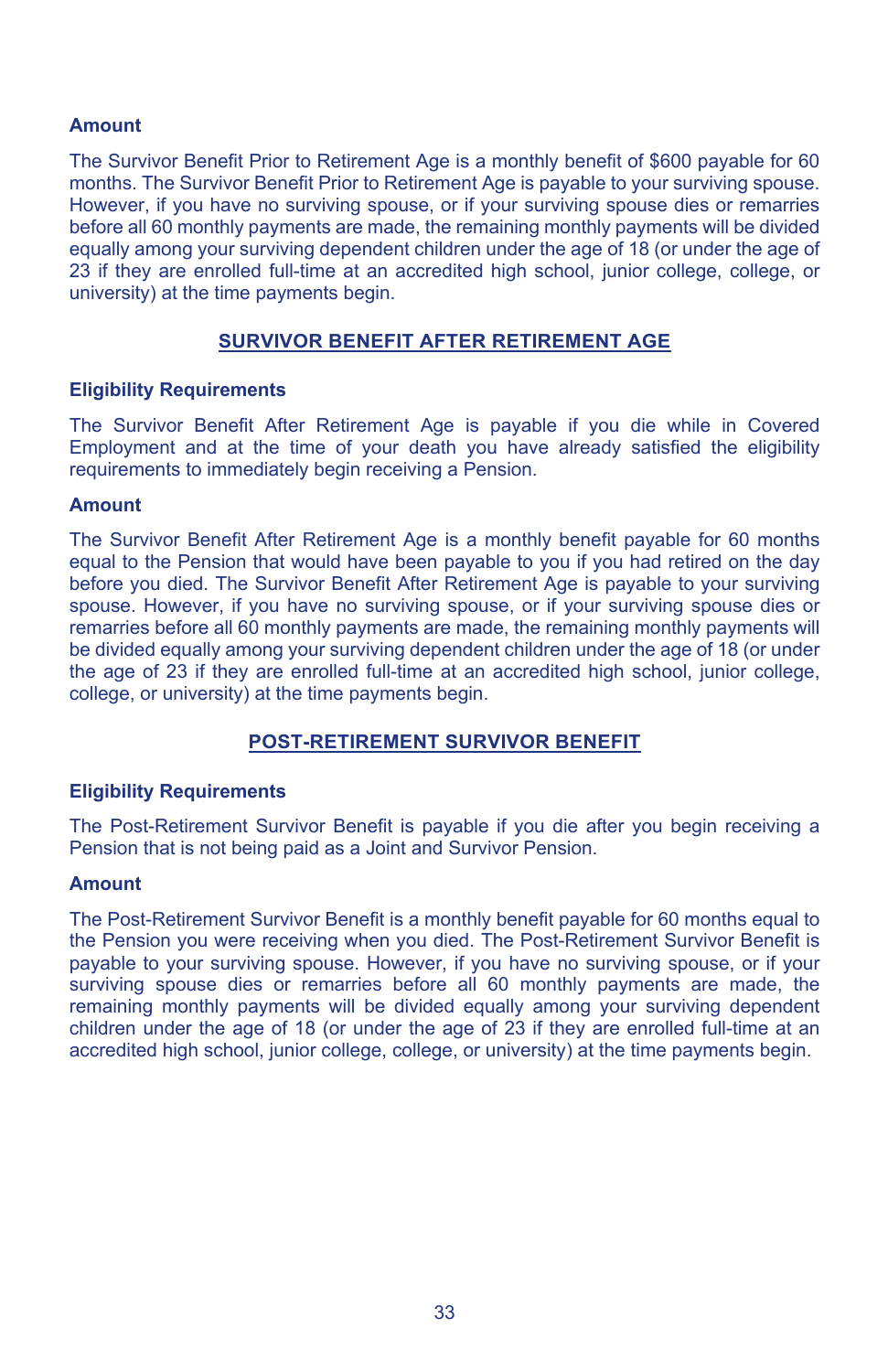#### **Amount**

The Survivor Benefit Prior to Retirement Age is a monthly benefit of \$600 payable for 60 months. The Survivor Benefit Prior to Retirement Age is payable to your surviving spouse. However, if you have no surviving spouse, or if your surviving spouse dies or remarries before all 60 monthly payments are made, the remaining monthly payments will be divided equally among your surviving dependent children under the age of 18 (or under the age of 23 if they are enrolled full-time at an accredited high school, junior college, college, or university) at the time payments begin.

#### **SURVIVOR BENEFIT AFTER RETIREMENT AGE**

#### **Eligibility Requirements**

The Survivor Benefit After Retirement Age is payable if you die while in Covered Employment and at the time of your death you have already satisfied the eligibility requirements to immediately begin receiving a Pension.

#### **Amount**

The Survivor Benefit After Retirement Age is a monthly benefit payable for 60 months equal to the Pension that would have been payable to you if you had retired on the day before you died. The Survivor Benefit After Retirement Age is payable to your surviving spouse. However, if you have no surviving spouse, or if your surviving spouse dies or remarries before all 60 monthly payments are made, the remaining monthly payments will be divided equally among your surviving dependent children under the age of 18 (or under the age of 23 if they are enrolled full-time at an accredited high school, junior college, college, or university) at the time payments begin.

#### **POST-RETIREMENT SURVIVOR BENEFIT**

#### **Eligibility Requirements**

The Post-Retirement Survivor Benefit is payable if you die after you begin receiving a Pension that is not being paid as a Joint and Survivor Pension.

#### **Amount**

The Post-Retirement Survivor Benefit is a monthly benefit payable for 60 months equal to the Pension you were receiving when you died. The Post-Retirement Survivor Benefit is payable to your surviving spouse. However, if you have no surviving spouse, or if your surviving spouse dies or remarries before all 60 monthly payments are made, the remaining monthly payments will be divided equally among your surviving dependent children under the age of 18 (or under the age of 23 if they are enrolled full-time at an accredited high school, junior college, college, or university) at the time payments begin.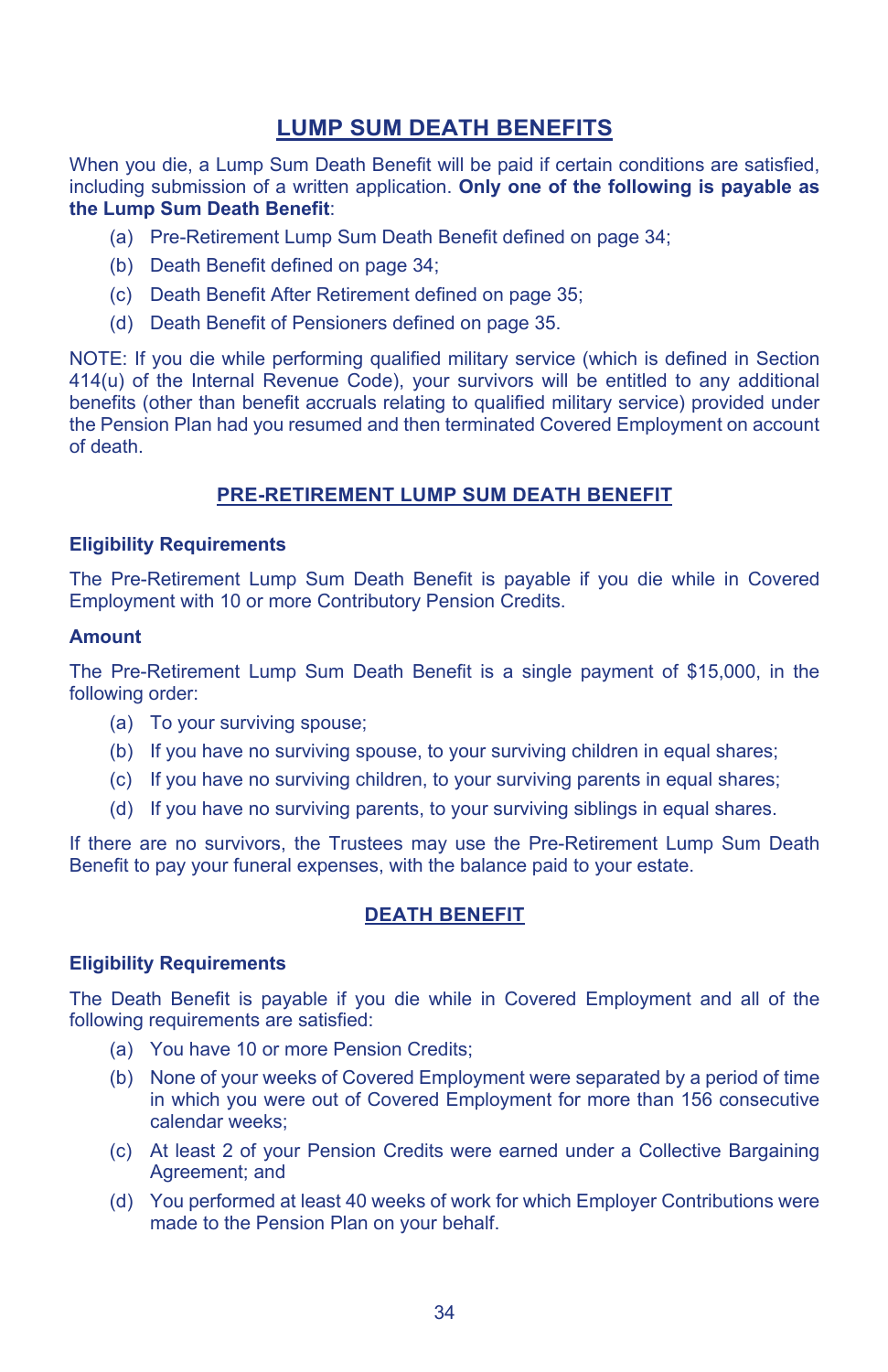# **LUMP SUM DEATH BENEFITS**

When you die, a Lump Sum Death Benefit will be paid if certain conditions are satisfied, including submission of a written application. **Only one of the following is payable as the Lump Sum Death Benefit**:

- (a) Pre-Retirement Lump Sum Death Benefit defined on page 34;
- (b) Death Benefit defined on page 34;
- (c) Death Benefit After Retirement defined on page 35;
- (d) Death Benefit of Pensioners defined on page 35.

NOTE: If you die while performing qualified military service (which is defined in Section 414(u) of the Internal Revenue Code), your survivors will be entitled to any additional benefits (other than benefit accruals relating to qualified military service) provided under the Pension Plan had you resumed and then terminated Covered Employment on account of death.

#### **PRE-RETIREMENT LUMP SUM DEATH BENEFIT**

#### **Eligibility Requirements**

The Pre-Retirement Lump Sum Death Benefit is payable if you die while in Covered Employment with 10 or more Contributory Pension Credits.

#### **Amount**

The Pre-Retirement Lump Sum Death Benefit is a single payment of \$15,000, in the following order:

- (a) To your surviving spouse;
- (b) If you have no surviving spouse, to your surviving children in equal shares;
- (c) If you have no surviving children, to your surviving parents in equal shares;
- (d) If you have no surviving parents, to your surviving siblings in equal shares.

If there are no survivors, the Trustees may use the Pre-Retirement Lump Sum Death Benefit to pay your funeral expenses, with the balance paid to your estate.

#### **DEATH BENEFIT**

#### **Eligibility Requirements**

The Death Benefit is payable if you die while in Covered Employment and all of the following requirements are satisfied:

- (a) You have 10 or more Pension Credits;
- (b) None of your weeks of Covered Employment were separated by a period of time in which you were out of Covered Employment for more than 156 consecutive calendar weeks;
- (c) At least 2 of your Pension Credits were earned under a Collective Bargaining Agreement; and
- (d) You performed at least 40 weeks of work for which Employer Contributions were made to the Pension Plan on your behalf.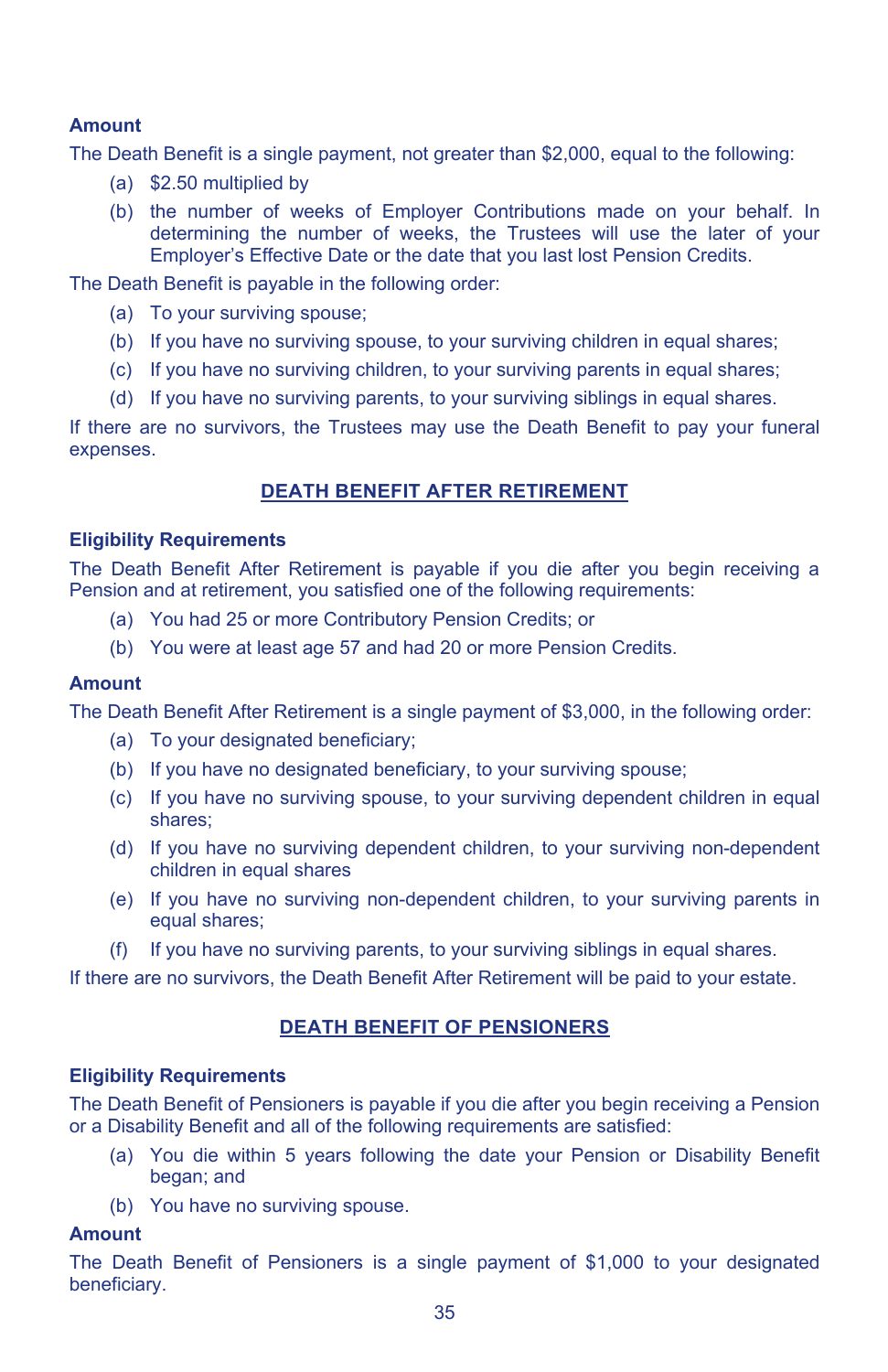#### **Amount**

The Death Benefit is a single payment, not greater than \$2,000, equal to the following:

- (a) \$2.50 multiplied by
- (b) the number of weeks of Employer Contributions made on your behalf. In determining the number of weeks, the Trustees will use the later of your Employer's Effective Date or the date that you last lost Pension Credits.

The Death Benefit is payable in the following order:

- (a) To your surviving spouse;
- (b) If you have no surviving spouse, to your surviving children in equal shares;
- (c) If you have no surviving children, to your surviving parents in equal shares;
- (d) If you have no surviving parents, to your surviving siblings in equal shares.

If there are no survivors, the Trustees may use the Death Benefit to pay your funeral expenses.

#### **DEATH BENEFIT AFTER RETIREMENT**

#### **Eligibility Requirements**

The Death Benefit After Retirement is payable if you die after you begin receiving a Pension and at retirement, you satisfied one of the following requirements:

- (a) You had 25 or more Contributory Pension Credits; or
- (b) You were at least age 57 and had 20 or more Pension Credits.

#### **Amount**

The Death Benefit After Retirement is a single payment of \$3,000, in the following order:

- (a) To your designated beneficiary;
- (b) If you have no designated beneficiary, to your surviving spouse;
- (c) If you have no surviving spouse, to your surviving dependent children in equal shares;
- (d) If you have no surviving dependent children, to your surviving non-dependent children in equal shares
- (e) If you have no surviving non-dependent children, to your surviving parents in equal shares;
- (f) If you have no surviving parents, to your surviving siblings in equal shares.

If there are no survivors, the Death Benefit After Retirement will be paid to your estate.

#### **DEATH BENEFIT OF PENSIONERS**

#### **Eligibility Requirements**

The Death Benefit of Pensioners is payable if you die after you begin receiving a Pension or a Disability Benefit and all of the following requirements are satisfied:

- (a) You die within 5 years following the date your Pension or Disability Benefit began; and
- (b) You have no surviving spouse.

#### **Amount**

The Death Benefit of Pensioners is a single payment of \$1,000 to your designated beneficiary.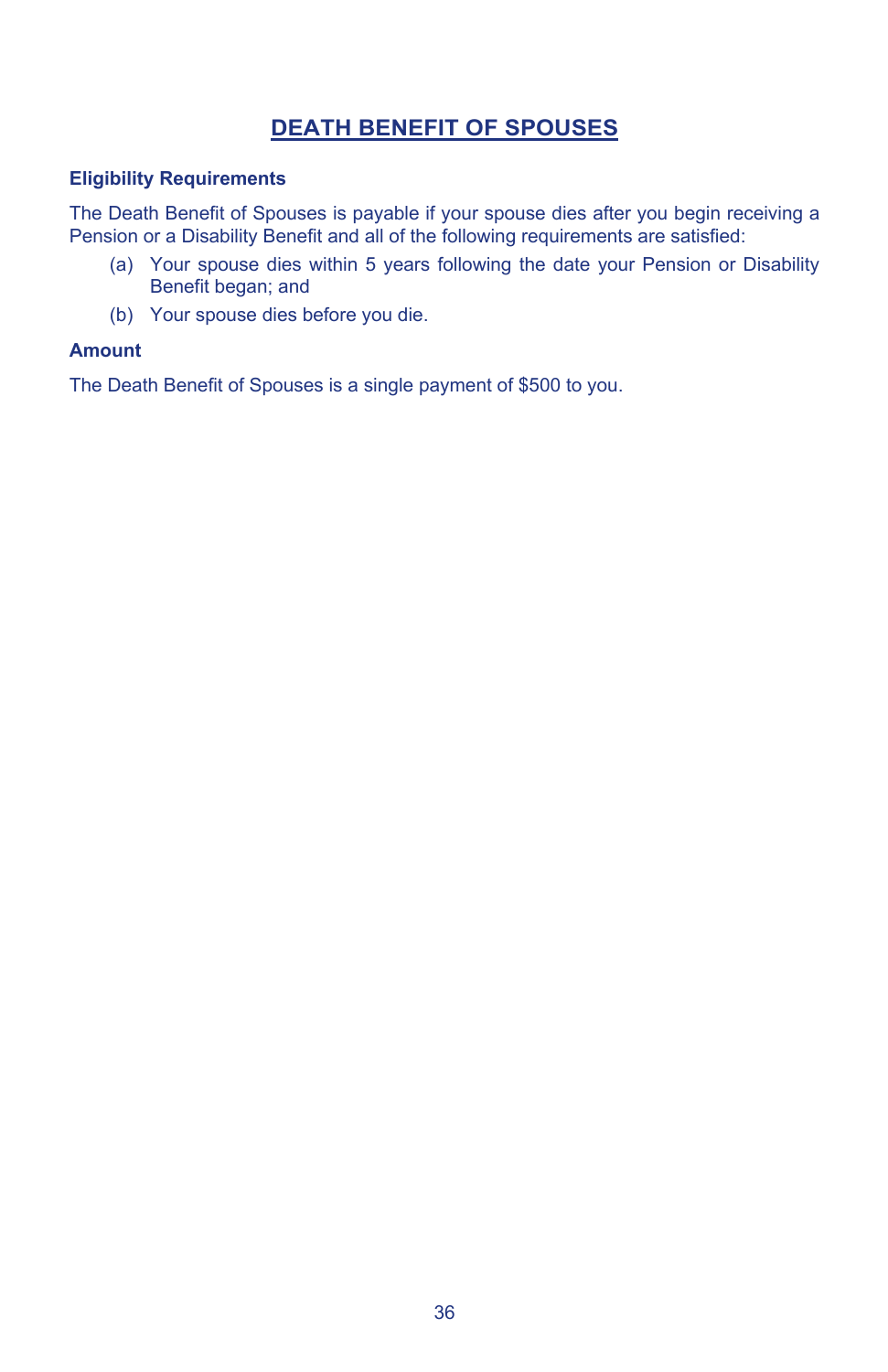# **DEATH BENEFIT OF SPOUSES**

#### **Eligibility Requirements**

The Death Benefit of Spouses is payable if your spouse dies after you begin receiving a Pension or a Disability Benefit and all of the following requirements are satisfied:

- (a) Your spouse dies within 5 years following the date your Pension or Disability Benefit began; and
- (b) Your spouse dies before you die.

#### **Amount**

The Death Benefit of Spouses is a single payment of \$500 to you.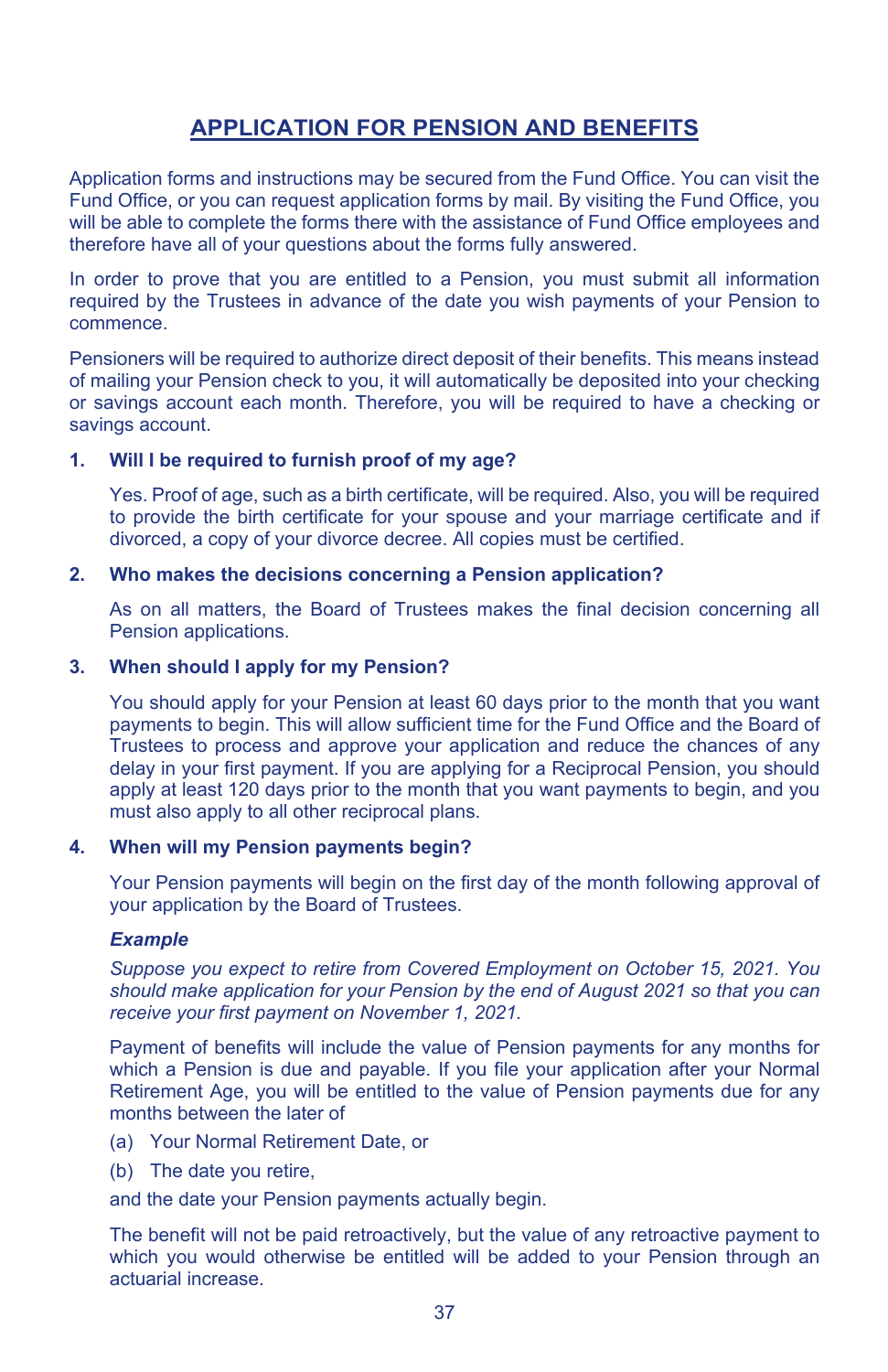# **APPLICATION FOR PENSION AND BENEFITS**

Application forms and instructions may be secured from the Fund Office. You can visit the Fund Office, or you can request application forms by mail. By visiting the Fund Office, you will be able to complete the forms there with the assistance of Fund Office employees and therefore have all of your questions about the forms fully answered.

In order to prove that you are entitled to a Pension, you must submit all information required by the Trustees in advance of the date you wish payments of your Pension to commence.

Pensioners will be required to authorize direct deposit of their benefits. This means instead of mailing your Pension check to you, it will automatically be deposited into your checking or savings account each month. Therefore, you will be required to have a checking or savings account.

#### **1. Will I be required to furnish proof of my age?**

Yes. Proof of age, such as a birth certificate, will be required. Also, you will be required to provide the birth certificate for your spouse and your marriage certificate and if divorced, a copy of your divorce decree. All copies must be certified.

#### **2. Who makes the decisions concerning a Pension application?**

As on all matters, the Board of Trustees makes the final decision concerning all Pension applications.

#### **3. When should I apply for my Pension?**

You should apply for your Pension at least 60 days prior to the month that you want payments to begin. This will allow sufficient time for the Fund Office and the Board of Trustees to process and approve your application and reduce the chances of any delay in your first payment. If you are applying for a Reciprocal Pension, you should apply at least 120 days prior to the month that you want payments to begin, and you must also apply to all other reciprocal plans.

#### **4. When will my Pension payments begin?**

Your Pension payments will begin on the first day of the month following approval of your application by the Board of Trustees.

#### *Example*

*Suppose you expect to retire from Covered Employment on October 15, 2021. You should make application for your Pension by the end of August 2021 so that you can receive your first payment on November 1, 2021.*

Payment of benefits will include the value of Pension payments for any months for which a Pension is due and payable. If you file your application after your Normal Retirement Age, you will be entitled to the value of Pension payments due for any months between the later of

- (a) Your Normal Retirement Date, or
- (b) The date you retire,

and the date your Pension payments actually begin.

The benefit will not be paid retroactively, but the value of any retroactive payment to which you would otherwise be entitled will be added to your Pension through an actuarial increase.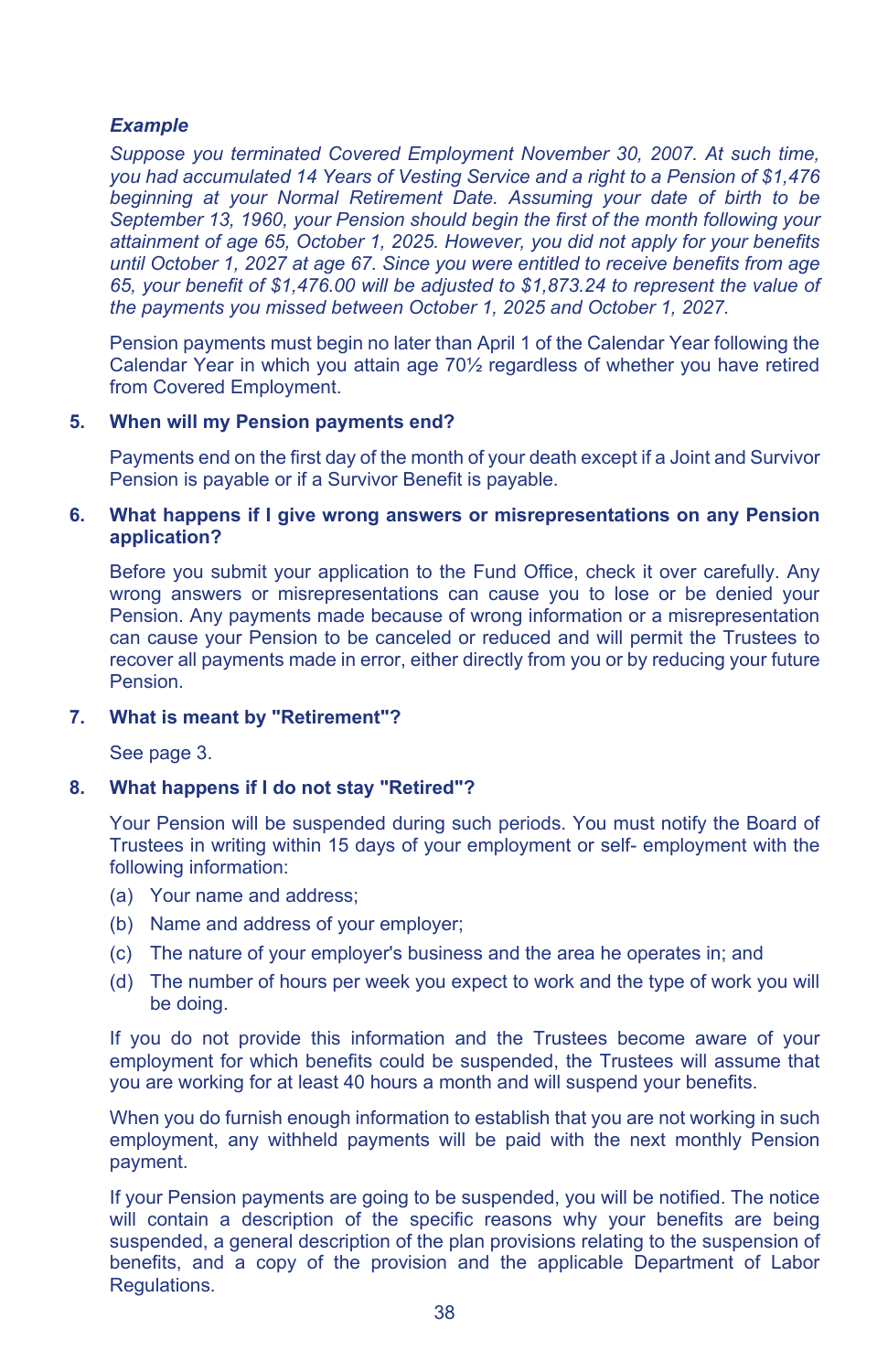#### *Example*

*Suppose you terminated Covered Employment November 30, 2007. At such time, you had accumulated 14 Years of Vesting Service and a right to a Pension of \$1,476 beginning at your Normal Retirement Date. Assuming your date of birth to be September 13, 1960, your Pension should begin the first of the month following your attainment of age 65, October 1, 2025. However, you did not apply for your benefits until October 1, 2027 at age 67. Since you were entitled to receive benefits from age 65, your benefit of \$1,476.00 will be adjusted to \$1,873.24 to represent the value of the payments you missed between October 1, 2025 and October 1, 2027.*

Pension payments must begin no later than April 1 of the Calendar Year following the Calendar Year in which you attain age 70½ regardless of whether you have retired from Covered Employment.

#### **5. When will my Pension payments end?**

Payments end on the first day of the month of your death except if a Joint and Survivor Pension is payable or if a Survivor Benefit is payable.

#### **6. What happens if I give wrong answers or misrepresentations on any Pension application?**

Before you submit your application to the Fund Office, check it over carefully. Any wrong answers or misrepresentations can cause you to lose or be denied your Pension. Any payments made because of wrong information or a misrepresentation can cause your Pension to be canceled or reduced and will permit the Trustees to recover all payments made in error, either directly from you or by reducing your future Pension.

#### **7. What is meant by "Retirement"?**

See page 3.

#### **8. What happens if I do not stay "Retired"?**

Your Pension will be suspended during such periods. You must notify the Board of Trustees in writing within 15 days of your employment or self- employment with the following information:

- (a) Your name and address;
- (b) Name and address of your employer;
- (c) The nature of your employer's business and the area he operates in; and
- (d) The number of hours per week you expect to work and the type of work you will be doing.

If you do not provide this information and the Trustees become aware of your employment for which benefits could be suspended, the Trustees will assume that you are working for at least 40 hours a month and will suspend your benefits.

When you do furnish enough information to establish that you are not working in such employment, any withheld payments will be paid with the next monthly Pension payment.

If your Pension payments are going to be suspended, you will be notified. The notice will contain a description of the specific reasons why your benefits are being suspended, a general description of the plan provisions relating to the suspension of benefits, and a copy of the provision and the applicable Department of Labor Regulations.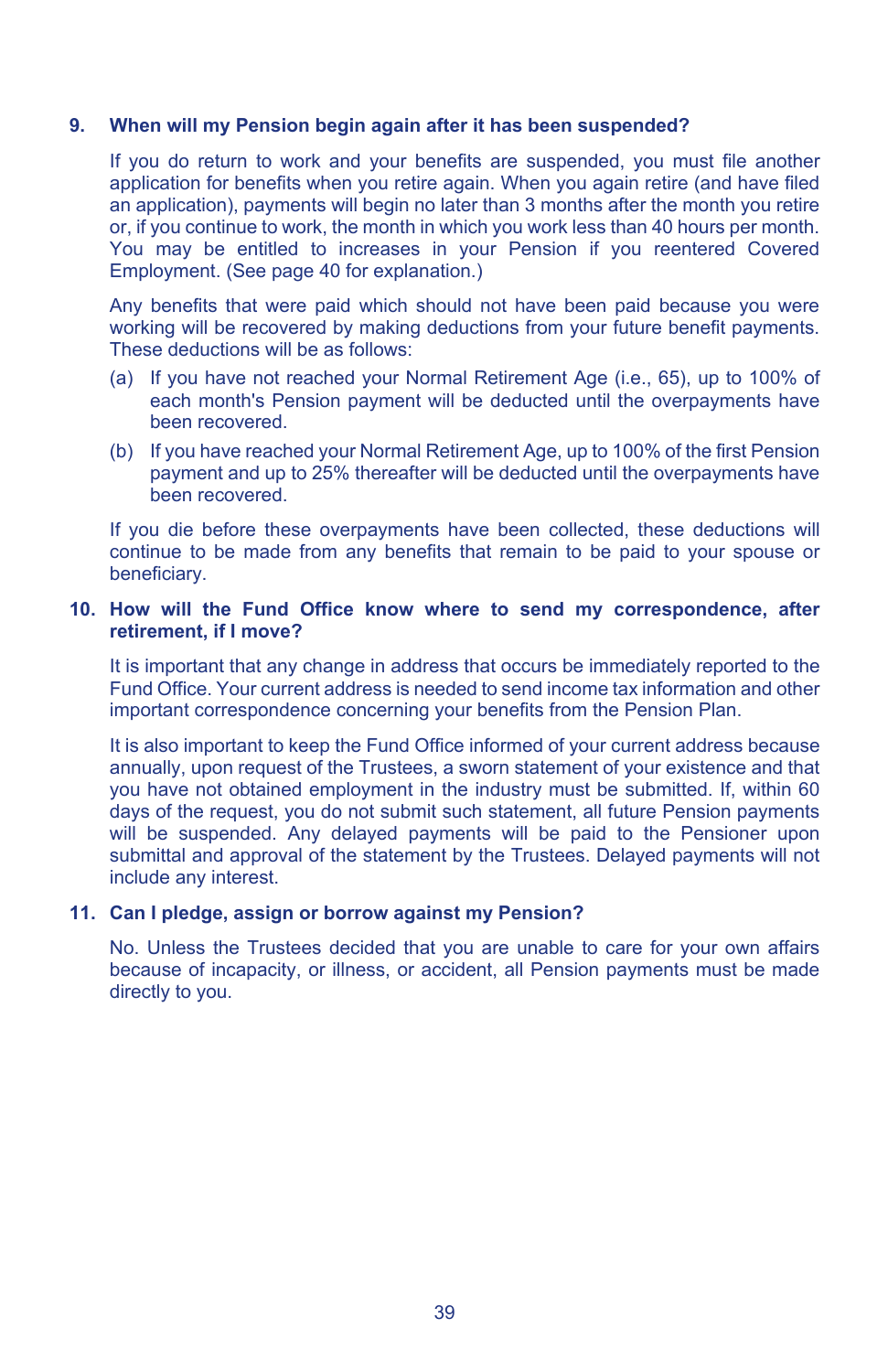#### **9. When will my Pension begin again after it has been suspended?**

If you do return to work and your benefits are suspended, you must file another application for benefits when you retire again. When you again retire (and have filed an application), payments will begin no later than 3 months after the month you retire or, if you continue to work, the month in which you work less than 40 hours per month. You may be entitled to increases in your Pension if you reentered Covered Employment. (See page 40 for explanation.)

Any benefits that were paid which should not have been paid because you were working will be recovered by making deductions from your future benefit payments. These deductions will be as follows:

- (a) If you have not reached your Normal Retirement Age (i.e., 65), up to 100% of each month's Pension payment will be deducted until the overpayments have been recovered.
- (b) If you have reached your Normal Retirement Age, up to 100% of the first Pension payment and up to 25% thereafter will be deducted until the overpayments have been recovered.

If you die before these overpayments have been collected, these deductions will continue to be made from any benefits that remain to be paid to your spouse or beneficiary.

#### **10. How will the Fund Office know where to send my correspondence, after retirement, if I move?**

It is important that any change in address that occurs be immediately reported to the Fund Office. Your current address is needed to send income tax information and other important correspondence concerning your benefits from the Pension Plan.

It is also important to keep the Fund Office informed of your current address because annually, upon request of the Trustees, a sworn statement of your existence and that you have not obtained employment in the industry must be submitted. If, within 60 days of the request, you do not submit such statement, all future Pension payments will be suspended. Any delayed payments will be paid to the Pensioner upon submittal and approval of the statement by the Trustees. Delayed payments will not include any interest.

#### **11. Can I pledge, assign or borrow against my Pension?**

No. Unless the Trustees decided that you are unable to care for your own affairs because of incapacity, or illness, or accident, all Pension payments must be made directly to you.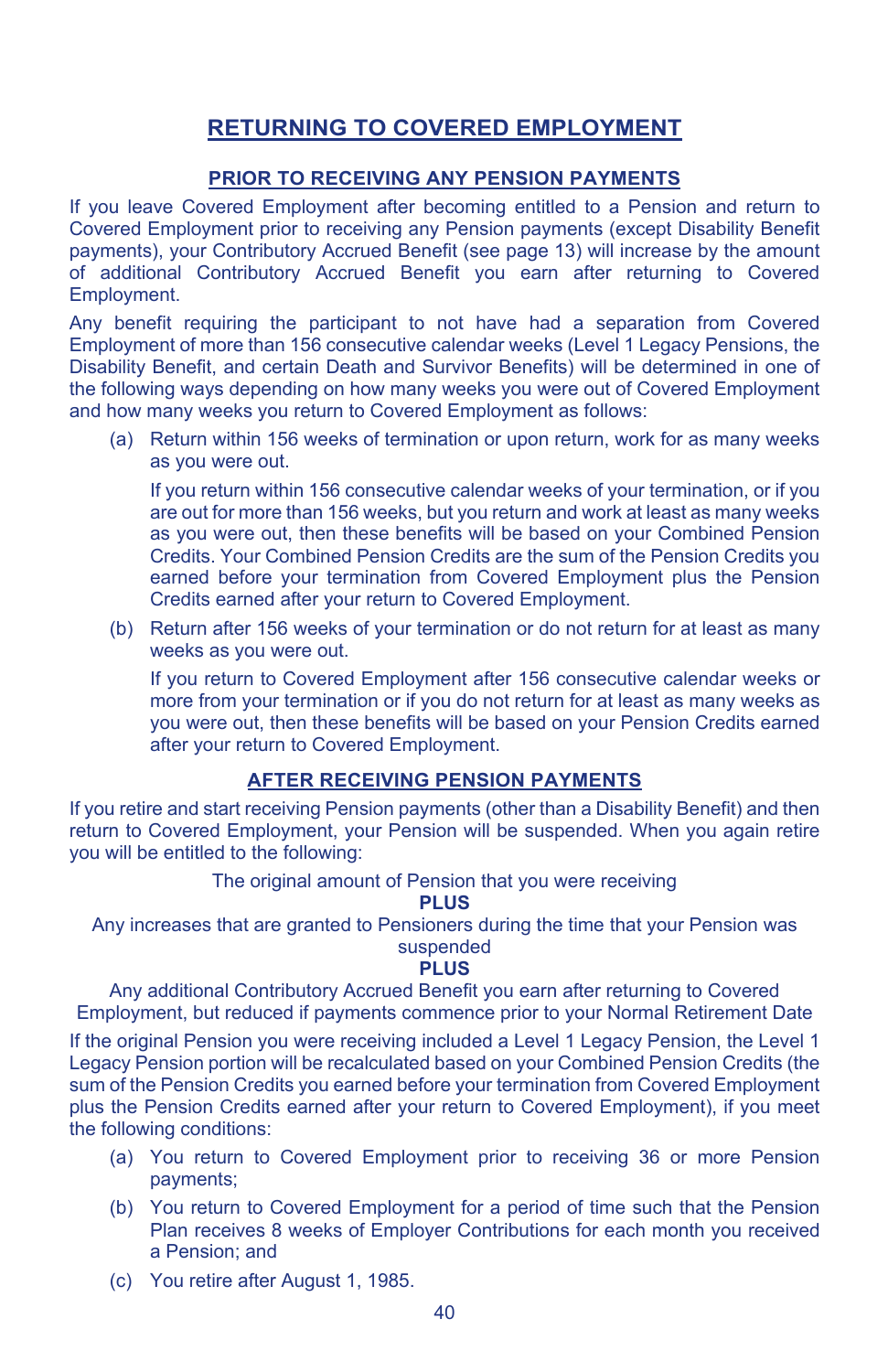# **RETURNING TO COVERED EMPLOYMENT**

#### **PRIOR TO RECEIVING ANY PENSION PAYMENTS**

If you leave Covered Employment after becoming entitled to a Pension and return to Covered Employment prior to receiving any Pension payments (except Disability Benefit payments), your Contributory Accrued Benefit (see page 13) will increase by the amount of additional Contributory Accrued Benefit you earn after returning to Covered Employment.

Any benefit requiring the participant to not have had a separation from Covered Employment of more than 156 consecutive calendar weeks (Level 1 Legacy Pensions, the Disability Benefit, and certain Death and Survivor Benefits) will be determined in one of the following ways depending on how many weeks you were out of Covered Employment and how many weeks you return to Covered Employment as follows:

(a) Return within 156 weeks of termination or upon return, work for as many weeks as you were out.

If you return within 156 consecutive calendar weeks of your termination, or if you are out for more than 156 weeks, but you return and work at least as many weeks as you were out, then these benefits will be based on your Combined Pension Credits. Your Combined Pension Credits are the sum of the Pension Credits you earned before your termination from Covered Employment plus the Pension Credits earned after your return to Covered Employment.

(b) Return after 156 weeks of your termination or do not return for at least as many weeks as you were out.

If you return to Covered Employment after 156 consecutive calendar weeks or more from your termination or if you do not return for at least as many weeks as you were out, then these benefits will be based on your Pension Credits earned after your return to Covered Employment.

#### **AFTER RECEIVING PENSION PAYMENTS**

If you retire and start receiving Pension payments (other than a Disability Benefit) and then return to Covered Employment, your Pension will be suspended. When you again retire you will be entitled to the following:

The original amount of Pension that you were receiving

**PLUS**

Any increases that are granted to Pensioners during the time that your Pension was

# suspended

#### **PLUS**

Any additional Contributory Accrued Benefit you earn after returning to Covered Employment, but reduced if payments commence prior to your Normal Retirement Date

If the original Pension you were receiving included a Level 1 Legacy Pension, the Level 1 Legacy Pension portion will be recalculated based on your Combined Pension Credits (the sum of the Pension Credits you earned before your termination from Covered Employment plus the Pension Credits earned after your return to Covered Employment), if you meet the following conditions:

- (a) You return to Covered Employment prior to receiving 36 or more Pension payments;
- (b) You return to Covered Employment for a period of time such that the Pension Plan receives 8 weeks of Employer Contributions for each month you received a Pension; and
- (c) You retire after August 1, 1985.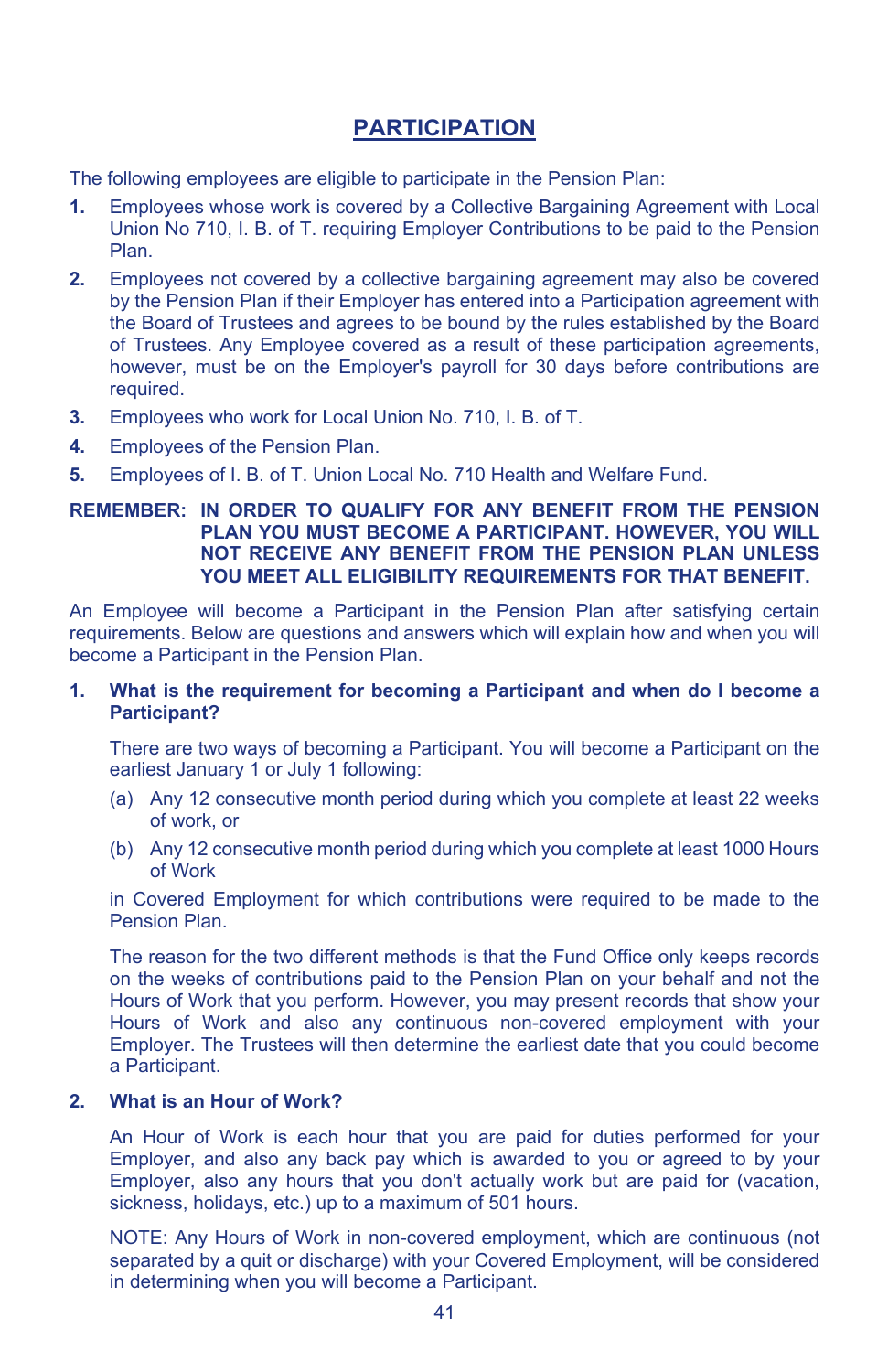# **PARTICIPATION**

The following employees are eligible to participate in the Pension Plan:

- **1.** Employees whose work is covered by a Collective Bargaining Agreement with Local Union No 710, I. B. of T. requiring Employer Contributions to be paid to the Pension Plan.
- **2.** Employees not covered by a collective bargaining agreement may also be covered by the Pension Plan if their Employer has entered into a Participation agreement with the Board of Trustees and agrees to be bound by the rules established by the Board of Trustees. Any Employee covered as a result of these participation agreements, however, must be on the Employer's payroll for 30 days before contributions are required.
- **3.** Employees who work for Local Union No. 710, I. B. of T.
- **4.** Employees of the Pension Plan.
- **5.** Employees of I. B. of T. Union Local No. 710 Health and Welfare Fund.

#### **REMEMBER: IN ORDER TO QUALIFY FOR ANY BENEFIT FROM THE PENSION PLAN YOU MUST BECOME A PARTICIPANT. HOWEVER, YOU WILL NOT RECEIVE ANY BENEFIT FROM THE PENSION PLAN UNLESS YOU MEET ALL ELIGIBILITY REQUIREMENTS FOR THAT BENEFIT.**

An Employee will become a Participant in the Pension Plan after satisfying certain requirements. Below are questions and answers which will explain how and when you will become a Participant in the Pension Plan.

#### **1. What is the requirement for becoming a Participant and when do I become a Participant?**

There are two ways of becoming a Participant. You will become a Participant on the earliest January 1 or July 1 following:

- (a) Any 12 consecutive month period during which you complete at least 22 weeks of work, or
- (b) Any 12 consecutive month period during which you complete at least 1000 Hours of Work

in Covered Employment for which contributions were required to be made to the Pension Plan.

The reason for the two different methods is that the Fund Office only keeps records on the weeks of contributions paid to the Pension Plan on your behalf and not the Hours of Work that you perform. However, you may present records that show your Hours of Work and also any continuous non-covered employment with your Employer. The Trustees will then determine the earliest date that you could become a Participant.

#### **2. What is an Hour of Work?**

An Hour of Work is each hour that you are paid for duties performed for your Employer, and also any back pay which is awarded to you or agreed to by your Employer, also any hours that you don't actually work but are paid for (vacation, sickness, holidays, etc.) up to a maximum of 501 hours.

NOTE: Any Hours of Work in non-covered employment, which are continuous (not separated by a quit or discharge) with your Covered Employment, will be considered in determining when you will become a Participant.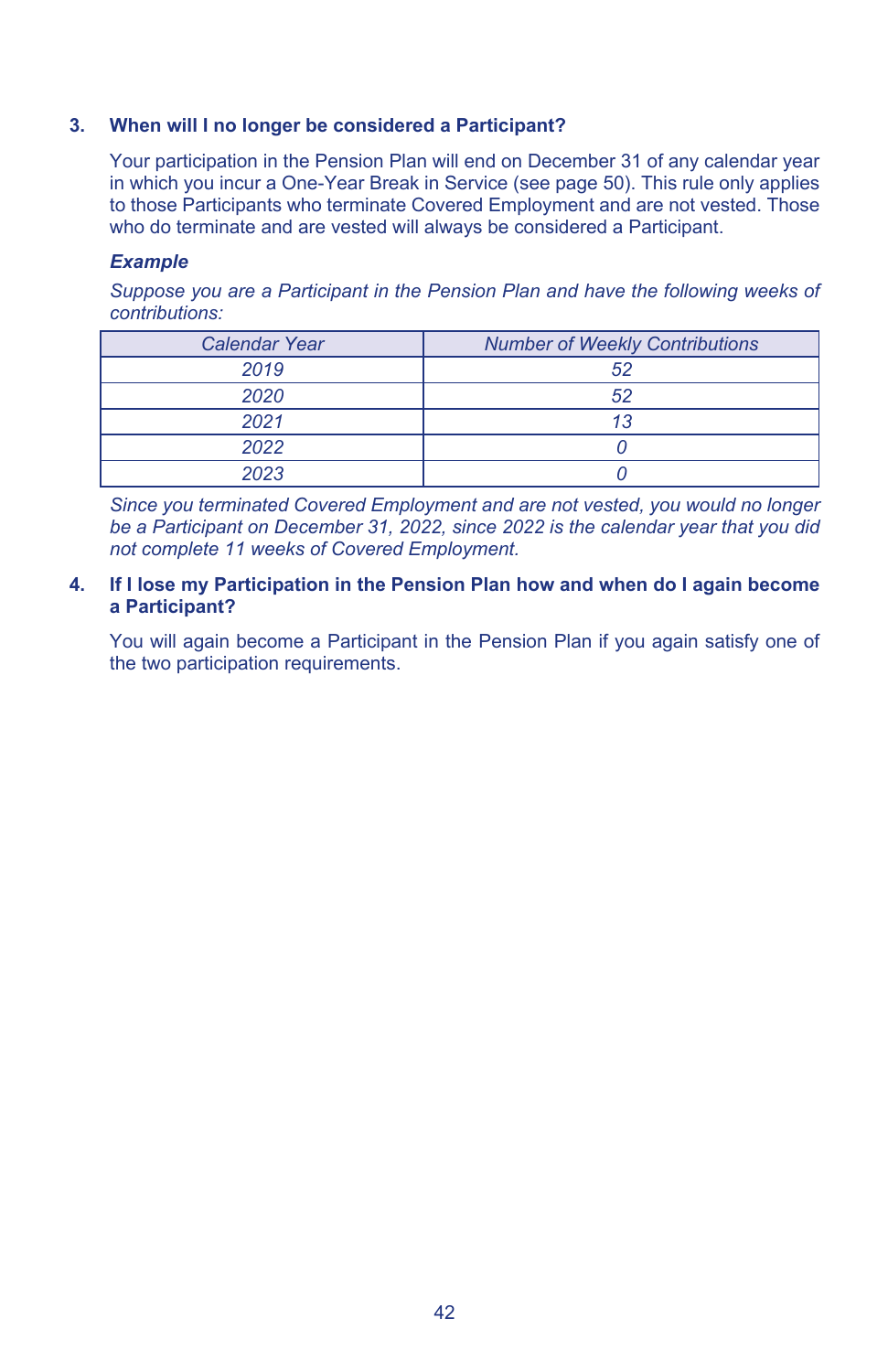#### **3. When will I no longer be considered a Participant?**

Your participation in the Pension Plan will end on December 31 of any calendar year in which you incur a One-Year Break in Service (see page 50). This rule only applies to those Participants who terminate Covered Employment and are not vested. Those who do terminate and are vested will always be considered a Participant.

#### *Example*

*Suppose you are a Participant in the Pension Plan and have the following weeks of contributions:*

| Calendar Year | <b>Number of Weekly Contributions</b> |
|---------------|---------------------------------------|
| 2019          | 52                                    |
| 2020          | 52                                    |
| 2021          | 13                                    |
| 2022          |                                       |
| 2023          |                                       |

*Since you terminated Covered Employment and are not vested, you would no longer be a Participant on December 31, 2022, since 2022 is the calendar year that you did not complete 11 weeks of Covered Employment.*

#### **4. If I lose my Participation in the Pension Plan how and when do I again become a Participant?**

You will again become a Participant in the Pension Plan if you again satisfy one of the two participation requirements.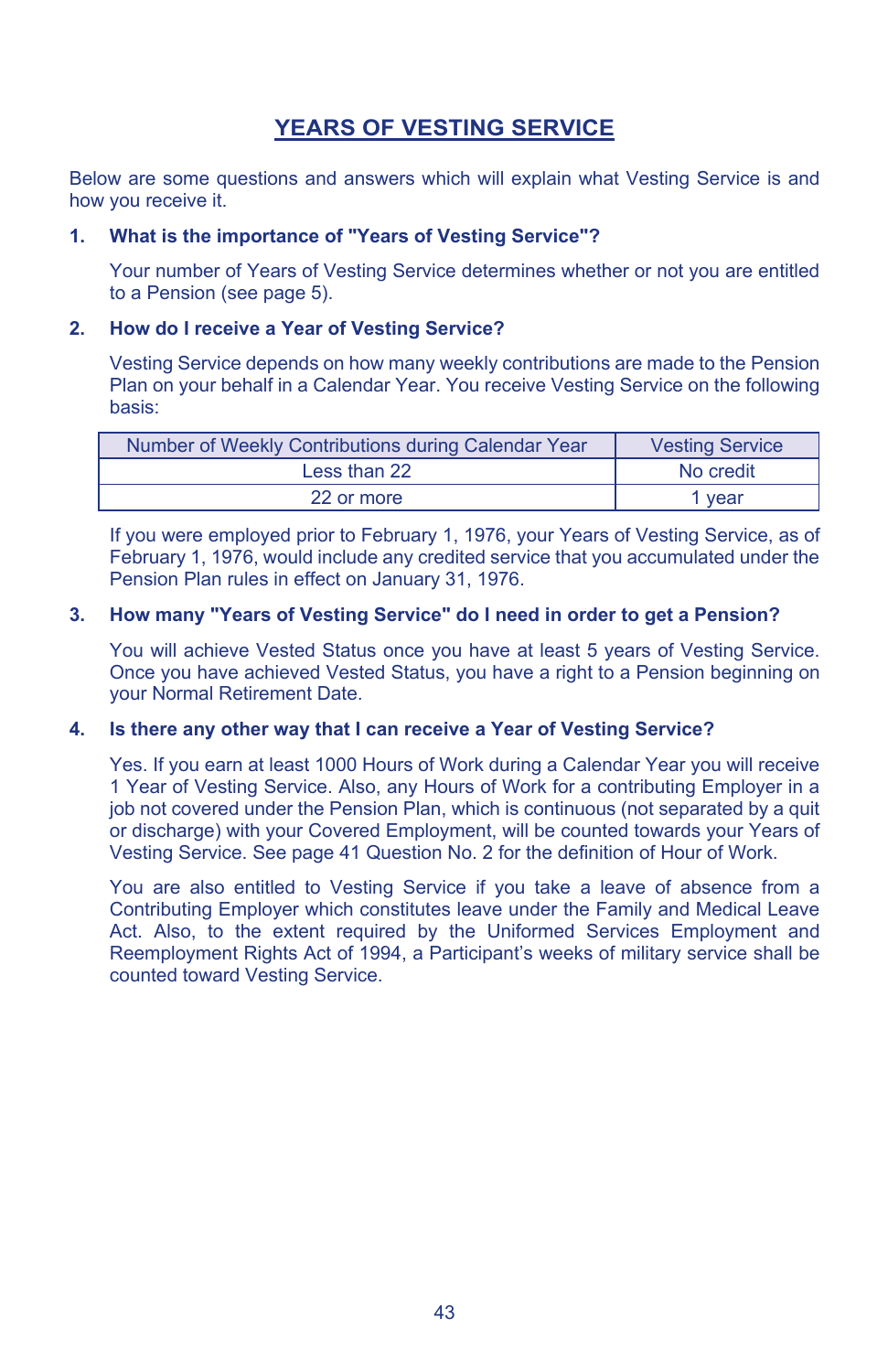# **YEARS OF VESTING SERVICE**

Below are some questions and answers which will explain what Vesting Service is and how you receive it.

#### **1. What is the importance of "Years of Vesting Service"?**

Your number of Years of Vesting Service determines whether or not you are entitled to a Pension (see page 5).

#### **2. How do I receive a Year of Vesting Service?**

Vesting Service depends on how many weekly contributions are made to the Pension Plan on your behalf in a Calendar Year. You receive Vesting Service on the following basis:

| Number of Weekly Contributions during Calendar Year | <b>Vesting Service</b> |
|-----------------------------------------------------|------------------------|
| Less than 22                                        | No credit              |
| 22 or more                                          | 1 year                 |

If you were employed prior to February 1, 1976, your Years of Vesting Service, as of February 1, 1976, would include any credited service that you accumulated under the Pension Plan rules in effect on January 31, 1976.

#### **3. How many "Years of Vesting Service" do I need in order to get a Pension?**

You will achieve Vested Status once you have at least 5 years of Vesting Service. Once you have achieved Vested Status, you have a right to a Pension beginning on your Normal Retirement Date.

#### **4. Is there any other way that I can receive a Year of Vesting Service?**

Yes. If you earn at least 1000 Hours of Work during a Calendar Year you will receive 1 Year of Vesting Service. Also, any Hours of Work for a contributing Employer in a job not covered under the Pension Plan, which is continuous (not separated by a quit or discharge) with your Covered Employment, will be counted towards your Years of Vesting Service. See page 41 Question No. 2 for the definition of Hour of Work.

You are also entitled to Vesting Service if you take a leave of absence from a Contributing Employer which constitutes leave under the Family and Medical Leave Act. Also, to the extent required by the Uniformed Services Employment and Reemployment Rights Act of 1994, a Participant's weeks of military service shall be counted toward Vesting Service.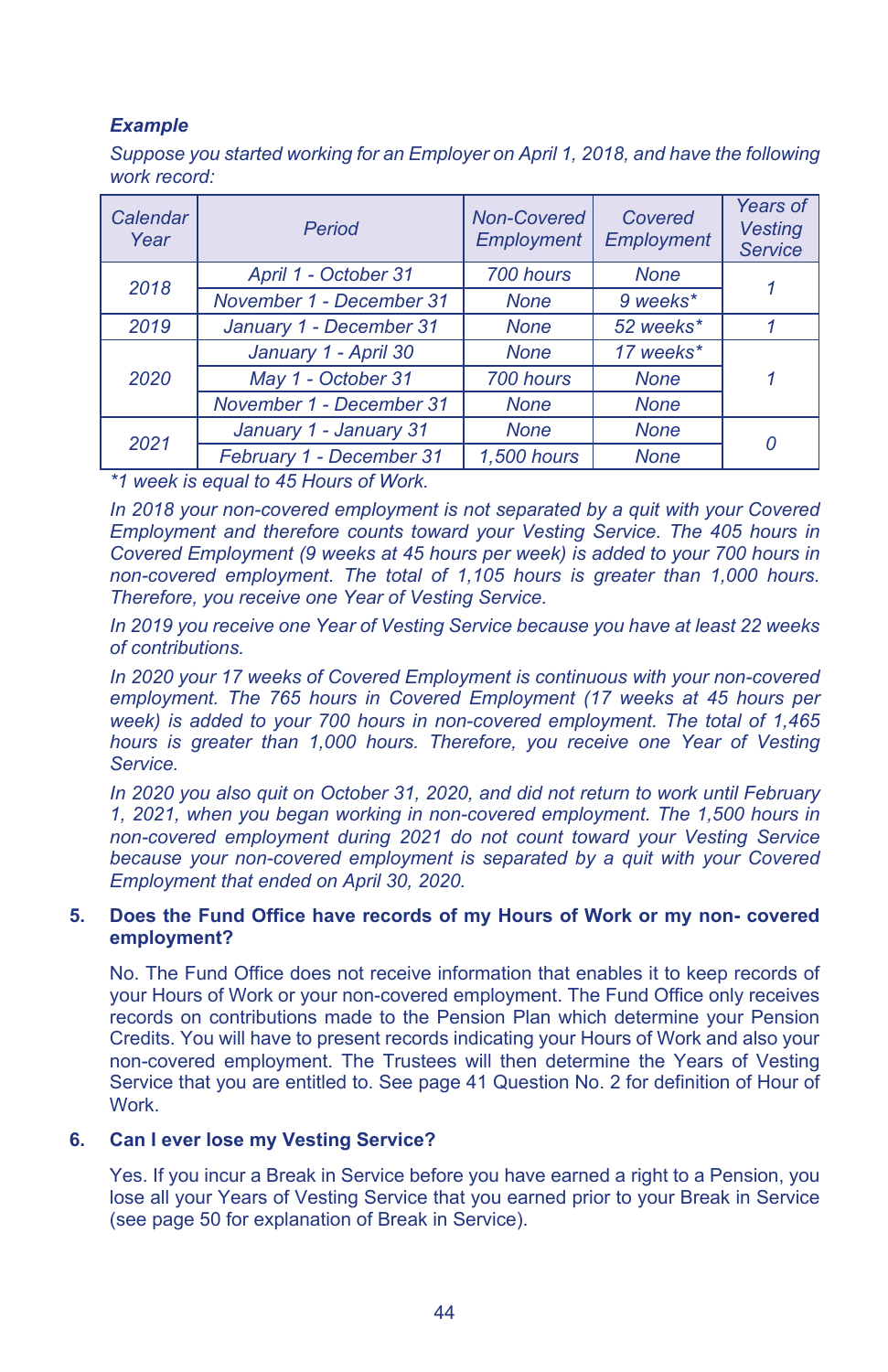#### *Example*

*Suppose you started working for an Employer on April 1, 2018, and have the following work record:*

| Calendar<br>Year | Period                   | Non-Covered<br>Employment | Covered<br>Employment | Years of<br><b>Vesting</b><br>Service |  |
|------------------|--------------------------|---------------------------|-----------------------|---------------------------------------|--|
| 2018             | April 1 - October 31     | 700 hours                 | <b>None</b>           |                                       |  |
|                  | November 1 - December 31 | <b>None</b>               | 9 weeks*              |                                       |  |
| 2019             | January 1 - December 31  | <b>None</b>               | 52 weeks*             |                                       |  |
|                  | January 1 - April 30     | <b>None</b>               | 17 weeks*             |                                       |  |
| 2020             | May 1 - October 31       | 700 hours                 | <b>None</b>           |                                       |  |
|                  | November 1 - December 31 | <b>None</b>               | <b>None</b>           |                                       |  |
| 2021             | January 1 - January 31   | <b>None</b>               | <b>None</b>           |                                       |  |
|                  | February 1 - December 31 | 1,500 hours               | <b>None</b>           |                                       |  |

*\*1 week is equal to 45 Hours of Work.*

*In 2018 your non-covered employment is not separated by a quit with your Covered Employment and therefore counts toward your Vesting Service. The 405 hours in Covered Employment (9 weeks at 45 hours per week) is added to your 700 hours in non-covered employment. The total of 1,105 hours is greater than 1,000 hours. Therefore, you receive one Year of Vesting Service.*

*In 2019 you receive one Year of Vesting Service because you have at least 22 weeks of contributions.*

*In 2020 your 17 weeks of Covered Employment is continuous with your non-covered employment. The 765 hours in Covered Employment (17 weeks at 45 hours per week) is added to your 700 hours in non-covered employment. The total of 1,465 hours is greater than 1,000 hours. Therefore, you receive one Year of Vesting Service.*

*In 2020 you also quit on October 31, 2020, and did not return to work until February 1, 2021, when you began working in non-covered employment. The 1,500 hours in non-covered employment during 2021 do not count toward your Vesting Service because your non-covered employment is separated by a quit with your Covered Employment that ended on April 30, 2020.*

#### **5. Does the Fund Office have records of my Hours of Work or my non- covered employment?**

No. The Fund Office does not receive information that enables it to keep records of your Hours of Work or your non-covered employment. The Fund Office only receives records on contributions made to the Pension Plan which determine your Pension Credits. You will have to present records indicating your Hours of Work and also your non-covered employment. The Trustees will then determine the Years of Vesting Service that you are entitled to. See page 41 Question No. 2 for definition of Hour of Work.

#### **6. Can I ever lose my Vesting Service?**

Yes. If you incur a Break in Service before you have earned a right to a Pension, you lose all your Years of Vesting Service that you earned prior to your Break in Service (see page 50 for explanation of Break in Service).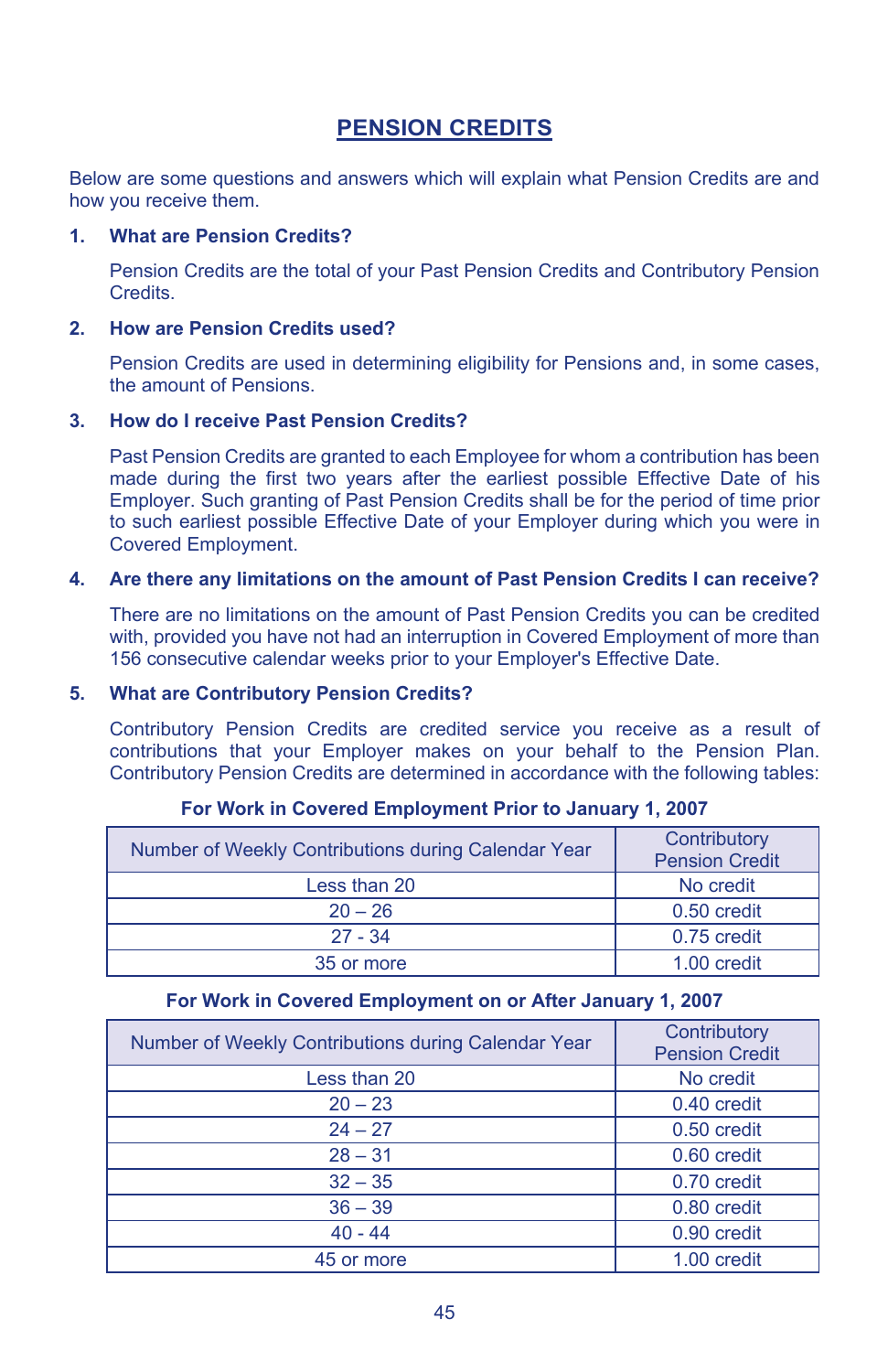# **PENSION CREDITS**

Below are some questions and answers which will explain what Pension Credits are and how you receive them.

#### **1. What are Pension Credits?**

Pension Credits are the total of your Past Pension Credits and Contributory Pension Credits.

#### **2. How are Pension Credits used?**

Pension Credits are used in determining eligibility for Pensions and, in some cases, the amount of Pensions.

#### **3. How do I receive Past Pension Credits?**

Past Pension Credits are granted to each Employee for whom a contribution has been made during the first two years after the earliest possible Effective Date of his Employer. Such granting of Past Pension Credits shall be for the period of time prior to such earliest possible Effective Date of your Employer during which you were in Covered Employment.

#### **4. Are there any limitations on the amount of Past Pension Credits I can receive?**

There are no limitations on the amount of Past Pension Credits you can be credited with, provided you have not had an interruption in Covered Employment of more than 156 consecutive calendar weeks prior to your Employer's Effective Date.

#### **5. What are Contributory Pension Credits?**

Contributory Pension Credits are credited service you receive as a result of contributions that your Employer makes on your behalf to the Pension Plan. Contributory Pension Credits are determined in accordance with the following tables:

| Number of Weekly Contributions during Calendar Year | Contributory<br><b>Pension Credit</b> |  |
|-----------------------------------------------------|---------------------------------------|--|
| Less than 20                                        | No credit                             |  |
| $20 - 26$                                           | 0.50 credit                           |  |
| $27 - 34$                                           | 0.75 credit                           |  |
| 35 or more                                          | 1.00 credit                           |  |

**For Work in Covered Employment Prior to January 1, 2007**

#### **For Work in Covered Employment on or After January 1, 2007**

| Number of Weekly Contributions during Calendar Year | Contributory<br><b>Pension Credit</b> |  |
|-----------------------------------------------------|---------------------------------------|--|
| Less than 20                                        | No credit                             |  |
| $20 - 23$                                           | 0.40 credit                           |  |
| $24 - 27$                                           | 0.50 credit                           |  |
| $28 - 31$                                           | 0.60 credit                           |  |
| $32 - 35$                                           | 0.70 credit                           |  |
| $36 - 39$                                           | 0.80 credit                           |  |
| $40 - 44$                                           | 0.90 credit                           |  |
| 45 or more                                          | 1.00 credit                           |  |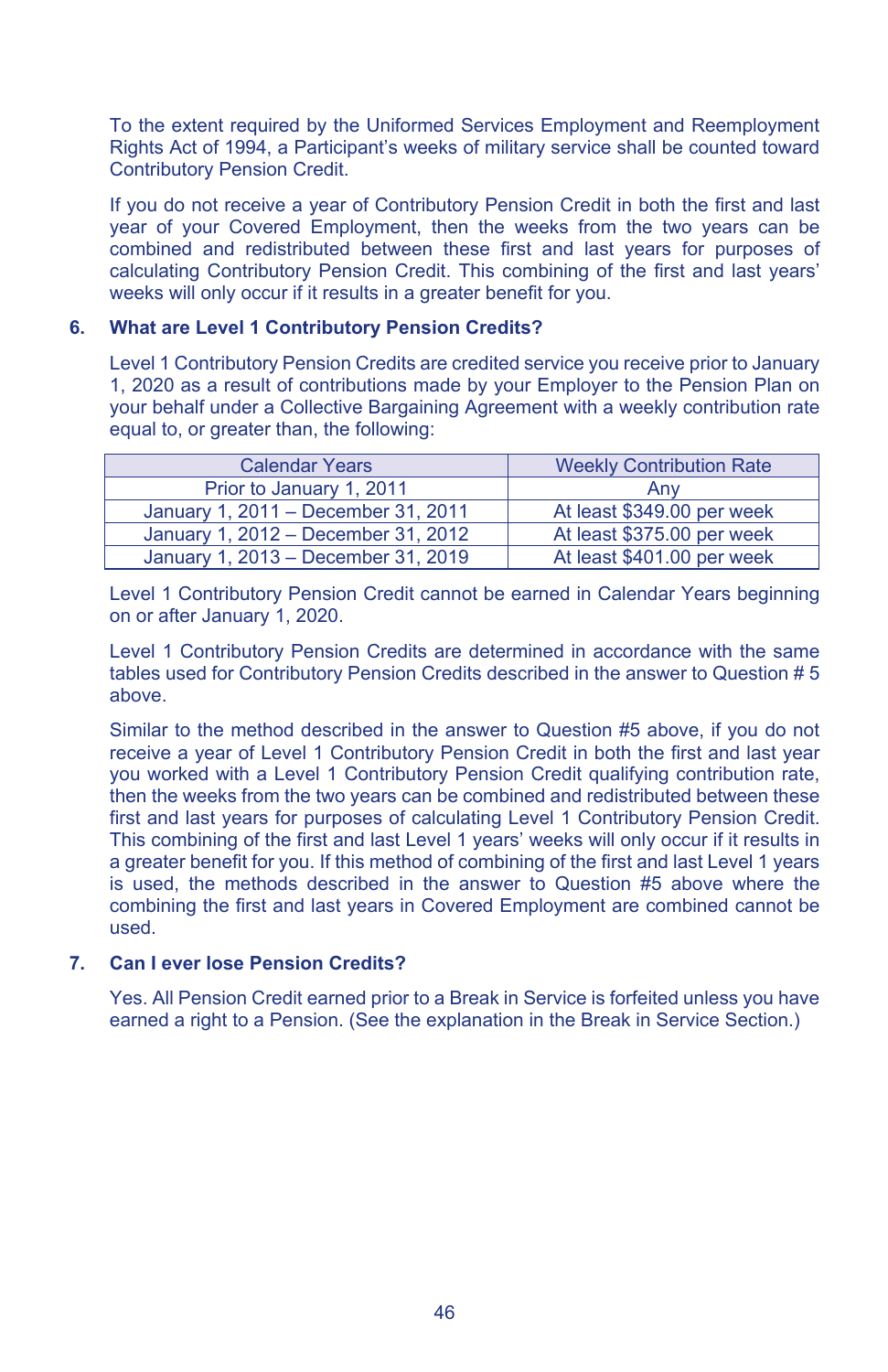To the extent required by the Uniformed Services Employment and Reemployment Rights Act of 1994, a Participant's weeks of military service shall be counted toward Contributory Pension Credit.

If you do not receive a year of Contributory Pension Credit in both the first and last year of your Covered Employment, then the weeks from the two years can be combined and redistributed between these first and last years for purposes of calculating Contributory Pension Credit. This combining of the first and last years' weeks will only occur if it results in a greater benefit for you.

#### **6. What are Level 1 Contributory Pension Credits?**

Level 1 Contributory Pension Credits are credited service you receive prior to January 1, 2020 as a result of contributions made by your Employer to the Pension Plan on your behalf under a Collective Bargaining Agreement with a weekly contribution rate equal to, or greater than, the following:

| <b>Calendar Years</b>               | <b>Weekly Contribution Rate</b> |
|-------------------------------------|---------------------------------|
| Prior to January 1, 2011            | Anv                             |
| January 1, 2011 - December 31, 2011 | At least \$349.00 per week      |
| January 1, 2012 - December 31, 2012 | At least \$375.00 per week      |
| January 1, 2013 - December 31, 2019 | At least \$401.00 per week      |

Level 1 Contributory Pension Credit cannot be earned in Calendar Years beginning on or after January 1, 2020.

Level 1 Contributory Pension Credits are determined in accordance with the same tables used for Contributory Pension Credits described in the answer to Question # 5 above.

Similar to the method described in the answer to Question #5 above, if you do not receive a year of Level 1 Contributory Pension Credit in both the first and last year you worked with a Level 1 Contributory Pension Credit qualifying contribution rate, then the weeks from the two years can be combined and redistributed between these first and last years for purposes of calculating Level 1 Contributory Pension Credit. This combining of the first and last Level 1 years' weeks will only occur if it results in a greater benefit for you. If this method of combining of the first and last Level 1 years is used, the methods described in the answer to Question #5 above where the combining the first and last years in Covered Employment are combined cannot be used.

#### **7. Can I ever lose Pension Credits?**

Yes. All Pension Credit earned prior to a Break in Service is forfeited unless you have earned a right to a Pension. (See the explanation in the Break in Service Section.)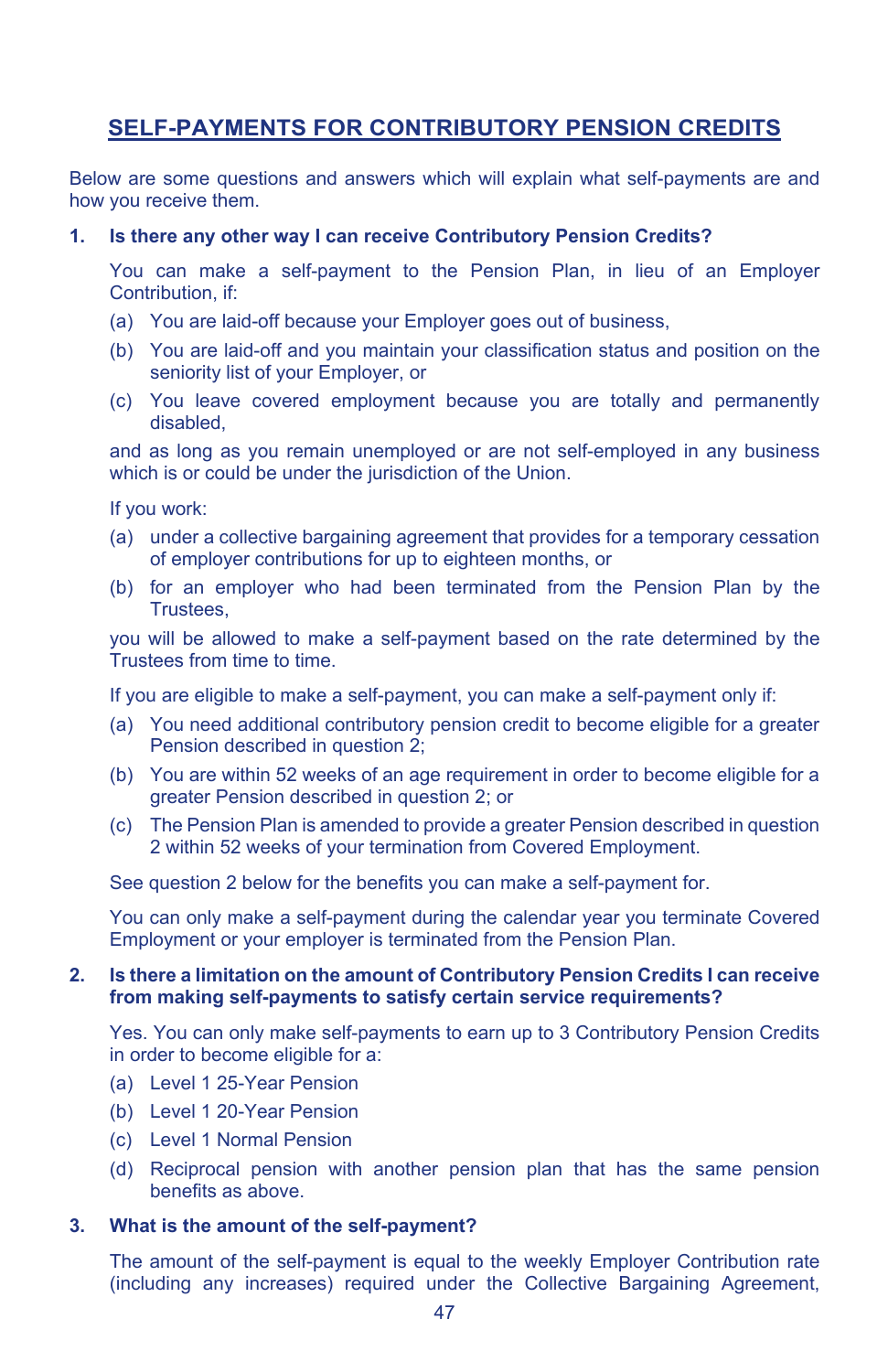# **SELF-PAYMENTS FOR CONTRIBUTORY PENSION CREDITS**

Below are some questions and answers which will explain what self-payments are and how you receive them.

#### **1. Is there any other way I can receive Contributory Pension Credits?**

You can make a self-payment to the Pension Plan, in lieu of an Employer Contribution, if:

- (a) You are laid-off because your Employer goes out of business,
- (b) You are laid-off and you maintain your classification status and position on the seniority list of your Employer, or
- (c) You leave covered employment because you are totally and permanently disabled,

and as long as you remain unemployed or are not self-employed in any business which is or could be under the jurisdiction of the Union.

If you work:

- (a) under a collective bargaining agreement that provides for a temporary cessation of employer contributions for up to eighteen months, or
- (b) for an employer who had been terminated from the Pension Plan by the Trustees,

you will be allowed to make a self-payment based on the rate determined by the Trustees from time to time.

If you are eligible to make a self-payment, you can make a self-payment only if:

- (a) You need additional contributory pension credit to become eligible for a greater Pension described in question 2;
- (b) You are within 52 weeks of an age requirement in order to become eligible for a greater Pension described in question 2; or
- (c) The Pension Plan is amended to provide a greater Pension described in question 2 within 52 weeks of your termination from Covered Employment.

See question 2 below for the benefits you can make a self-payment for.

You can only make a self-payment during the calendar year you terminate Covered Employment or your employer is terminated from the Pension Plan.

#### **2. Is there a limitation on the amount of Contributory Pension Credits I can receive from making self-payments to satisfy certain service requirements?**

Yes. You can only make self-payments to earn up to 3 Contributory Pension Credits in order to become eligible for a:

- (a) Level 1 25-Year Pension
- (b) Level 1 20-Year Pension
- (c) Level 1 Normal Pension
- (d) Reciprocal pension with another pension plan that has the same pension benefits as above.

#### **3. What is the amount of the self-payment?**

The amount of the self-payment is equal to the weekly Employer Contribution rate (including any increases) required under the Collective Bargaining Agreement,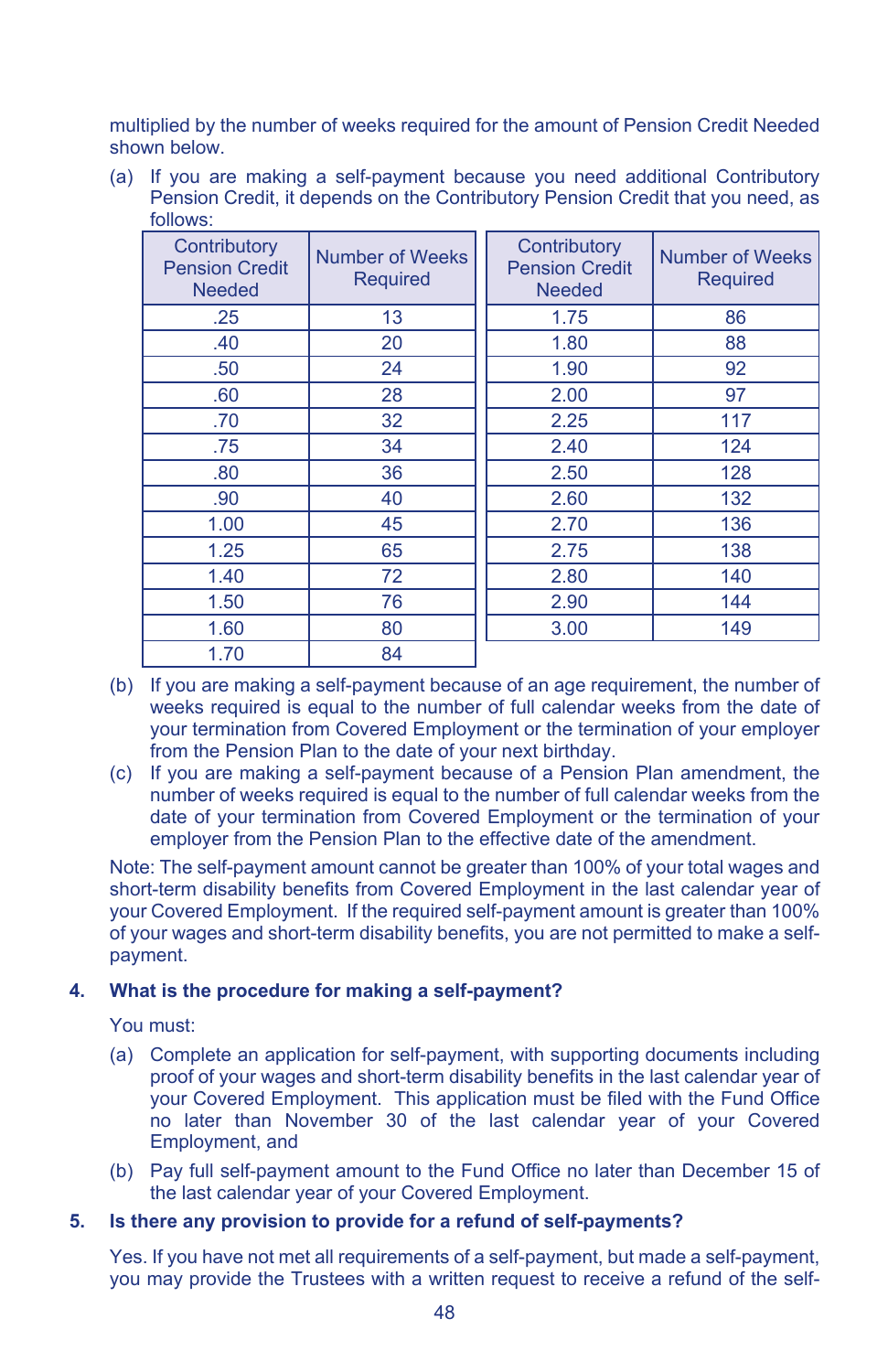multiplied by the number of weeks required for the amount of Pension Credit Needed shown below.

(a) If you are making a self-payment because you need additional Contributory Pension Credit, it depends on the Contributory Pension Credit that you need, as follows:

| Contributory<br><b>Pension Credit</b><br><b>Needed</b> | Number of Weeks<br><b>Required</b> | Contributory<br><b>Pension Credit</b><br><b>Needed</b> | Number of Weeks<br><b>Required</b> |
|--------------------------------------------------------|------------------------------------|--------------------------------------------------------|------------------------------------|
| .25                                                    | 13                                 | 1.75                                                   | 86                                 |
| .40                                                    | 20                                 | 1.80                                                   | 88                                 |
| .50                                                    | 24                                 | 1.90                                                   | 92                                 |
| .60                                                    | 28                                 | 2.00                                                   | 97                                 |
| .70                                                    | 32                                 | 2.25                                                   | 117                                |
| .75                                                    | 34                                 | 2.40                                                   | 124                                |
| .80                                                    | 36                                 | 2.50                                                   | 128                                |
| .90                                                    | 40                                 | 2.60                                                   | 132                                |
| 1.00                                                   | 45                                 | 2.70                                                   | 136                                |
| 1.25                                                   | 65                                 | 2.75                                                   | 138                                |
| 1.40                                                   | 72                                 | 2.80                                                   | 140                                |
| 1.50                                                   | 76                                 | 2.90                                                   | 144                                |
| 1.60                                                   | 80                                 | 3.00                                                   | 149                                |
| 1.70                                                   | 84                                 |                                                        |                                    |

- (b) If you are making a self-payment because of an age requirement, the number of weeks required is equal to the number of full calendar weeks from the date of your termination from Covered Employment or the termination of your employer from the Pension Plan to the date of your next birthday.
- (c) If you are making a self-payment because of a Pension Plan amendment, the number of weeks required is equal to the number of full calendar weeks from the date of your termination from Covered Employment or the termination of your employer from the Pension Plan to the effective date of the amendment.

Note: The self-payment amount cannot be greater than 100% of your total wages and short-term disability benefits from Covered Employment in the last calendar year of your Covered Employment. If the required self-payment amount is greater than 100% of your wages and short-term disability benefits, you are not permitted to make a selfpayment.

#### **4. What is the procedure for making a self-payment?**

You must:

- (a) Complete an application for self-payment, with supporting documents including proof of your wages and short-term disability benefits in the last calendar year of your Covered Employment. This application must be filed with the Fund Office no later than November 30 of the last calendar year of your Covered Employment, and
- (b) Pay full self-payment amount to the Fund Office no later than December 15 of the last calendar year of your Covered Employment.

#### **5. Is there any provision to provide for a refund of self-payments?**

Yes. If you have not met all requirements of a self-payment, but made a self-payment, you may provide the Trustees with a written request to receive a refund of the self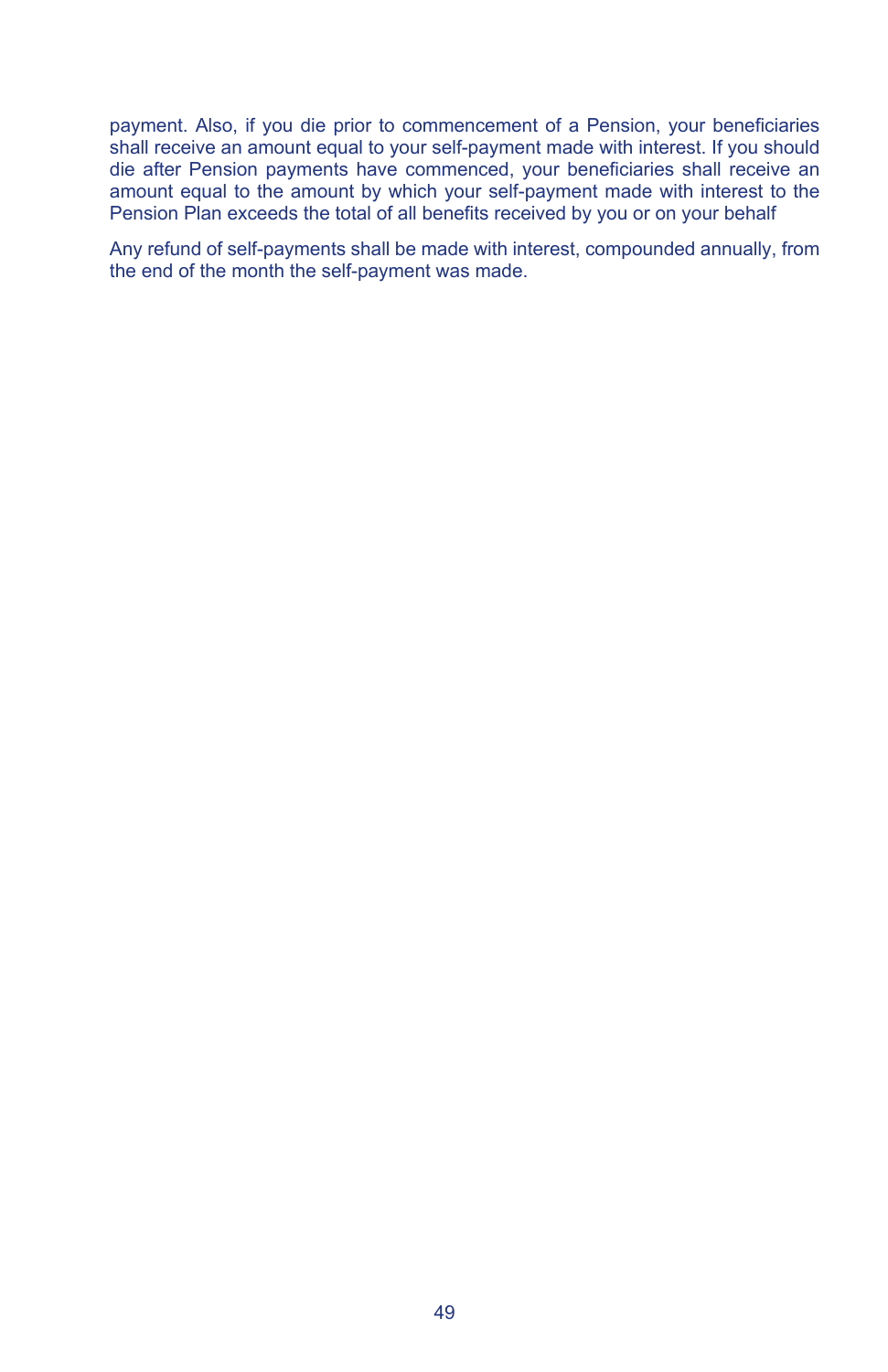payment. Also, if you die prior to commencement of a Pension, your beneficiaries shall receive an amount equal to your self-payment made with interest. If you should die after Pension payments have commenced, your beneficiaries shall receive an amount equal to the amount by which your self-payment made with interest to the Pension Plan exceeds the total of all benefits received by you or on your behalf

Any refund of self-payments shall be made with interest, compounded annually, from the end of the month the self-payment was made.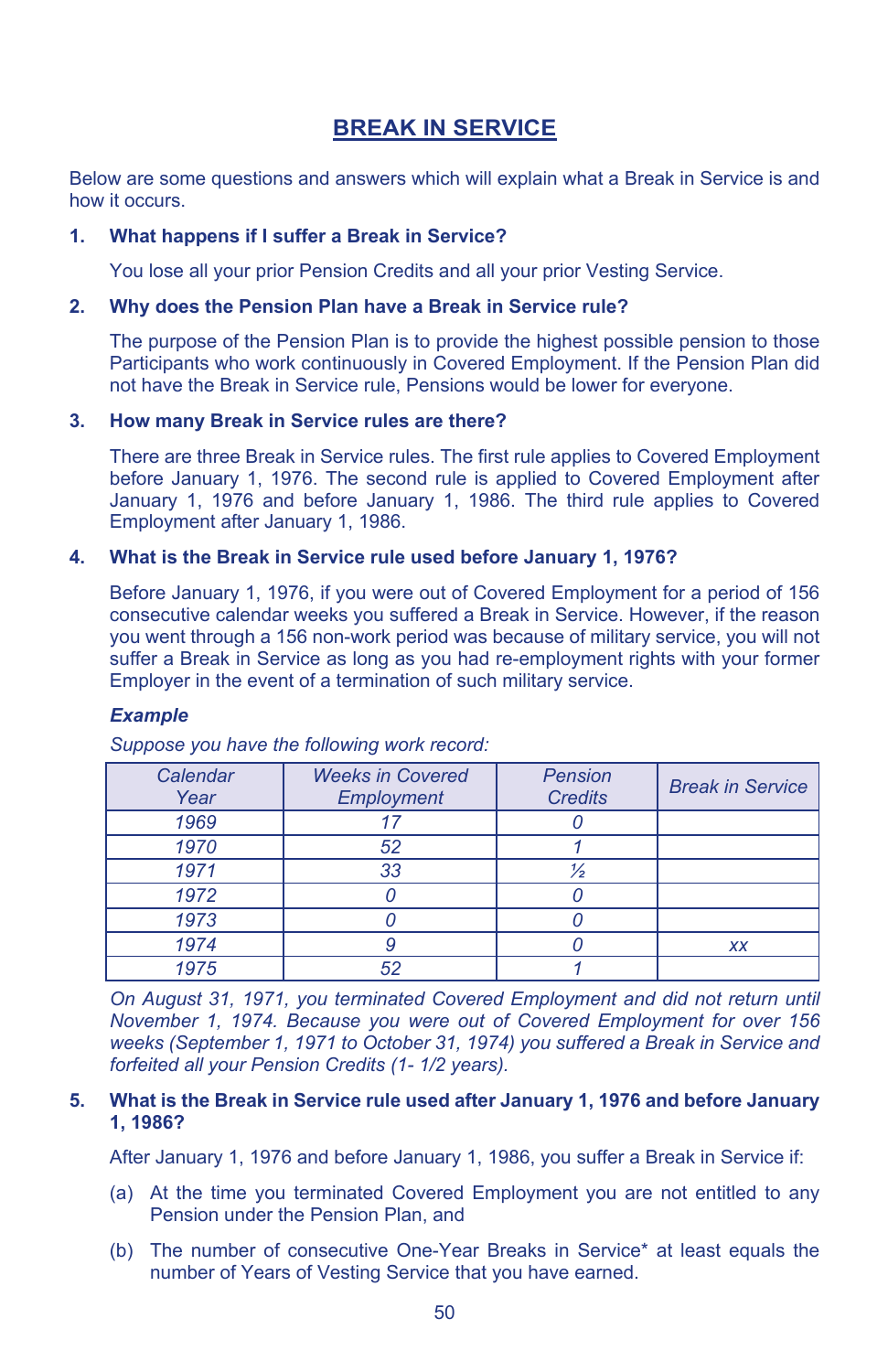# **BREAK IN SERVICE**

Below are some questions and answers which will explain what a Break in Service is and how it occurs.

#### **1. What happens if I suffer a Break in Service?**

You lose all your prior Pension Credits and all your prior Vesting Service.

#### **2. Why does the Pension Plan have a Break in Service rule?**

The purpose of the Pension Plan is to provide the highest possible pension to those Participants who work continuously in Covered Employment. If the Pension Plan did not have the Break in Service rule, Pensions would be lower for everyone.

#### **3. How many Break in Service rules are there?**

There are three Break in Service rules. The first rule applies to Covered Employment before January 1, 1976. The second rule is applied to Covered Employment after January 1, 1976 and before January 1, 1986. The third rule applies to Covered Employment after January 1, 1986.

#### **4. What is the Break in Service rule used before January 1, 1976?**

Before January 1, 1976, if you were out of Covered Employment for a period of 156 consecutive calendar weeks you suffered a Break in Service. However, if the reason you went through a 156 non-work period was because of military service, you will not suffer a Break in Service as long as you had re-employment rights with your former Employer in the event of a termination of such military service.

#### *Example*

| Calendar<br>Year | <b>Weeks in Covered</b><br>Employment | Pension<br><b>Credits</b> | <b>Break in Service</b> |
|------------------|---------------------------------------|---------------------------|-------------------------|
| 1969             |                                       |                           |                         |
| 1970             | 52                                    |                           |                         |
| 1971             | 33                                    |                           |                         |
| 1972             |                                       |                           |                         |
| 1973             |                                       |                           |                         |
| 1974             |                                       |                           | XX                      |
| 1975             |                                       |                           |                         |

*Suppose you have the following work record:*

*On August 31, 1971, you terminated Covered Employment and did not return until November 1, 1974. Because you were out of Covered Employment for over 156 weeks (September 1, 1971 to October 31, 1974) you suffered a Break in Service and forfeited all your Pension Credits (1- 1/2 years).*

#### **5. What is the Break in Service rule used after January 1, 1976 and before January 1, 1986?**

After January 1, 1976 and before January 1, 1986, you suffer a Break in Service if:

- (a) At the time you terminated Covered Employment you are not entitled to any Pension under the Pension Plan, and
- (b) The number of consecutive One-Year Breaks in Service\* at least equals the number of Years of Vesting Service that you have earned.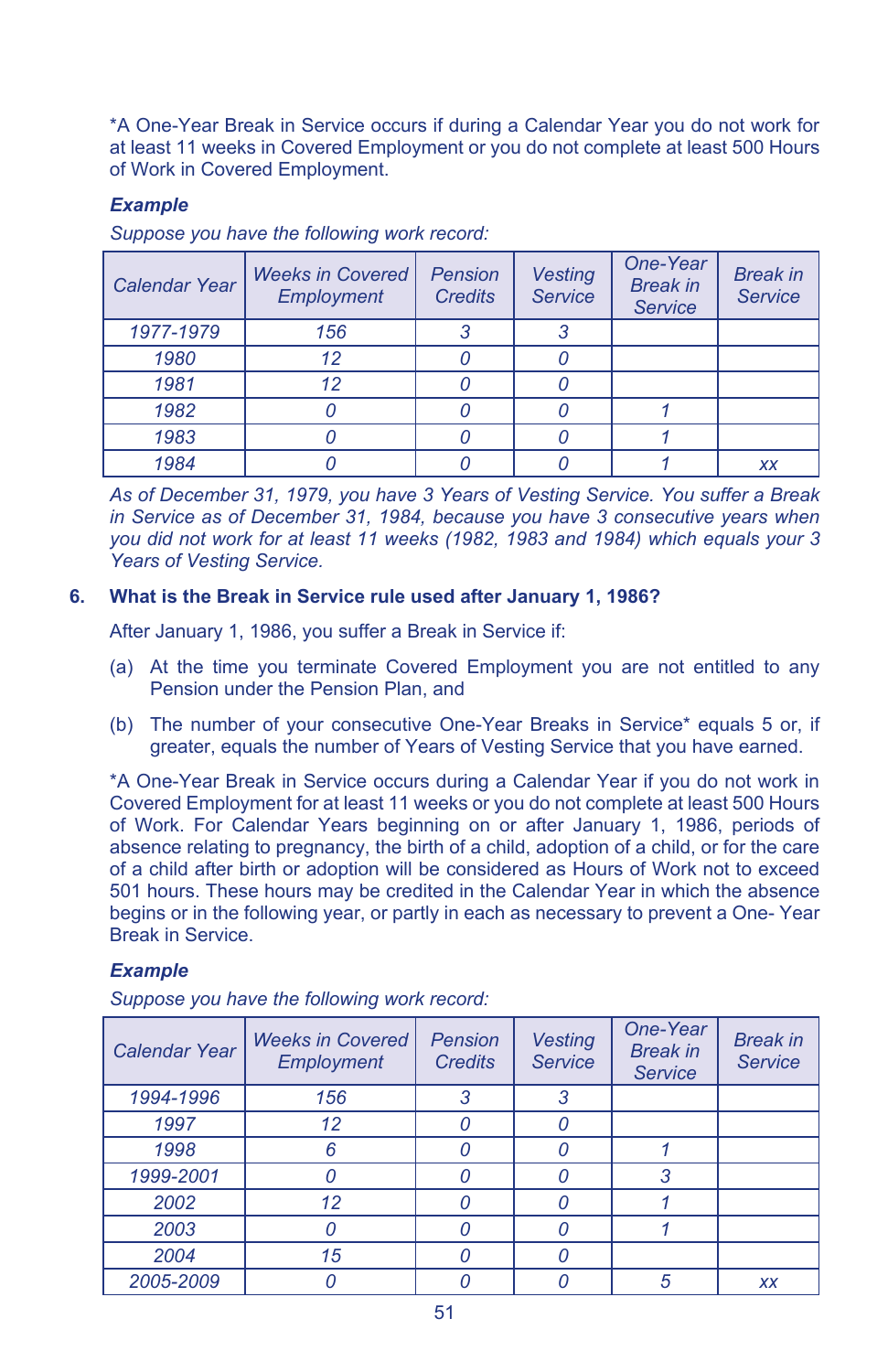\*A One-Year Break in Service occurs if during a Calendar Year you do not work for at least 11 weeks in Covered Employment or you do not complete at least 500 Hours of Work in Covered Employment.

#### *Example*

*Suppose you have the following work record:*

| <b>Calendar Year</b> | <b>Weeks in Covered</b><br>Employment | Pension<br><b>Credits</b> | Vesting<br>Service | One-Year<br><b>Break</b> in<br>Service | <b>Break</b> in<br>Service |
|----------------------|---------------------------------------|---------------------------|--------------------|----------------------------------------|----------------------------|
| 1977-1979            | 156                                   |                           |                    |                                        |                            |
| 1980                 | 12                                    |                           |                    |                                        |                            |
| 1981                 | 12                                    |                           |                    |                                        |                            |
| 1982                 |                                       |                           |                    |                                        |                            |
| 1983                 |                                       |                           |                    |                                        |                            |
| 1984                 |                                       |                           |                    |                                        | XX                         |

*As of December 31, 1979, you have 3 Years of Vesting Service. You suffer a Break in Service as of December 31, 1984, because you have 3 consecutive years when you did not work for at least 11 weeks (1982, 1983 and 1984) which equals your 3 Years of Vesting Service.*

#### **6. What is the Break in Service rule used after January 1, 1986?**

After January 1, 1986, you suffer a Break in Service if:

- (a) At the time you terminate Covered Employment you are not entitled to any Pension under the Pension Plan, and
- (b) The number of your consecutive One-Year Breaks in Service\* equals 5 or, if greater, equals the number of Years of Vesting Service that you have earned.

\*A One-Year Break in Service occurs during a Calendar Year if you do not work in Covered Employment for at least 11 weeks or you do not complete at least 500 Hours of Work. For Calendar Years beginning on or after January 1, 1986, periods of absence relating to pregnancy, the birth of a child, adoption of a child, or for the care of a child after birth or adoption will be considered as Hours of Work not to exceed 501 hours. These hours may be credited in the Calendar Year in which the absence begins or in the following year, or partly in each as necessary to prevent a One- Year Break in Service.

#### *Example*

*Suppose you have the following work record:*

| <b>Calendar Year</b> | <b>Weeks in Covered</b><br>Employment | Pension<br>Credits | Vesting<br><b>Service</b> | One-Year<br><b>Break</b> in<br>Service | <b>Break</b> in<br>Service |
|----------------------|---------------------------------------|--------------------|---------------------------|----------------------------------------|----------------------------|
| 1994-1996            | 156                                   | 3                  | 3                         |                                        |                            |
| 1997                 | 12                                    |                    |                           |                                        |                            |
| 1998                 | 6                                     |                    |                           |                                        |                            |
| 1999-2001            |                                       |                    |                           | 3                                      |                            |
| 2002                 | 12                                    |                    |                           |                                        |                            |
| 2003                 |                                       |                    |                           |                                        |                            |
| 2004                 | 15                                    |                    |                           |                                        |                            |
| 2005-2009            |                                       |                    |                           | 5                                      | XX                         |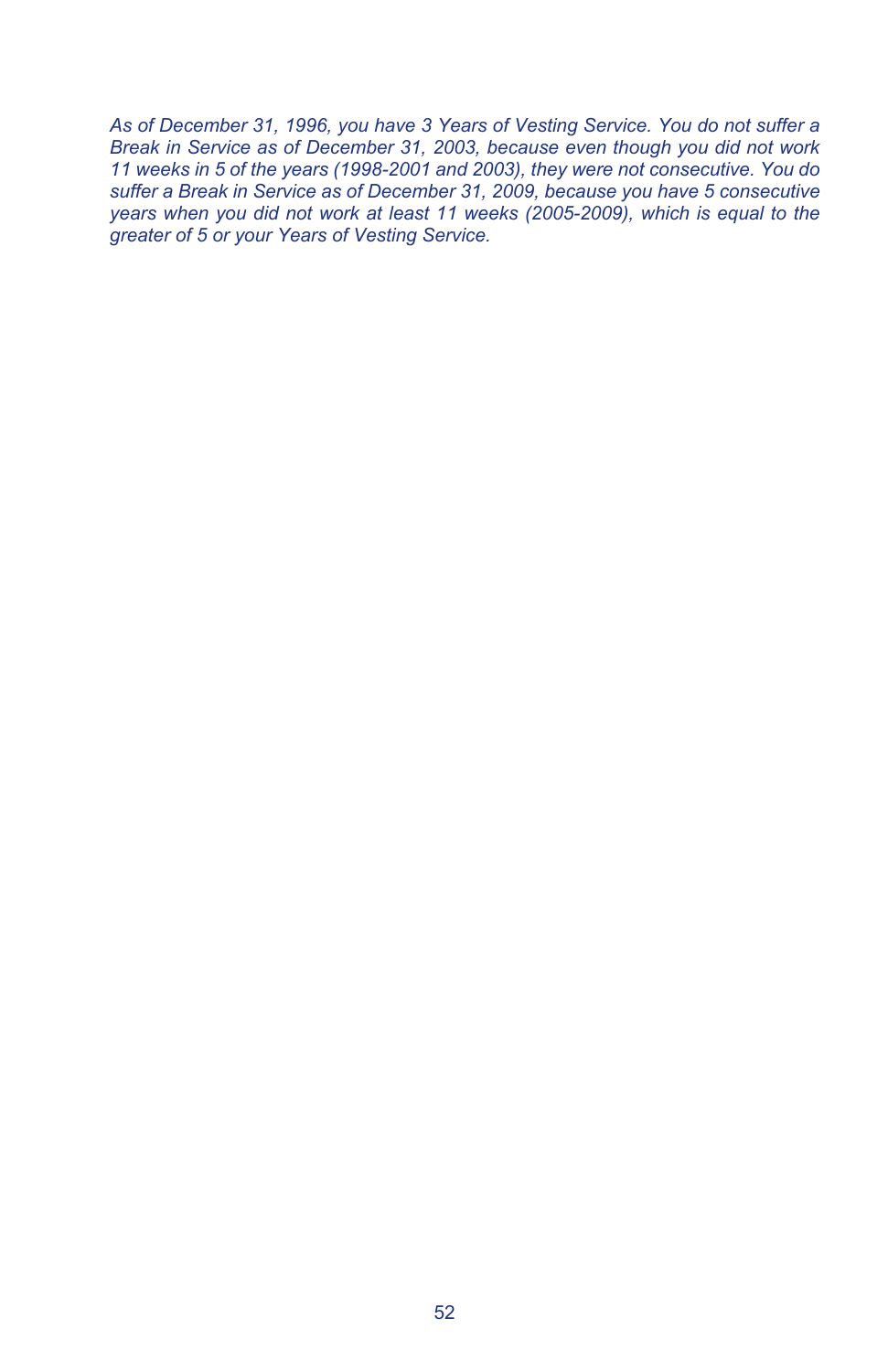*As of December 31, 1996, you have 3 Years of Vesting Service. You do not suffer a Break in Service as of December 31, 2003, because even though you did not work 11 weeks in 5 of the years (1998-2001 and 2003), they were not consecutive. You do suffer a Break in Service as of December 31, 2009, because you have 5 consecutive years when you did not work at least 11 weeks (2005-2009), which is equal to the greater of 5 or your Years of Vesting Service.*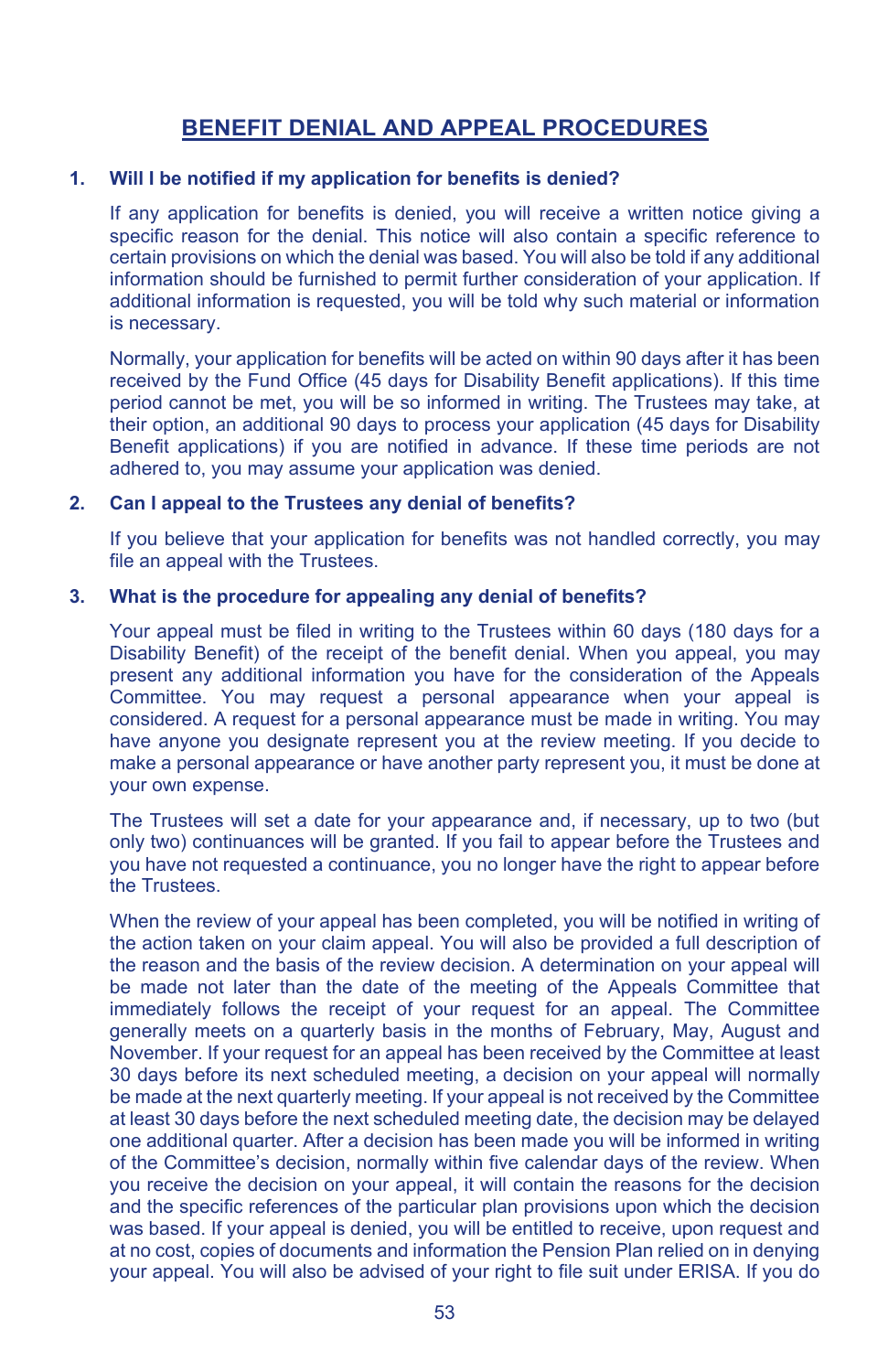# **BENEFIT DENIAL AND APPEAL PROCEDURES**

#### **1. Will I be notified if my application for benefits is denied?**

If any application for benefits is denied, you will receive a written notice giving a specific reason for the denial. This notice will also contain a specific reference to certain provisions on which the denial was based. You will also be told if any additional information should be furnished to permit further consideration of your application. If additional information is requested, you will be told why such material or information is necessary.

Normally, your application for benefits will be acted on within 90 days after it has been received by the Fund Office (45 days for Disability Benefit applications). If this time period cannot be met, you will be so informed in writing. The Trustees may take, at their option, an additional 90 days to process your application (45 days for Disability Benefit applications) if you are notified in advance. If these time periods are not adhered to, you may assume your application was denied.

#### **2. Can I appeal to the Trustees any denial of benefits?**

If you believe that your application for benefits was not handled correctly, you may file an appeal with the Trustees.

#### **3. What is the procedure for appealing any denial of benefits?**

Your appeal must be filed in writing to the Trustees within 60 days (180 days for a Disability Benefit) of the receipt of the benefit denial. When you appeal, you may present any additional information you have for the consideration of the Appeals Committee. You may request a personal appearance when your appeal is considered. A request for a personal appearance must be made in writing. You may have anyone you designate represent you at the review meeting. If you decide to make a personal appearance or have another party represent you, it must be done at your own expense.

The Trustees will set a date for your appearance and, if necessary, up to two (but only two) continuances will be granted. If you fail to appear before the Trustees and you have not requested a continuance, you no longer have the right to appear before the Trustees.

When the review of your appeal has been completed, you will be notified in writing of the action taken on your claim appeal. You will also be provided a full description of the reason and the basis of the review decision. A determination on your appeal will be made not later than the date of the meeting of the Appeals Committee that immediately follows the receipt of your request for an appeal. The Committee generally meets on a quarterly basis in the months of February, May, August and November. If your request for an appeal has been received by the Committee at least 30 days before its next scheduled meeting, a decision on your appeal will normally be made at the next quarterly meeting. If your appeal is not received by the Committee at least 30 days before the next scheduled meeting date, the decision may be delayed one additional quarter. After a decision has been made you will be informed in writing of the Committee's decision, normally within five calendar days of the review. When you receive the decision on your appeal, it will contain the reasons for the decision and the specific references of the particular plan provisions upon which the decision was based. If your appeal is denied, you will be entitled to receive, upon request and at no cost, copies of documents and information the Pension Plan relied on in denying your appeal. You will also be advised of your right to file suit under ERISA. If you do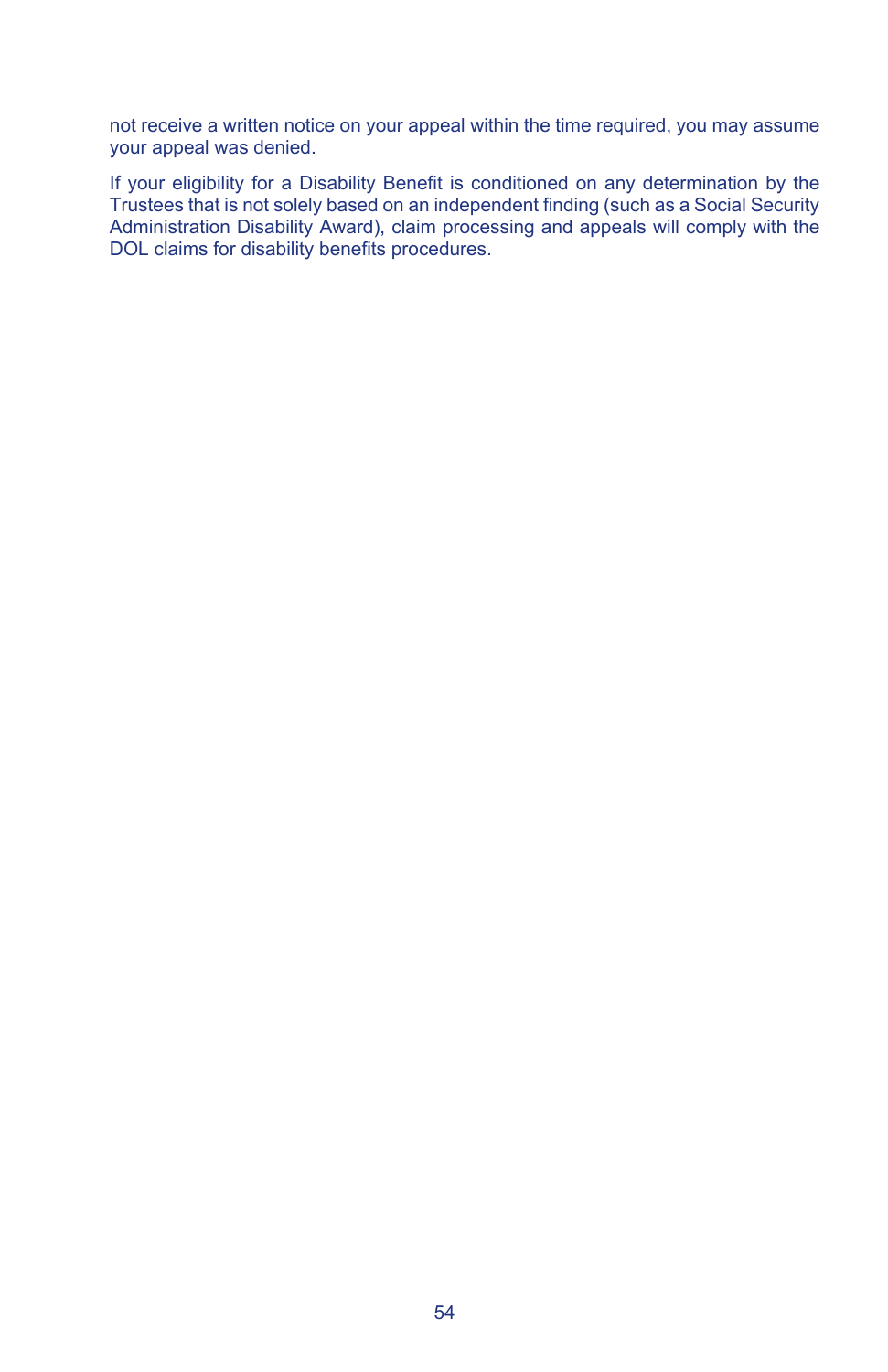not receive a written notice on your appeal within the time required, you may assume your appeal was denied.

If your eligibility for a Disability Benefit is conditioned on any determination by the Trustees that is not solely based on an independent finding (such as a Social Security Administration Disability Award), claim processing and appeals will comply with the DOL claims for disability benefits procedures.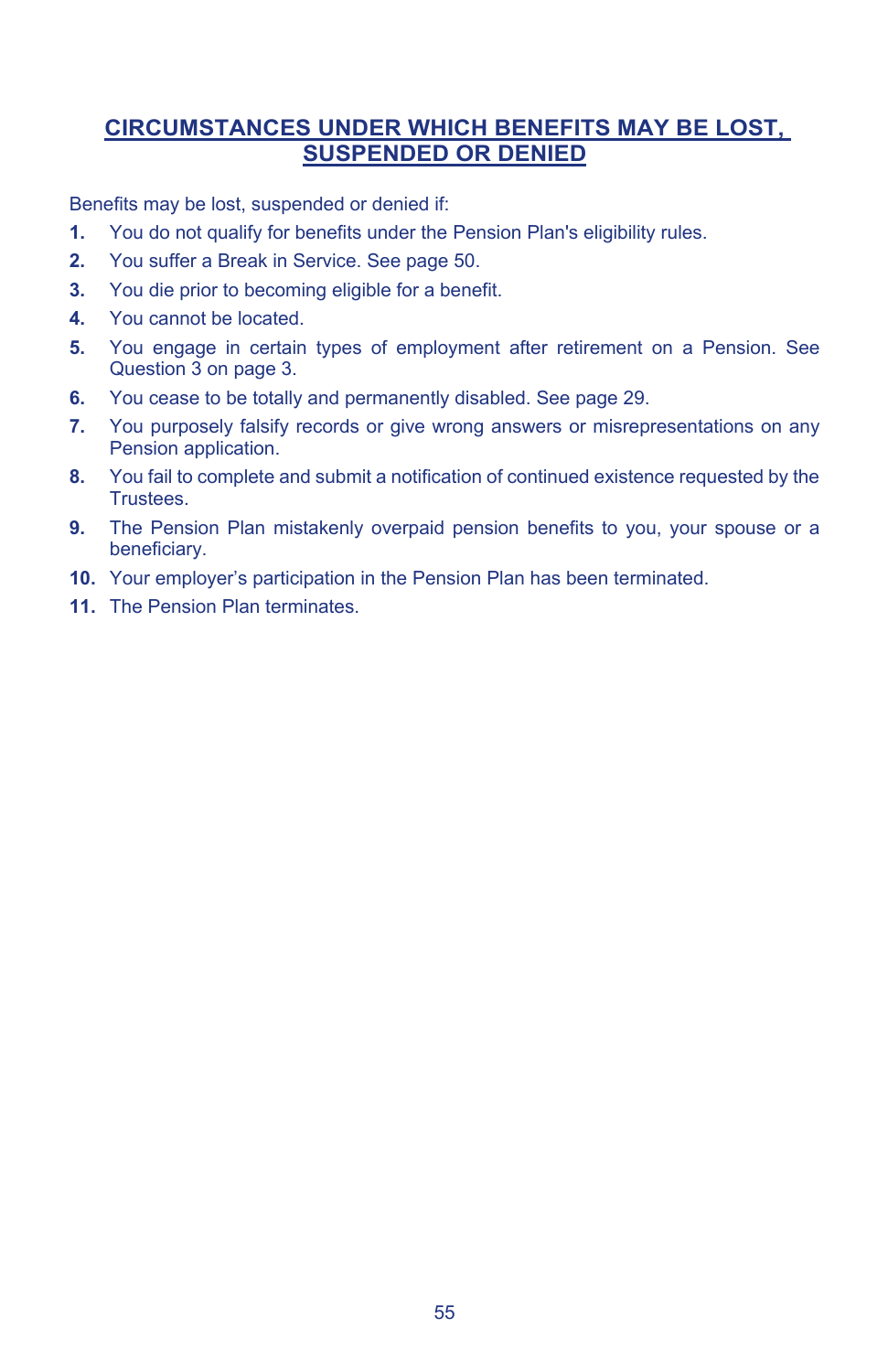# **CIRCUMSTANCES UNDER WHICH BENEFITS MAY BE LOST, SUSPENDED OR DENIED**

Benefits may be lost, suspended or denied if:

- **1.** You do not qualify for benefits under the Pension Plan's eligibility rules.
- **2.** You suffer a Break in Service. See page 50.
- **3.** You die prior to becoming eligible for a benefit.
- **4.** You cannot be located.
- **5.** You engage in certain types of employment after retirement on a Pension. See Question 3 on page 3.
- **6.** You cease to be totally and permanently disabled. See page 29.
- **7.** You purposely falsify records or give wrong answers or misrepresentations on any Pension application.
- **8.** You fail to complete and submit a notification of continued existence requested by the Trustees.
- **9.** The Pension Plan mistakenly overpaid pension benefits to you, your spouse or a beneficiary.
- **10.** Your employer's participation in the Pension Plan has been terminated.
- **11.** The Pension Plan terminates.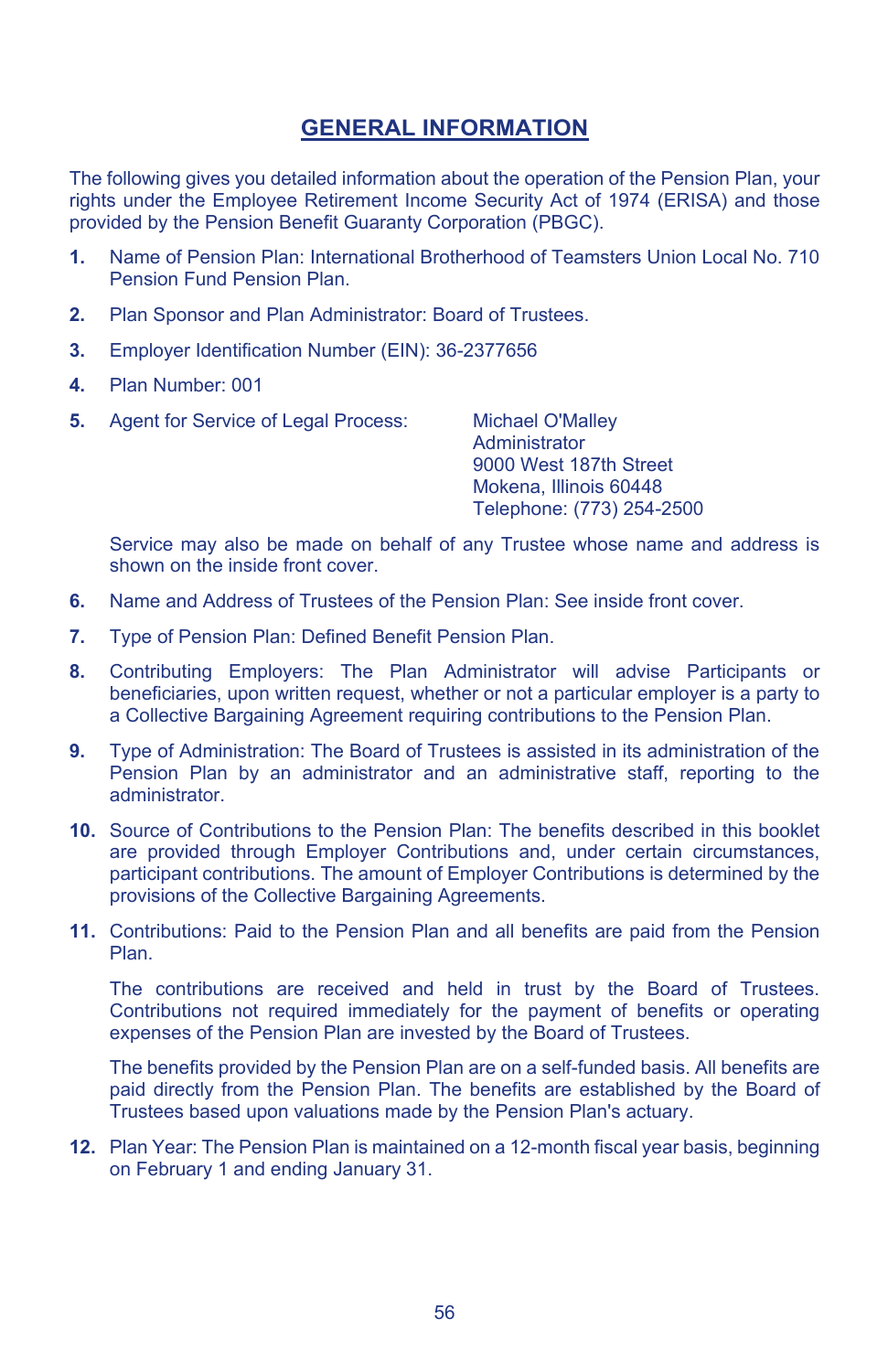# **GENERAL INFORMATION**

The following gives you detailed information about the operation of the Pension Plan, your rights under the Employee Retirement Income Security Act of 1974 (ERISA) and those provided by the Pension Benefit Guaranty Corporation (PBGC).

- **1.** Name of Pension Plan: International Brotherhood of Teamsters Union Local No. 710 Pension Fund Pension Plan.
- **2.** Plan Sponsor and Plan Administrator: Board of Trustees.
- **3.** Employer Identification Number (EIN): 36-2377656
- **4.** Plan Number: 001
- **5.** Agent for Service of Legal Process: Michael O'Malley

Administrator 9000 West 187th Street Mokena, Illinois 60448 Telephone: (773) 254-2500

Service may also be made on behalf of any Trustee whose name and address is shown on the inside front cover.

- **6.** Name and Address of Trustees of the Pension Plan: See inside front cover.
- **7.** Type of Pension Plan: Defined Benefit Pension Plan.
- **8.** Contributing Employers: The Plan Administrator will advise Participants or beneficiaries, upon written request, whether or not a particular employer is a party to a Collective Bargaining Agreement requiring contributions to the Pension Plan.
- **9.** Type of Administration: The Board of Trustees is assisted in its administration of the Pension Plan by an administrator and an administrative staff, reporting to the administrator.
- **10.** Source of Contributions to the Pension Plan: The benefits described in this booklet are provided through Employer Contributions and, under certain circumstances, participant contributions. The amount of Employer Contributions is determined by the provisions of the Collective Bargaining Agreements.
- **11.** Contributions: Paid to the Pension Plan and all benefits are paid from the Pension Plan.

The contributions are received and held in trust by the Board of Trustees. Contributions not required immediately for the payment of benefits or operating expenses of the Pension Plan are invested by the Board of Trustees.

The benefits provided by the Pension Plan are on a self-funded basis. All benefits are paid directly from the Pension Plan. The benefits are established by the Board of Trustees based upon valuations made by the Pension Plan's actuary.

**12.** Plan Year: The Pension Plan is maintained on a 12-month fiscal year basis, beginning on February 1 and ending January 31.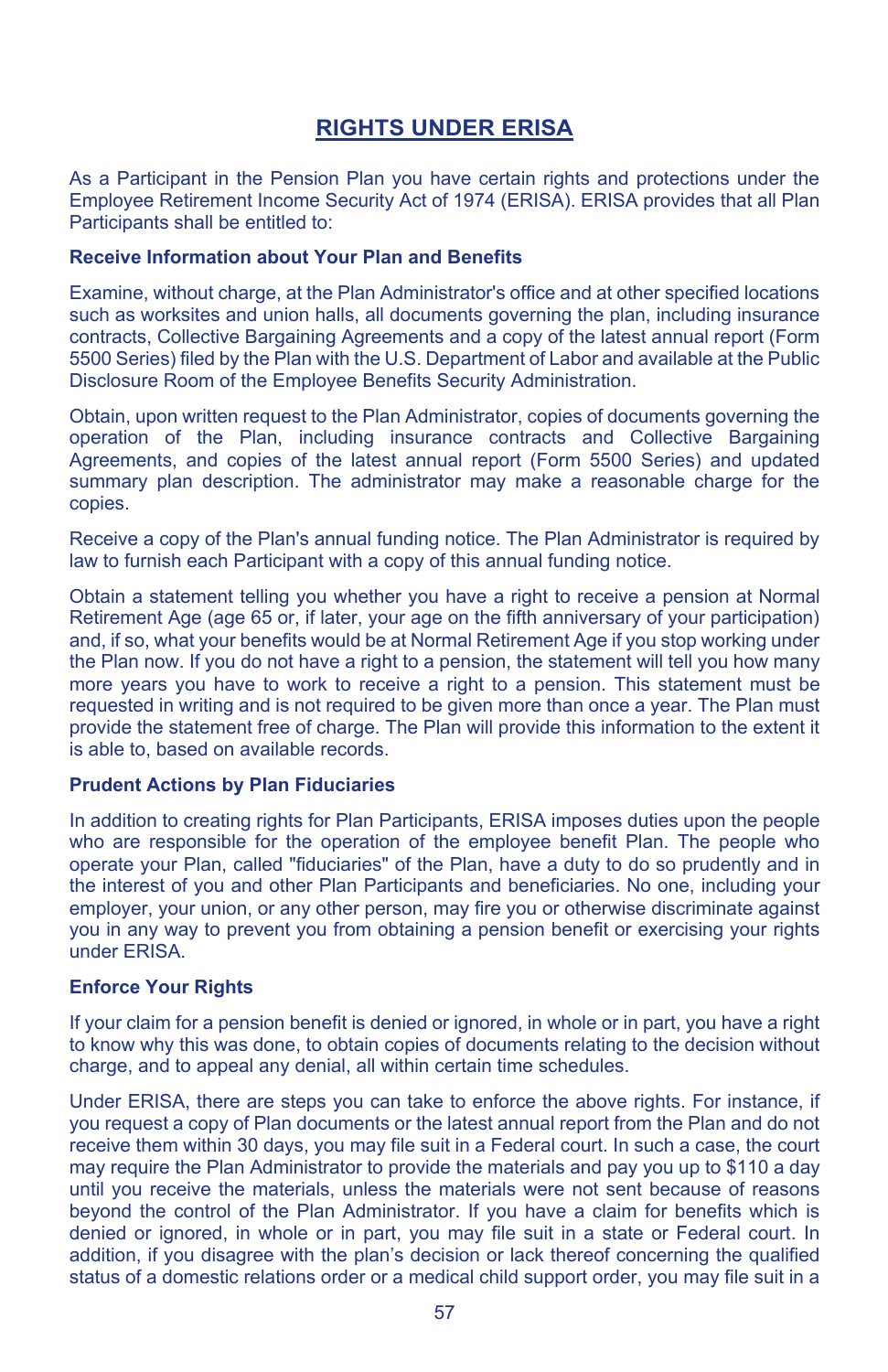# **RIGHTS UNDER ERISA**

As a Participant in the Pension Plan you have certain rights and protections under the Employee Retirement Income Security Act of 1974 (ERISA). ERISA provides that all Plan Participants shall be entitled to:

#### **Receive Information about Your Plan and Benefits**

Examine, without charge, at the Plan Administrator's office and at other specified locations such as worksites and union halls, all documents governing the plan, including insurance contracts, Collective Bargaining Agreements and a copy of the latest annual report (Form 5500 Series) filed by the Plan with the U.S. Department of Labor and available at the Public Disclosure Room of the Employee Benefits Security Administration.

Obtain, upon written request to the Plan Administrator, copies of documents governing the operation of the Plan, including insurance contracts and Collective Bargaining Agreements, and copies of the latest annual report (Form 5500 Series) and updated summary plan description. The administrator may make a reasonable charge for the copies.

Receive a copy of the Plan's annual funding notice. The Plan Administrator is required by law to furnish each Participant with a copy of this annual funding notice.

Obtain a statement telling you whether you have a right to receive a pension at Normal Retirement Age (age 65 or, if later, your age on the fifth anniversary of your participation) and, if so, what your benefits would be at Normal Retirement Age if you stop working under the Plan now. If you do not have a right to a pension, the statement will tell you how many more years you have to work to receive a right to a pension. This statement must be requested in writing and is not required to be given more than once a year. The Plan must provide the statement free of charge. The Plan will provide this information to the extent it is able to, based on available records.

#### **Prudent Actions by Plan Fiduciaries**

In addition to creating rights for Plan Participants, ERISA imposes duties upon the people who are responsible for the operation of the employee benefit Plan. The people who operate your Plan, called "fiduciaries" of the Plan, have a duty to do so prudently and in the interest of you and other Plan Participants and beneficiaries. No one, including your employer, your union, or any other person, may fire you or otherwise discriminate against you in any way to prevent you from obtaining a pension benefit or exercising your rights under ERISA.

#### **Enforce Your Rights**

If your claim for a pension benefit is denied or ignored, in whole or in part, you have a right to know why this was done, to obtain copies of documents relating to the decision without charge, and to appeal any denial, all within certain time schedules.

Under ERISA, there are steps you can take to enforce the above rights. For instance, if you request a copy of Plan documents or the latest annual report from the Plan and do not receive them within 30 days, you may file suit in a Federal court. In such a case, the court may require the Plan Administrator to provide the materials and pay you up to \$110 a day until you receive the materials, unless the materials were not sent because of reasons beyond the control of the Plan Administrator. If you have a claim for benefits which is denied or ignored, in whole or in part, you may file suit in a state or Federal court. In addition, if you disagree with the plan's decision or lack thereof concerning the qualified status of a domestic relations order or a medical child support order, you may file suit in a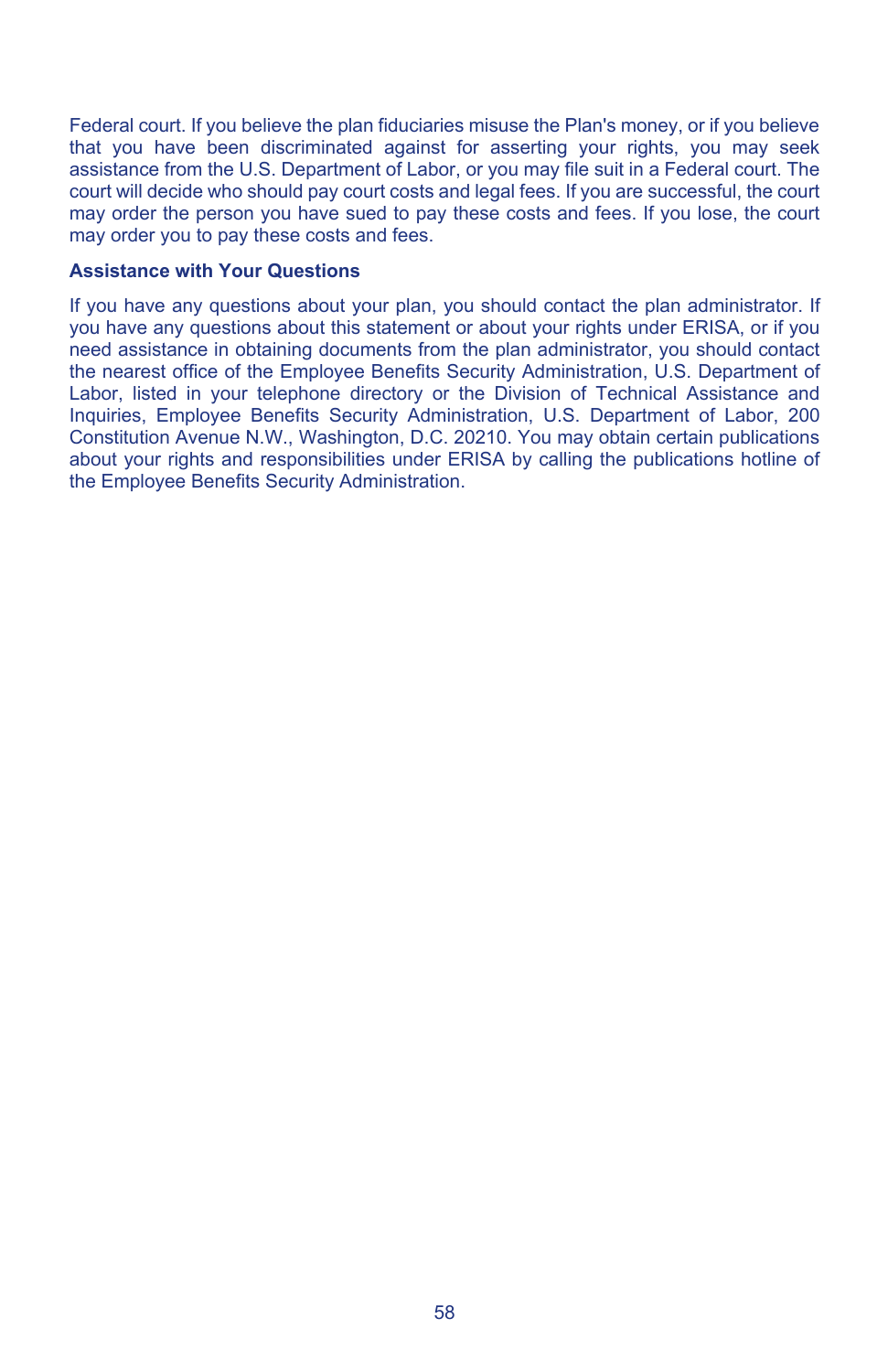Federal court. If you believe the plan fiduciaries misuse the Plan's money, or if you believe that you have been discriminated against for asserting your rights, you may seek assistance from the U.S. Department of Labor, or you may file suit in a Federal court. The court will decide who should pay court costs and legal fees. If you are successful, the court may order the person you have sued to pay these costs and fees. If you lose, the court may order you to pay these costs and fees.

#### **Assistance with Your Questions**

If you have any questions about your plan, you should contact the plan administrator. If you have any questions about this statement or about your rights under ERISA, or if you need assistance in obtaining documents from the plan administrator, you should contact the nearest office of the Employee Benefits Security Administration, U.S. Department of Labor, listed in your telephone directory or the Division of Technical Assistance and Inquiries, Employee Benefits Security Administration, U.S. Department of Labor, 200 Constitution Avenue N.W., Washington, D.C. 20210. You may obtain certain publications about your rights and responsibilities under ERISA by calling the publications hotline of the Employee Benefits Security Administration.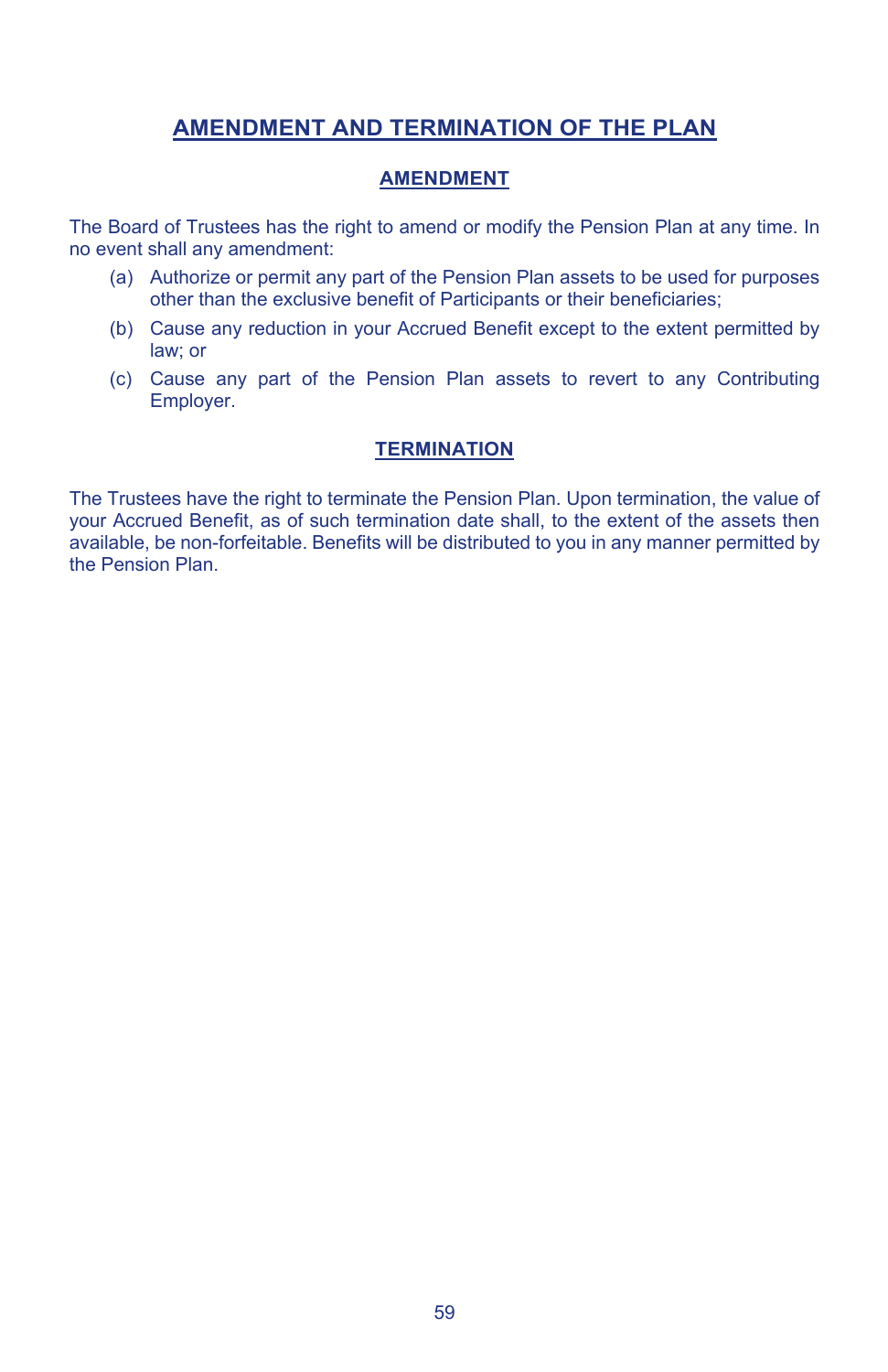# **AMENDMENT AND TERMINATION OF THE PLAN**

#### **AMENDMENT**

The Board of Trustees has the right to amend or modify the Pension Plan at any time. In no event shall any amendment:

- (a) Authorize or permit any part of the Pension Plan assets to be used for purposes other than the exclusive benefit of Participants or their beneficiaries;
- (b) Cause any reduction in your Accrued Benefit except to the extent permitted by law; or
- (c) Cause any part of the Pension Plan assets to revert to any Contributing Employer.

#### **TERMINATION**

The Trustees have the right to terminate the Pension Plan. Upon termination, the value of your Accrued Benefit, as of such termination date shall, to the extent of the assets then available, be non-forfeitable. Benefits will be distributed to you in any manner permitted by the Pension Plan.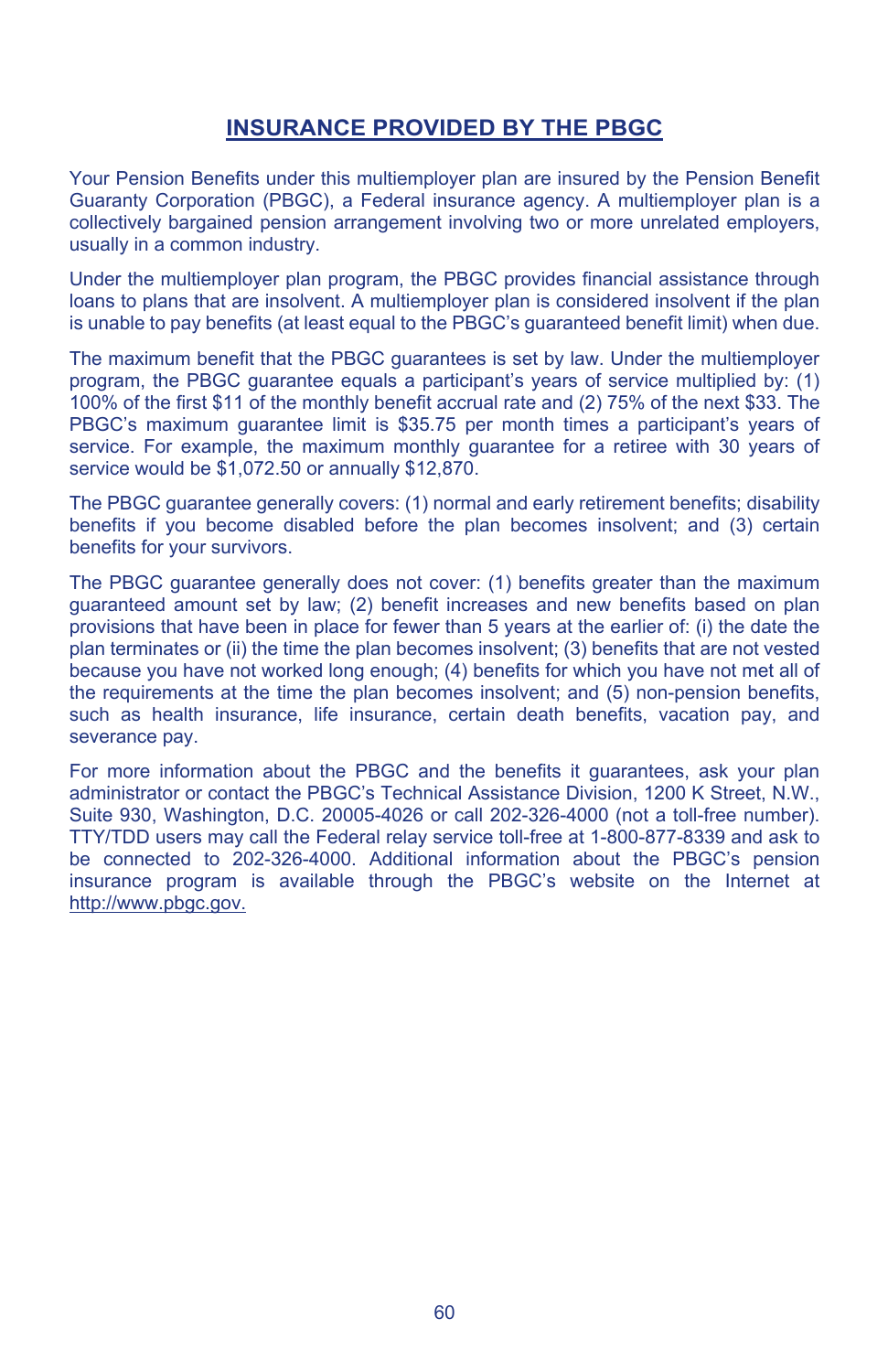# **INSURANCE PROVIDED BY THE PBGC**

Your Pension Benefits under this multiemployer plan are insured by the Pension Benefit Guaranty Corporation (PBGC), a Federal insurance agency. A multiemployer plan is a collectively bargained pension arrangement involving two or more unrelated employers, usually in a common industry.

Under the multiemployer plan program, the PBGC provides financial assistance through loans to plans that are insolvent. A multiemployer plan is considered insolvent if the plan is unable to pay benefits (at least equal to the PBGC's guaranteed benefit limit) when due.

The maximum benefit that the PBGC guarantees is set by law. Under the multiemployer program, the PBGC guarantee equals a participant's years of service multiplied by: (1) 100% of the first \$11 of the monthly benefit accrual rate and (2) 75% of the next \$33. The PBGC's maximum guarantee limit is \$35.75 per month times a participant's years of service. For example, the maximum monthly guarantee for a retiree with 30 years of service would be \$1,072.50 or annually \$12,870.

The PBGC guarantee generally covers: (1) normal and early retirement benefits; disability benefits if you become disabled before the plan becomes insolvent; and (3) certain benefits for your survivors.

The PBGC guarantee generally does not cover: (1) benefits greater than the maximum guaranteed amount set by law; (2) benefit increases and new benefits based on plan provisions that have been in place for fewer than 5 years at the earlier of: (i) the date the plan terminates or (ii) the time the plan becomes insolvent; (3) benefits that are not vested because you have not worked long enough; (4) benefits for which you have not met all of the requirements at the time the plan becomes insolvent; and (5) non-pension benefits, such as health insurance, life insurance, certain death benefits, vacation pay, and severance pay.

For more information about the PBGC and the benefits it guarantees, ask your plan administrator or contact the PBGC's Technical Assistance Division, 1200 K Street, N.W., Suite 930, Washington, D.C. 20005-4026 or call 202-326-4000 (not a toll-free number). TTY/TDD users may call the Federal relay service toll-free at 1-800-877-8339 and ask to be connected to 202-326-4000. Additional information about the PBGC's pension insurance program is available through the PBGC's website on the Internet at http://www.pbgc.gov.